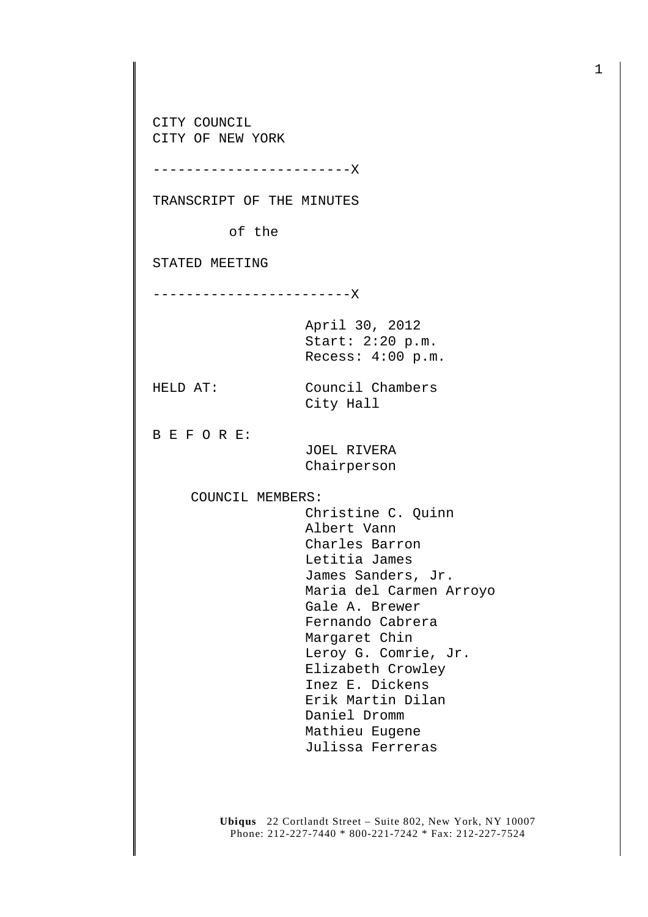CITY COUNCIL CITY OF NEW YORK

------------------------X

TRANSCRIPT OF THE MINUTES

of the

STATED MEETING

------------------------X

April 30, 2012 Start: 2:20 p.m. Recess: 4:00 p.m.

HELD AT: Council Chambers City Hall

B E F O R E:

 JOEL RIVERA Chairperson

COUNCIL MEMBERS:

 Christine C. Quinn Albert Vann Charles Barron Letitia James James Sanders, Jr. Maria del Carmen Arroyo Gale A. Brewer Fernando Cabrera Margaret Chin Leroy G. Comrie, Jr. Elizabeth Crowley Inez E. Dickens Erik Martin Dilan Daniel Dromm Mathieu Eugene Julissa Ferreras

**Ubiqus** 22 Cortlandt Street – Suite 802, New York, NY 10007 Phone: 212-227-7440 \* 800-221-7242 \* Fax: 212-227-7524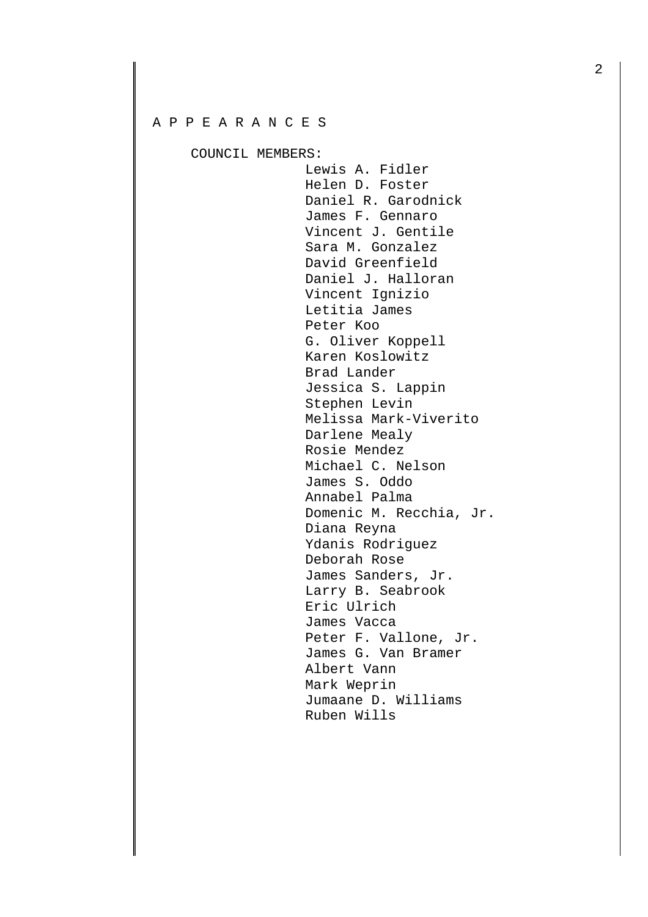## A P P E A R A N C E S

COUNCIL MEMBERS:

 Lewis A. Fidler Helen D. Foster Daniel R. Garodnick James F. Gennaro Vincent J. Gentile Sara M. Gonzalez David Greenfield Daniel J. Halloran Vincent Ignizio Letitia James Peter Koo G. Oliver Koppell Karen Koslowitz Brad Lander Jessica S. Lappin Stephen Levin Melissa Mark-Viverito Darlene Mealy Rosie Mendez Michael C. Nelson James S. Oddo Annabel Palma Domenic M. Recchia, Jr. Diana Reyna Ydanis Rodriguez Deborah Rose James Sanders, Jr. Larry B. Seabrook Eric Ulrich James Vacca Peter F. Vallone, Jr. James G. Van Bramer Albert Vann Mark Weprin Jumaane D. Williams Ruben Wills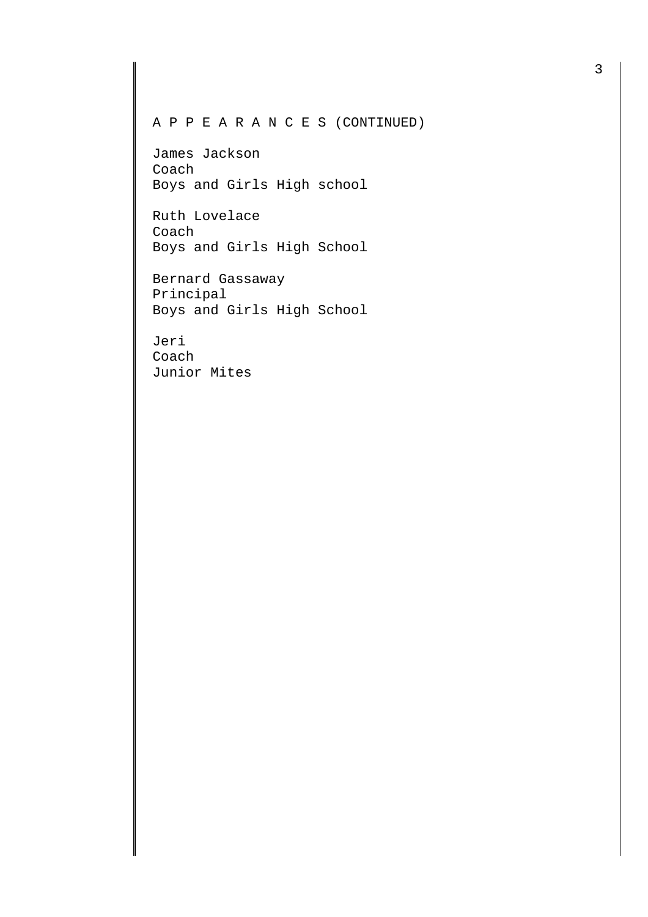## A P P E A R A N C E S (CONTINUED)

James Jackson Coach Boys and Girls High school

Ruth Lovelace Coach Boys and Girls High School

Bernard Gassaway Principal Boys and Girls High School

Jeri Coach Junior Mites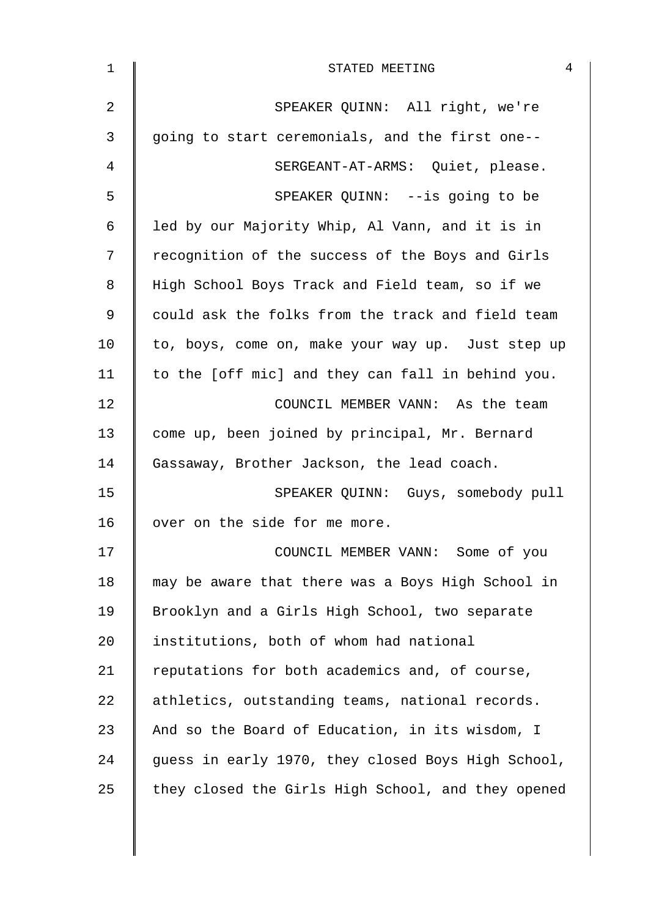| $\mathbf{1}$   | $\overline{4}$<br>STATED MEETING                   |
|----------------|----------------------------------------------------|
| $\overline{2}$ | SPEAKER QUINN: All right, we're                    |
| 3              | going to start ceremonials, and the first one--    |
| 4              | SERGEANT-AT-ARMS: Quiet, please.                   |
| 5              | SPEAKER QUINN: --is going to be                    |
| 6              | led by our Majority Whip, Al Vann, and it is in    |
| 7              | recognition of the success of the Boys and Girls   |
| 8              | High School Boys Track and Field team, so if we    |
| 9              | could ask the folks from the track and field team  |
| 10             | to, boys, come on, make your way up. Just step up  |
| 11             | to the [off mic] and they can fall in behind you.  |
| 12             | COUNCIL MEMBER VANN: As the team                   |
| 13             | come up, been joined by principal, Mr. Bernard     |
| 14             | Gassaway, Brother Jackson, the lead coach.         |
| 15             | SPEAKER QUINN: Guys, somebody pull                 |
| 16             | over on the side for me more.                      |
| 17             | COUNCIL MEMBER VANN: Some of you                   |
| 18             | may be aware that there was a Boys High School in  |
| 19             | Brooklyn and a Girls High School, two separate     |
| 20             | institutions, both of whom had national            |
| 21             | reputations for both academics and, of course,     |
| 22             | athletics, outstanding teams, national records.    |
| 23             | And so the Board of Education, in its wisdom, I    |
| 24             | guess in early 1970, they closed Boys High School, |
| 25             | they closed the Girls High School, and they opened |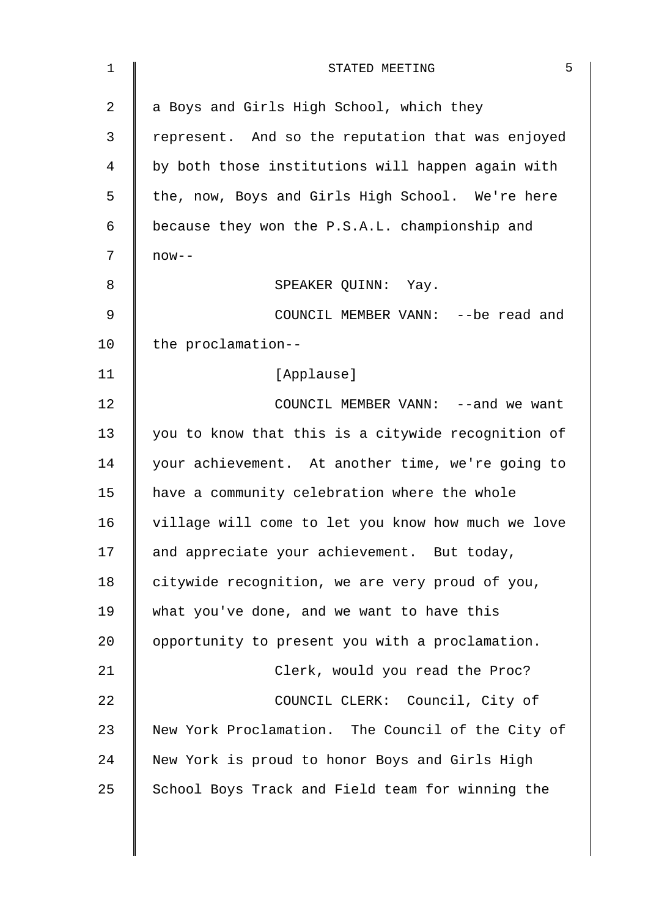| $\mathbf 1$ | 5<br>STATED MEETING                                |
|-------------|----------------------------------------------------|
| 2           | a Boys and Girls High School, which they           |
| 3           | represent. And so the reputation that was enjoyed  |
| 4           | by both those institutions will happen again with  |
| 5           | the, now, Boys and Girls High School. We're here   |
| 6           | because they won the P.S.A.L. championship and     |
| 7           | $now--$                                            |
| 8           | SPEAKER QUINN: Yay.                                |
| $\mathsf 9$ | COUNCIL MEMBER VANN: --be read and                 |
| 10          | the proclamation--                                 |
| 11          | [Applause]                                         |
| 12          | COUNCIL MEMBER VANN: --and we want                 |
| 13          | you to know that this is a citywide recognition of |
| 14          | your achievement. At another time, we're going to  |
| 15          | have a community celebration where the whole       |
| 16          | village will come to let you know how much we love |
| 17          | and appreciate your achievement. But today,        |
| 18          | citywide recognition, we are very proud of you,    |
| 19          | what you've done, and we want to have this         |
| 20          | opportunity to present you with a proclamation.    |
| 21          | Clerk, would you read the Proc?                    |
| 22          | COUNCIL CLERK: Council, City of                    |
| 23          | New York Proclamation. The Council of the City of  |
| 24          | New York is proud to honor Boys and Girls High     |
| 25          | School Boys Track and Field team for winning the   |
|             |                                                    |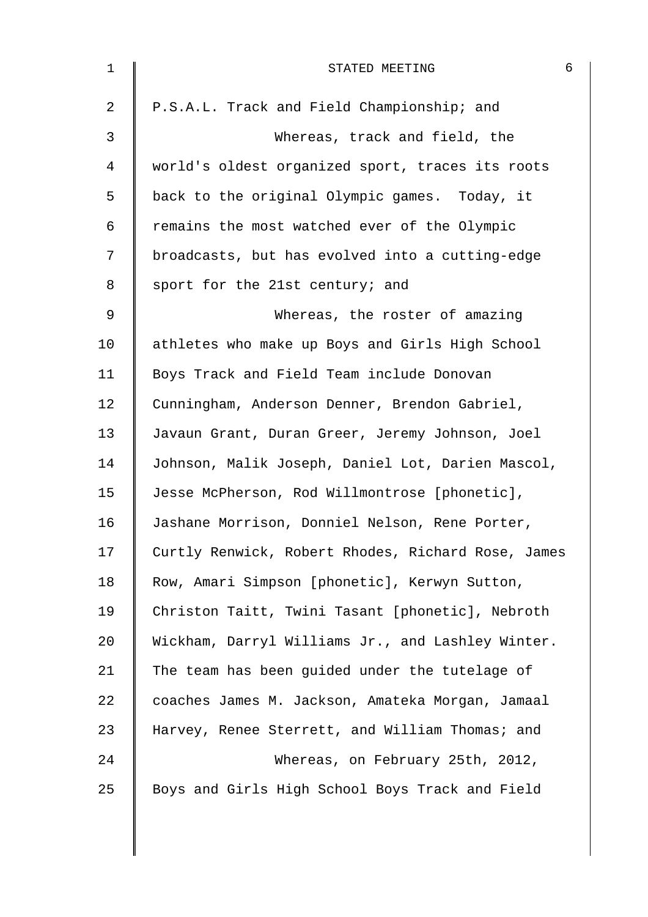| $\mathbf{1}$    | STATED MEETING                                     | 6 |
|-----------------|----------------------------------------------------|---|
| 2               | P.S.A.L. Track and Field Championship; and         |   |
| 3               | Whereas, track and field, the                      |   |
| 4               | world's oldest organized sport, traces its roots   |   |
| 5               | back to the original Olympic games. Today, it      |   |
| 6               | remains the most watched ever of the Olympic       |   |
| 7               | broadcasts, but has evolved into a cutting-edge    |   |
| 8               | sport for the 21st century; and                    |   |
| 9               | Whereas, the roster of amazing                     |   |
| 10 <sub>1</sub> | athletes who make up Boys and Girls High School    |   |
| 11              | Boys Track and Field Team include Donovan          |   |
| 12              | Cunningham, Anderson Denner, Brendon Gabriel,      |   |
| 13              | Javaun Grant, Duran Greer, Jeremy Johnson, Joel    |   |
| 14              | Johnson, Malik Joseph, Daniel Lot, Darien Mascol,  |   |
| 15              | Jesse McPherson, Rod Willmontrose [phonetic],      |   |
| 16              | Jashane Morrison, Donniel Nelson, Rene Porter,     |   |
| 17              | Curtly Renwick, Robert Rhodes, Richard Rose, James |   |
| 18              | Row, Amari Simpson [phonetic], Kerwyn Sutton,      |   |
| 19              | Christon Taitt, Twini Tasant [phonetic], Nebroth   |   |
| 20              | Wickham, Darryl Williams Jr., and Lashley Winter.  |   |
| 21              | The team has been guided under the tutelage of     |   |
| 22              | coaches James M. Jackson, Amateka Morgan, Jamaal   |   |
| 23              | Harvey, Renee Sterrett, and William Thomas; and    |   |
| 24              | Whereas, on February 25th, 2012,                   |   |
| 25              | Boys and Girls High School Boys Track and Field    |   |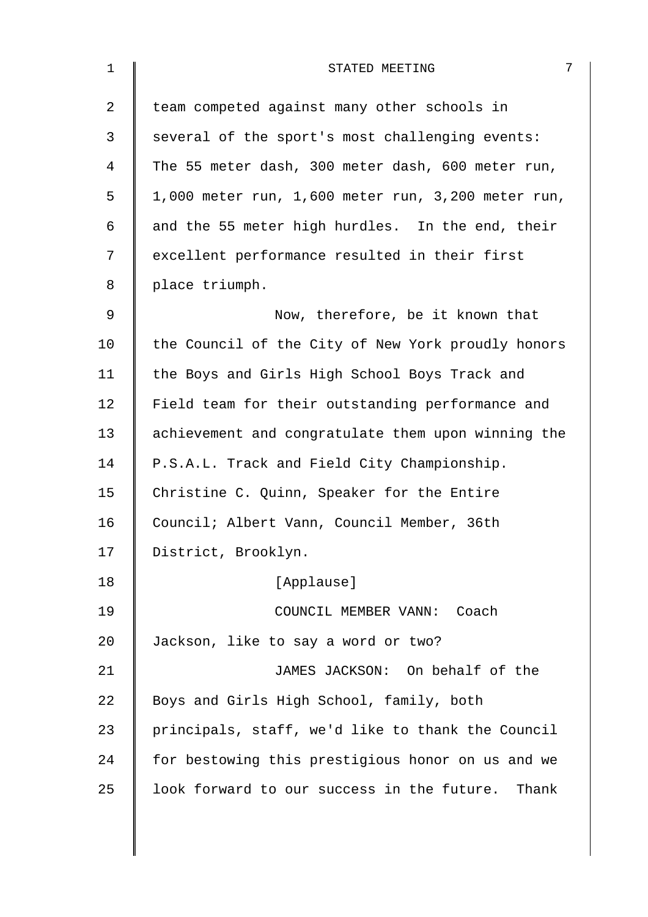| $\mathbf 1$ | 7<br>STATED MEETING                                |
|-------------|----------------------------------------------------|
| 2           | team competed against many other schools in        |
| 3           | several of the sport's most challenging events:    |
| 4           | The 55 meter dash, 300 meter dash, 600 meter run,  |
| 5           | 1,000 meter run, 1,600 meter run, 3,200 meter run, |
| 6           | and the 55 meter high hurdles. In the end, their   |
| 7           | excellent performance resulted in their first      |
| 8           | place triumph.                                     |
| 9           | Now, therefore, be it known that                   |
| 10          | the Council of the City of New York proudly honors |
| 11          | the Boys and Girls High School Boys Track and      |
| 12          | Field team for their outstanding performance and   |
| 13          | achievement and congratulate them upon winning the |
| 14          | P.S.A.L. Track and Field City Championship.        |
| 15          | Christine C. Quinn, Speaker for the Entire         |
| 16          | Council; Albert Vann, Council Member, 36th         |
| 17          | District, Brooklyn.                                |
| 18          | [Applause]                                         |
| 19          | COUNCIL MEMBER VANN: Coach                         |
| 20          | Jackson, like to say a word or two?                |
| 21          | JAMES JACKSON: On behalf of the                    |
| 22          | Boys and Girls High School, family, both           |
| 23          | principals, staff, we'd like to thank the Council  |
| 24          | for bestowing this prestigious honor on us and we  |
| 25          | look forward to our success in the future. Thank   |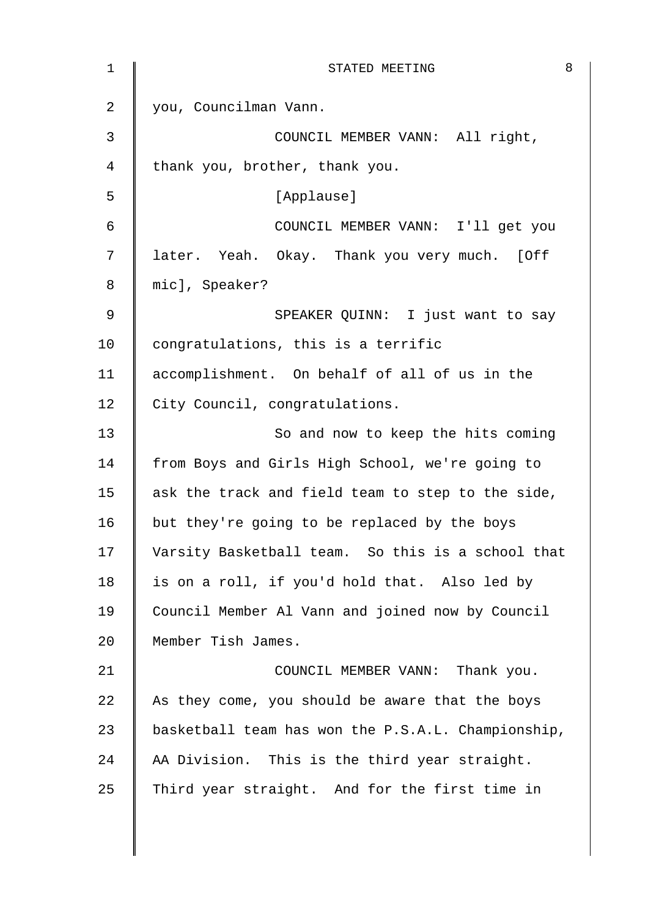| 1              | 8<br>STATED MEETING                                |
|----------------|----------------------------------------------------|
| $\overline{2}$ | you, Councilman Vann.                              |
| $\mathbf{3}$   | COUNCIL MEMBER VANN: All right,                    |
| 4              | thank you, brother, thank you.                     |
| 5              | [Applause]                                         |
| 6              | COUNCIL MEMBER VANN: I'll get you                  |
| 7              | later. Yeah. Okay. Thank you very much. [Off       |
| 8              | mic], Speaker?                                     |
| 9              | SPEAKER QUINN: I just want to say                  |
| 10             | congratulations, this is a terrific                |
| 11             | accomplishment. On behalf of all of us in the      |
| 12             | City Council, congratulations.                     |
| 13             | So and now to keep the hits coming                 |
| 14             | from Boys and Girls High School, we're going to    |
| 15             | ask the track and field team to step to the side,  |
| 16             | but they're going to be replaced by the boys       |
| 17             | Varsity Basketball team. So this is a school that  |
| 18             | is on a roll, if you'd hold that. Also led by      |
| 19             | Council Member Al Vann and joined now by Council   |
| 20             | Member Tish James.                                 |
| 21             | COUNCIL MEMBER VANN: Thank you.                    |
| 22             | As they come, you should be aware that the boys    |
| 23             | basketball team has won the P.S.A.L. Championship, |
| 24             | AA Division. This is the third year straight.      |
| 25             | Third year straight. And for the first time in     |
|                |                                                    |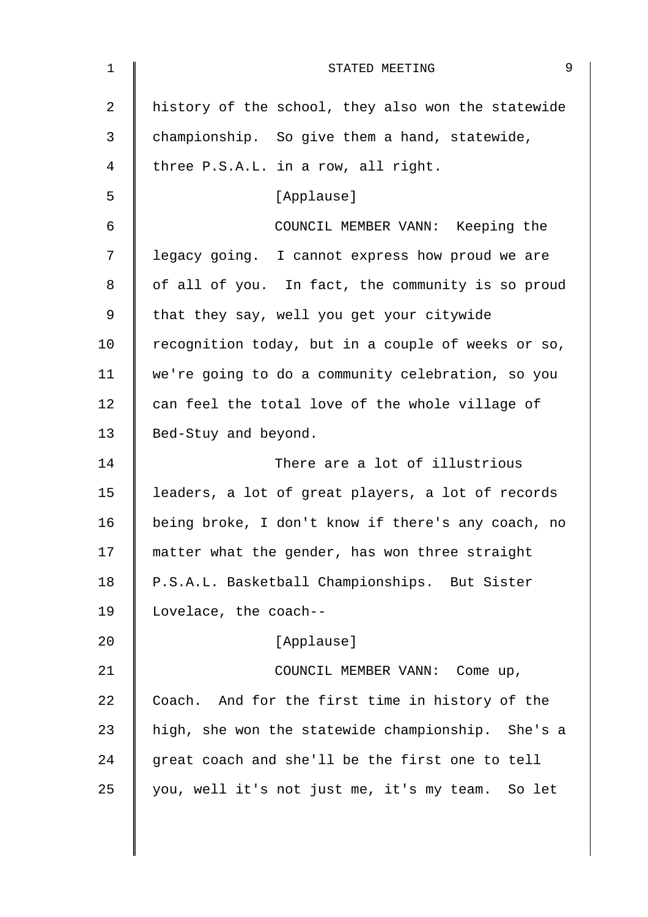| 1  | 9<br>STATED MEETING                                |
|----|----------------------------------------------------|
| 2  | history of the school, they also won the statewide |
| 3  | championship. So give them a hand, statewide,      |
| 4  | three P.S.A.L. in a row, all right.                |
| 5  | [Applause]                                         |
| 6  | COUNCIL MEMBER VANN: Keeping the                   |
| 7  | legacy going. I cannot express how proud we are    |
| 8  | of all of you. In fact, the community is so proud  |
| 9  | that they say, well you get your citywide          |
| 10 | recognition today, but in a couple of weeks or so, |
| 11 | we're going to do a community celebration, so you  |
| 12 | can feel the total love of the whole village of    |
| 13 | Bed-Stuy and beyond.                               |
| 14 | There are a lot of illustrious                     |
| 15 | leaders, a lot of great players, a lot of records  |
| 16 | being broke, I don't know if there's any coach, no |
| 17 | matter what the gender, has won three straight     |
| 18 | P.S.A.L. Basketball Championships. But Sister      |
| 19 | Lovelace, the coach--                              |
| 20 | [Applause]                                         |
| 21 | COUNCIL MEMBER VANN: Come up,                      |
| 22 | Coach. And for the first time in history of the    |
| 23 | high, she won the statewide championship. She's a  |
| 24 | great coach and she'll be the first one to tell    |
| 25 | you, well it's not just me, it's my team. So let   |
|    |                                                    |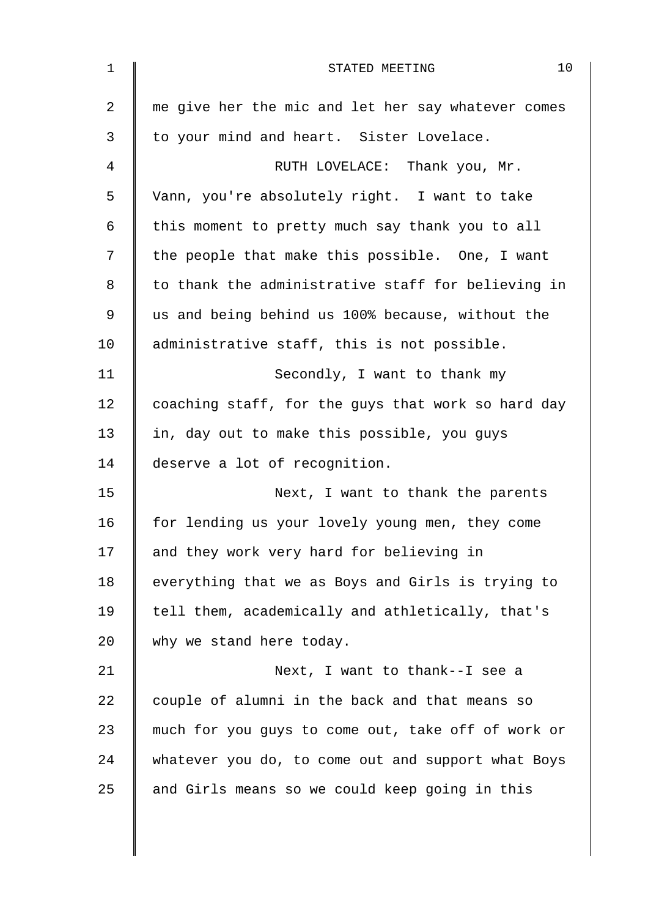| $\mathbf 1$ | 10<br>STATED MEETING                               |
|-------------|----------------------------------------------------|
| 2           | me give her the mic and let her say whatever comes |
| 3           | to your mind and heart. Sister Lovelace.           |
| 4           | RUTH LOVELACE: Thank you, Mr.                      |
| 5           | Vann, you're absolutely right. I want to take      |
| 6           | this moment to pretty much say thank you to all    |
| 7           | the people that make this possible. One, I want    |
| 8           | to thank the administrative staff for believing in |
| 9           | us and being behind us 100% because, without the   |
| 10          | administrative staff, this is not possible.        |
| 11          | Secondly, I want to thank my                       |
| 12          | coaching staff, for the guys that work so hard day |
| 13          | in, day out to make this possible, you guys        |
| 14          | deserve a lot of recognition.                      |
| 15          | Next, I want to thank the parents                  |
| 16          | for lending us your lovely young men, they come    |
| 17          | and they work very hard for believing in           |
| 18          | everything that we as Boys and Girls is trying to  |
| 19          | tell them, academically and athletically, that's   |
| 20          | why we stand here today.                           |
| 21          | Next, I want to thank--I see a                     |
| 22          | couple of alumni in the back and that means so     |
| 23          | much for you guys to come out, take off of work or |
| 24          | whatever you do, to come out and support what Boys |
| 25          | and Girls means so we could keep going in this     |
|             |                                                    |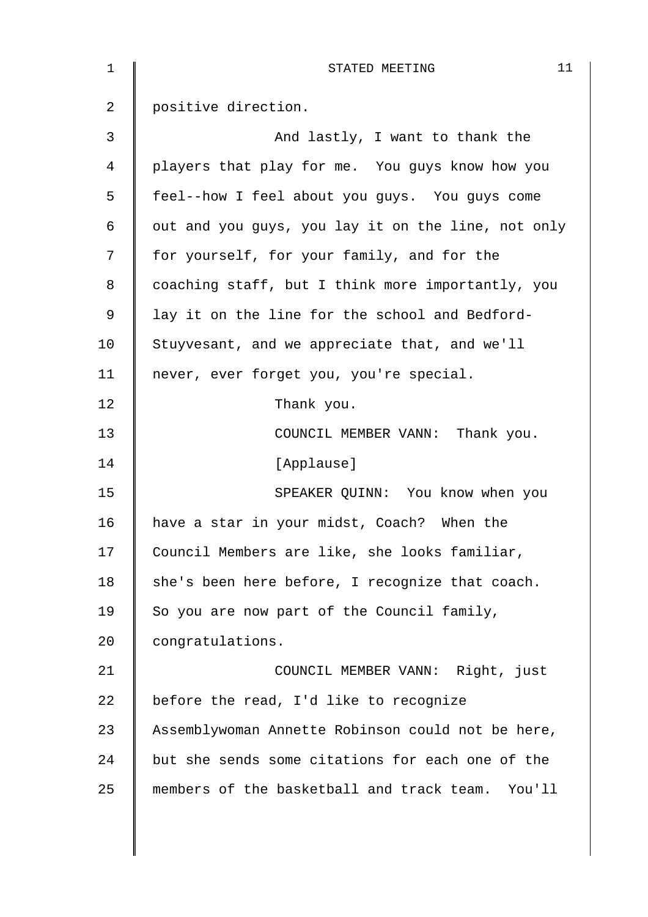| $\mathbf{1}$ | 11<br>STATED MEETING                               |
|--------------|----------------------------------------------------|
| 2            | positive direction.                                |
| 3            | And lastly, I want to thank the                    |
| 4            | players that play for me. You guys know how you    |
| 5            | feel--how I feel about you guys. You guys come     |
| 6            | out and you guys, you lay it on the line, not only |
| 7            | for yourself, for your family, and for the         |
| 8            | coaching staff, but I think more importantly, you  |
| 9            | lay it on the line for the school and Bedford-     |
| 10           | Stuyvesant, and we appreciate that, and we'll      |
| 11           | never, ever forget you, you're special.            |
| 12           | Thank you.                                         |
| 13           | COUNCIL MEMBER VANN: Thank you.                    |
| 14           | [Applause]                                         |
| 15           | SPEAKER QUINN: You know when you                   |
| 16           | have a star in your midst, Coach? When the         |
| 17           | Council Members are like, she looks familiar,      |
| 18           | she's been here before, I recognize that coach.    |
| 19           | So you are now part of the Council family,         |
| 20           | congratulations.                                   |
| 21           | COUNCIL MEMBER VANN: Right, just                   |
| 22           | before the read, I'd like to recognize             |
| 23           | Assemblywoman Annette Robinson could not be here,  |
| 24           | but she sends some citations for each one of the   |
| 25           | members of the basketball and track team. You'll   |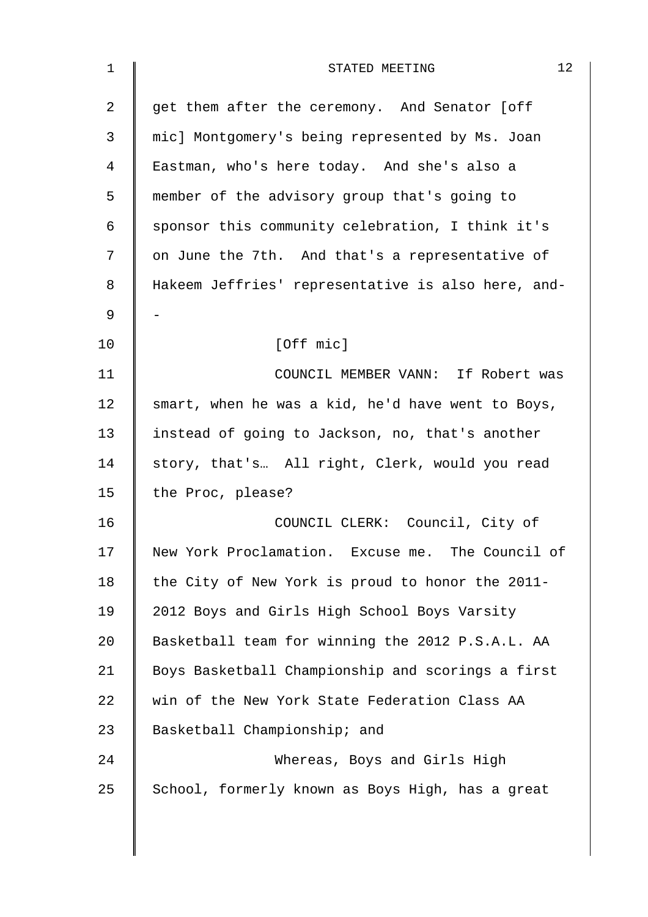| 1          | 12<br>STATED MEETING                               |
|------------|----------------------------------------------------|
| 2          | get them after the ceremony. And Senator [off      |
| 3          | mic] Montgomery's being represented by Ms. Joan    |
| 4          | Eastman, who's here today. And she's also a        |
| 5          | member of the advisory group that's going to       |
| $\epsilon$ | sponsor this community celebration, I think it's   |
| 7          | on June the 7th. And that's a representative of    |
| 8          | Hakeem Jeffries' representative is also here, and- |
| 9          |                                                    |
| 10         | [Off mic]                                          |
| 11         | COUNCIL MEMBER VANN: If Robert was                 |
| 12         | smart, when he was a kid, he'd have went to Boys,  |
| 13         | instead of going to Jackson, no, that's another    |
| 14         | story, that's All right, Clerk, would you read     |
| 15         | the Proc, please?                                  |
| 16         | COUNCIL CLERK: Council, City of                    |
| 17         | New York Proclamation. Excuse me. The Council of   |
| 18         | the City of New York is proud to honor the 2011-   |
| 19         | 2012 Boys and Girls High School Boys Varsity       |
| 20         | Basketball team for winning the 2012 P.S.A.L. AA   |
| 21         | Boys Basketball Championship and scorings a first  |
| 22         | win of the New York State Federation Class AA      |
| 23         | Basketball Championship; and                       |
| 24         | Whereas, Boys and Girls High                       |
| 25         | School, formerly known as Boys High, has a great   |
|            |                                                    |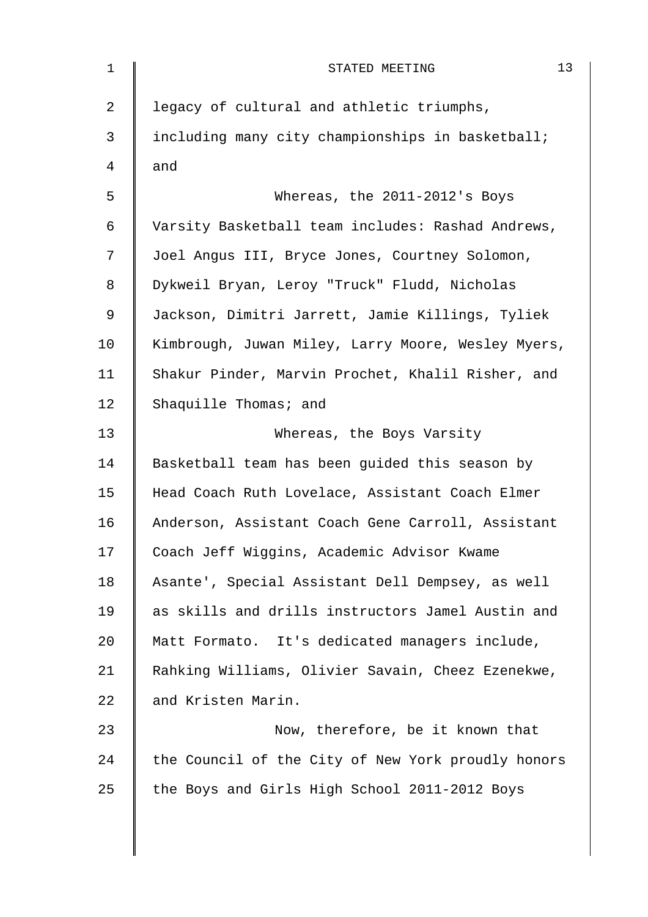| 1              | 13<br>STATED MEETING                               |
|----------------|----------------------------------------------------|
| $\overline{2}$ | legacy of cultural and athletic triumphs,          |
| 3              | including many city championships in basketball;   |
| 4              | and                                                |
| 5              | Whereas, the 2011-2012's Boys                      |
| 6              | Varsity Basketball team includes: Rashad Andrews,  |
| 7              | Joel Angus III, Bryce Jones, Courtney Solomon,     |
| 8              | Dykweil Bryan, Leroy "Truck" Fludd, Nicholas       |
| 9              | Jackson, Dimitri Jarrett, Jamie Killings, Tyliek   |
| 10             | Kimbrough, Juwan Miley, Larry Moore, Wesley Myers, |
| 11             | Shakur Pinder, Marvin Prochet, Khalil Risher, and  |
| 12             | Shaquille Thomas; and                              |
| 13             | Whereas, the Boys Varsity                          |
| 14             | Basketball team has been guided this season by     |
| 15             | Head Coach Ruth Lovelace, Assistant Coach Elmer    |
| 16             | Anderson, Assistant Coach Gene Carroll, Assistant  |
| 17             | Coach Jeff Wiggins, Academic Advisor Kwame         |
| 18             | Asante', Special Assistant Dell Dempsey, as well   |
| 19             | as skills and drills instructors Jamel Austin and  |
| 20             | Matt Formato. It's dedicated managers include,     |
| 21             | Rahking Williams, Olivier Savain, Cheez Ezenekwe,  |
| 22             | and Kristen Marin.                                 |
| 23             | Now, therefore, be it known that                   |
| 24             | the Council of the City of New York proudly honors |
| 25             | the Boys and Girls High School 2011-2012 Boys      |
|                |                                                    |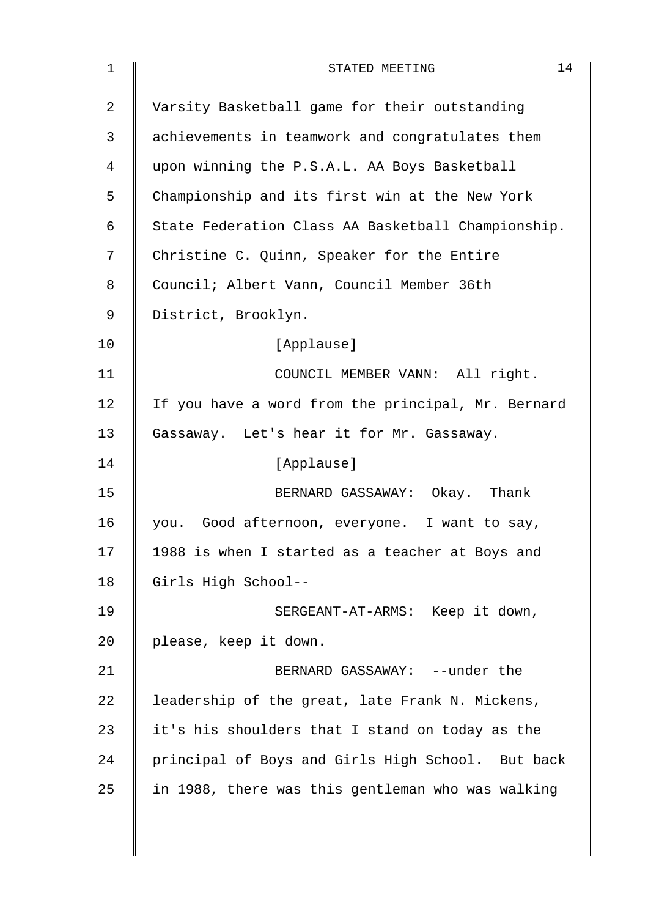| $\mathbf 1$    | 14<br>STATED MEETING                               |
|----------------|----------------------------------------------------|
| $\overline{2}$ | Varsity Basketball game for their outstanding      |
| 3              | achievements in teamwork and congratulates them    |
| $\overline{4}$ | upon winning the P.S.A.L. AA Boys Basketball       |
| 5              | Championship and its first win at the New York     |
| 6              | State Federation Class AA Basketball Championship. |
| 7              | Christine C. Quinn, Speaker for the Entire         |
| 8              | Council; Albert Vann, Council Member 36th          |
| 9              | District, Brooklyn.                                |
| 10             | [Applause]                                         |
| 11             | COUNCIL MEMBER VANN: All right.                    |
| 12             | If you have a word from the principal, Mr. Bernard |
| 13             | Gassaway. Let's hear it for Mr. Gassaway.          |
| 14             | [Applause]                                         |
| 15             | BERNARD GASSAWAY: Okay. Thank                      |
| 16             | you. Good afternoon, everyone. I want to say,      |
| 17             | 1988 is when I started as a teacher at Boys and    |
| 18             | Girls High School--                                |
| 19             | SERGEANT-AT-ARMS: Keep it down,                    |
| 20             | please, keep it down.                              |
| 21             | BERNARD GASSAWAY: --under the                      |
| 22             | leadership of the great, late Frank N. Mickens,    |
| 23             | it's his shoulders that I stand on today as the    |
| 24             | principal of Boys and Girls High School. But back  |
| 25             | in 1988, there was this gentleman who was walking  |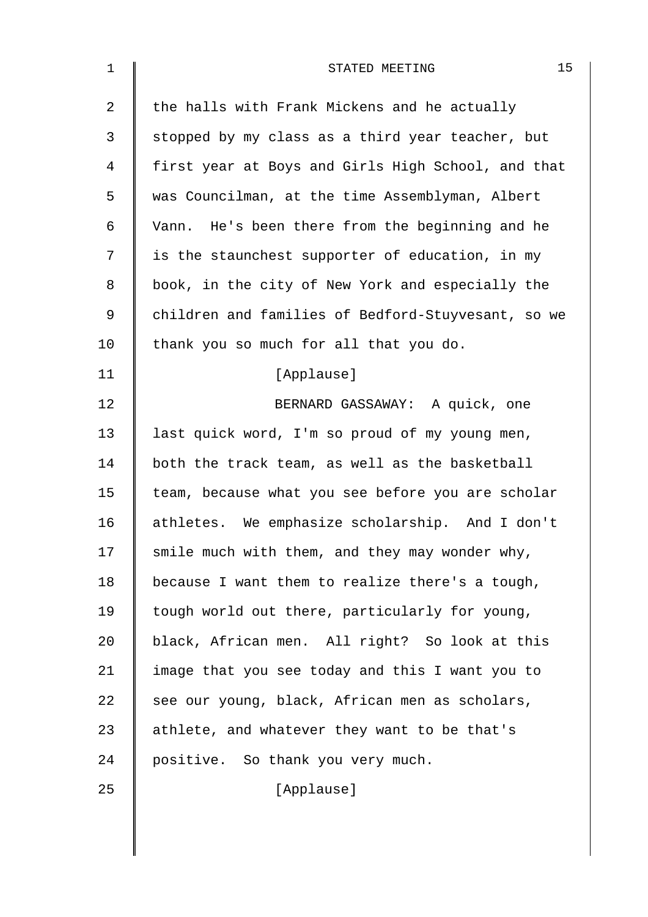| $\mathbf 1$    | 15<br>STATED MEETING                               |
|----------------|----------------------------------------------------|
| $\overline{2}$ | the halls with Frank Mickens and he actually       |
| 3              | stopped by my class as a third year teacher, but   |
| 4              | first year at Boys and Girls High School, and that |
| 5              | was Councilman, at the time Assemblyman, Albert    |
| 6              | Vann. He's been there from the beginning and he    |
| 7              | is the staunchest supporter of education, in my    |
| 8              | book, in the city of New York and especially the   |
| 9              | children and families of Bedford-Stuyvesant, so we |
| 10             | thank you so much for all that you do.             |
| 11             | [Applause]                                         |
| 12             | BERNARD GASSAWAY: A quick, one                     |
| 13             | last quick word, I'm so proud of my young men,     |
| 14             | both the track team, as well as the basketball     |
| 15             | team, because what you see before you are scholar  |
| 16             | athletes. We emphasize scholarship. And I don't    |
| 17             | smile much with them, and they may wonder why,     |
| 18             | because I want them to realize there's a tough,    |
| 19             | tough world out there, particularly for young,     |
| 20             | black, African men. All right? So look at this     |
| 21             | image that you see today and this I want you to    |
| 22             | see our young, black, African men as scholars,     |
| 23             | athlete, and whatever they want to be that's       |
| 24             | positive. So thank you very much.                  |
| 25             | [Applause]                                         |
|                |                                                    |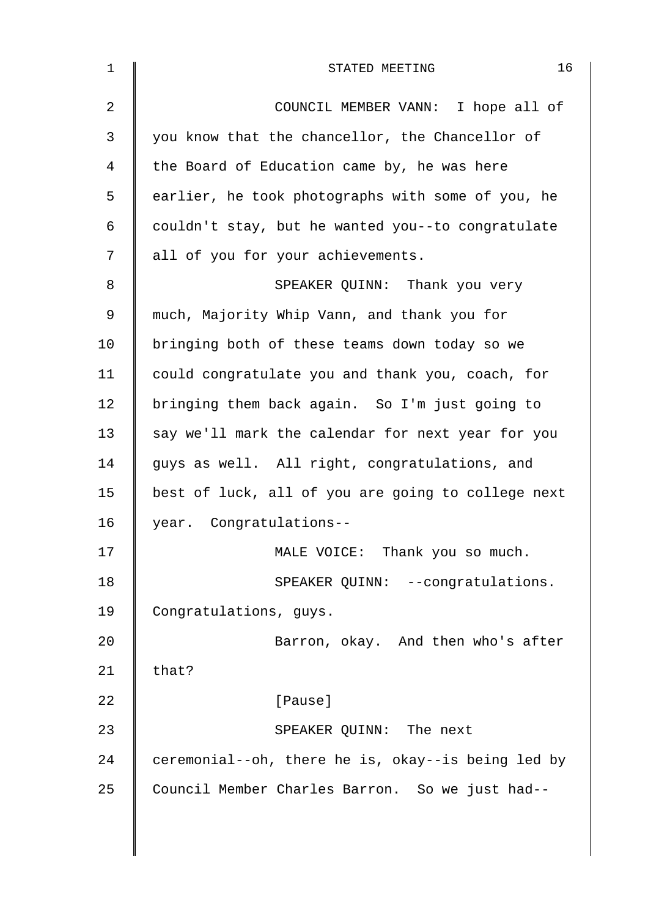| 1              | 16<br>STATED MEETING                               |
|----------------|----------------------------------------------------|
| $\overline{2}$ | COUNCIL MEMBER VANN: I hope all of                 |
| 3              | you know that the chancellor, the Chancellor of    |
| 4              | the Board of Education came by, he was here        |
| 5              | earlier, he took photographs with some of you, he  |
| 6              | couldn't stay, but he wanted you--to congratulate  |
| 7              | all of you for your achievements.                  |
| 8              | SPEAKER QUINN: Thank you very                      |
| 9              | much, Majority Whip Vann, and thank you for        |
| 10             | bringing both of these teams down today so we      |
| 11             | could congratulate you and thank you, coach, for   |
| 12             | bringing them back again. So I'm just going to     |
| 13             | say we'll mark the calendar for next year for you  |
| 14             | guys as well. All right, congratulations, and      |
| 15             | best of luck, all of you are going to college next |
| 16             | year. Congratulations--                            |
| 17             | MALE VOICE: Thank you so much.                     |
| 18             | SPEAKER QUINN: --congratulations.                  |
| 19             | Congratulations, guys.                             |
| 20             | Barron, okay. And then who's after                 |
| 21             | that?                                              |
| 22             | [Pause]                                            |
| 23             | SPEAKER QUINN: The next                            |
| 24             | ceremonial--oh, there he is, okay--is being led by |
| 25             | Council Member Charles Barron. So we just had--    |
|                |                                                    |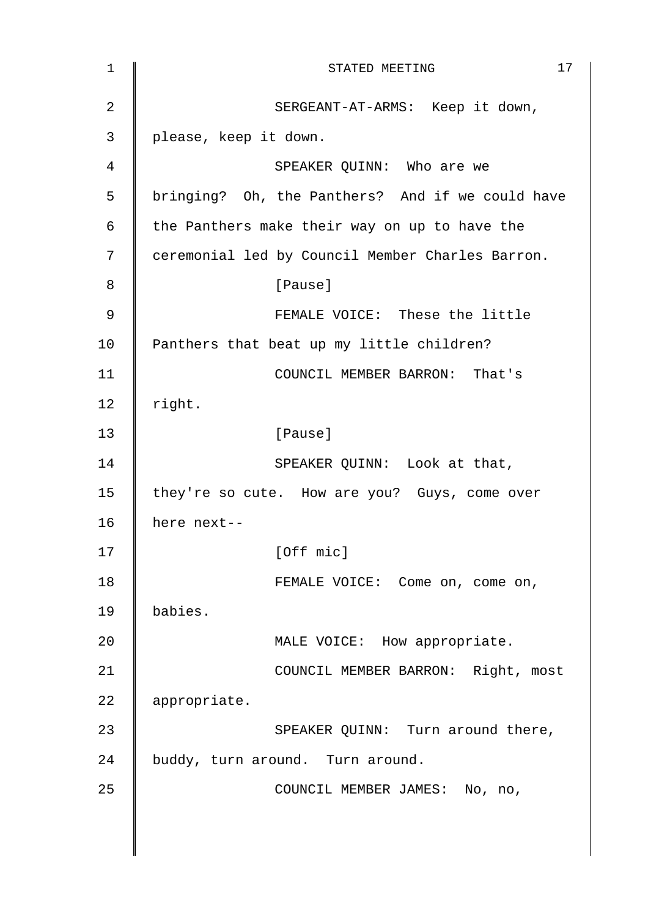| 1              | 17<br>STATED MEETING                             |
|----------------|--------------------------------------------------|
| $\overline{2}$ | SERGEANT-AT-ARMS: Keep it down,                  |
| 3              | please, keep it down.                            |
| 4              | SPEAKER QUINN: Who are we                        |
| 5              | bringing? Oh, the Panthers? And if we could have |
| 6              | the Panthers make their way on up to have the    |
| 7              | ceremonial led by Council Member Charles Barron. |
| 8              | [Pause]                                          |
| 9              | FEMALE VOICE: These the little                   |
| 10             | Panthers that beat up my little children?        |
| 11             | COUNCIL MEMBER BARRON: That's                    |
| 12             | right.                                           |
| 13             | [Pause]                                          |
| 14             | SPEAKER QUINN: Look at that,                     |
| 15             | they're so cute. How are you? Guys, come over    |
| 16             | here next--                                      |
| 17             | [Off mic]                                        |
| 18             | FEMALE VOICE: Come on, come on,                  |
| 19             | babies.                                          |
| 20             | MALE VOICE: How appropriate.                     |
| 21             | COUNCIL MEMBER BARRON: Right, most               |
| 22             | appropriate.                                     |
| 23             | SPEAKER QUINN: Turn around there,                |
| 24             | buddy, turn around. Turn around.                 |
| 25             | COUNCIL MEMBER JAMES: No, no,                    |
|                |                                                  |
|                |                                                  |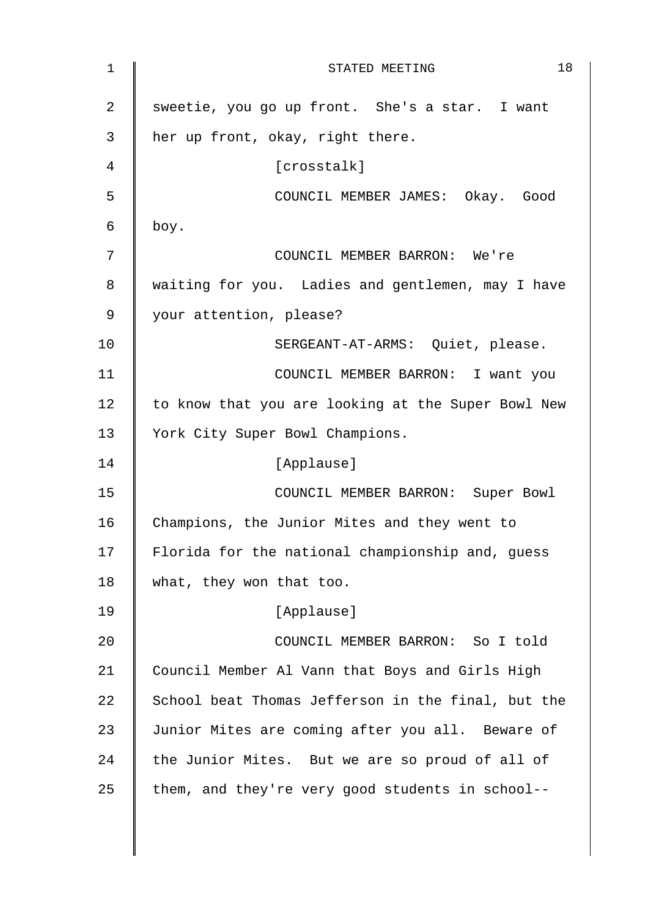| 1  | 18<br>STATED MEETING                               |
|----|----------------------------------------------------|
| 2  | sweetie, you go up front. She's a star. I want     |
| 3  | her up front, okay, right there.                   |
| 4  | [crosstalk]                                        |
| 5  | COUNCIL MEMBER JAMES: Okay. Good                   |
| 6  | boy.                                               |
| 7  | COUNCIL MEMBER BARRON: We're                       |
| 8  | waiting for you. Ladies and gentlemen, may I have  |
| 9  | your attention, please?                            |
| 10 | SERGEANT-AT-ARMS: Quiet, please.                   |
| 11 | COUNCIL MEMBER BARRON: I want you                  |
| 12 | to know that you are looking at the Super Bowl New |
| 13 | York City Super Bowl Champions.                    |
| 14 | [Applause]                                         |
| 15 | COUNCIL MEMBER BARRON: Super Bowl                  |
| 16 | Champions, the Junior Mites and they went to       |
| 17 | Florida for the national championship and, guess   |
| 18 | what, they won that too.                           |
| 19 | [Applause]                                         |
| 20 | COUNCIL MEMBER BARRON: So I told                   |
| 21 | Council Member Al Vann that Boys and Girls High    |
| 22 | School beat Thomas Jefferson in the final, but the |
| 23 | Junior Mites are coming after you all. Beware of   |
| 24 | the Junior Mites. But we are so proud of all of    |
| 25 | them, and they're very good students in school--   |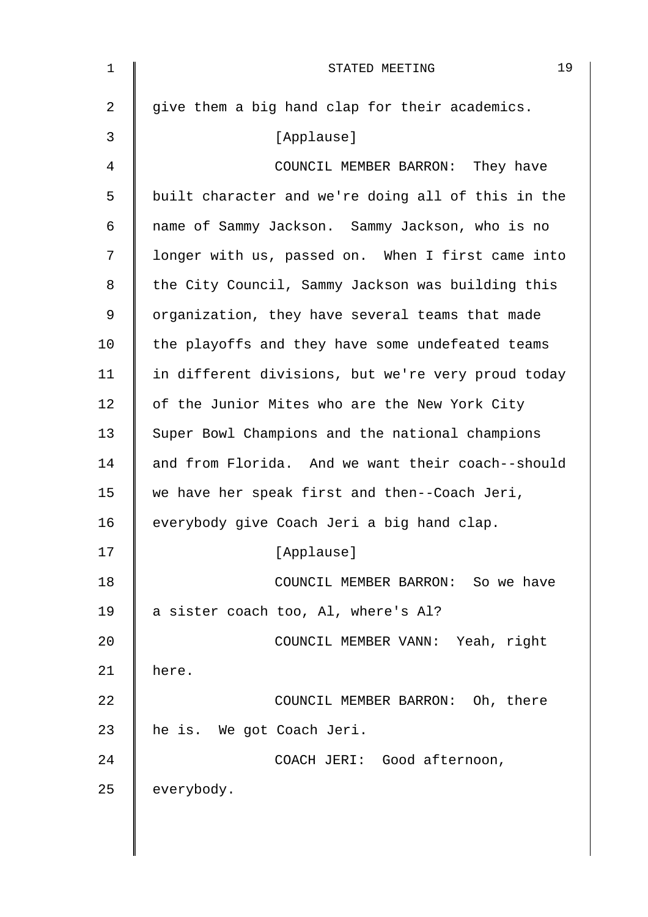| $\mathbf 1$    | 19<br>STATED MEETING                               |
|----------------|----------------------------------------------------|
| $\overline{a}$ | give them a big hand clap for their academics.     |
| 3              | [Applause]                                         |
| 4              | COUNCIL MEMBER BARRON: They have                   |
| 5              | built character and we're doing all of this in the |
| 6              | name of Sammy Jackson. Sammy Jackson, who is no    |
| 7              | longer with us, passed on. When I first came into  |
| 8              | the City Council, Sammy Jackson was building this  |
| 9              | organization, they have several teams that made    |
| 10             | the playoffs and they have some undefeated teams   |
| 11             | in different divisions, but we're very proud today |
| 12             | of the Junior Mites who are the New York City      |
| 13             | Super Bowl Champions and the national champions    |
| 14             | and from Florida. And we want their coach--should  |
| 15             | we have her speak first and then--Coach Jeri,      |
| 16             | everybody give Coach Jeri a big hand clap.         |
| 17             | [Applause]                                         |
| 18             | COUNCIL MEMBER BARRON: So we have                  |
| 19             | a sister coach too, Al, where's Al?                |
| 20             | COUNCIL MEMBER VANN: Yeah, right                   |
| 21             | here.                                              |
| 22             | COUNCIL MEMBER BARRON: Oh, there                   |
| 23             | he is. We got Coach Jeri.                          |
| 24             | COACH JERI: Good afternoon,                        |
| 25             | everybody.                                         |
|                |                                                    |
|                |                                                    |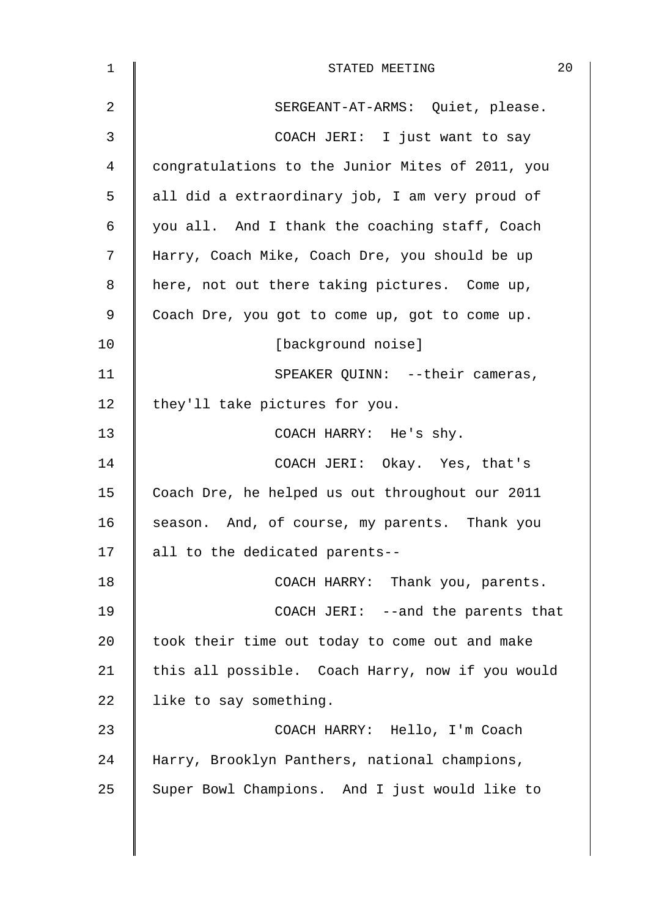| 1  | 20<br>STATED MEETING                             |
|----|--------------------------------------------------|
| 2  | SERGEANT-AT-ARMS: Quiet, please.                 |
| 3  | COACH JERI: I just want to say                   |
| 4  | congratulations to the Junior Mites of 2011, you |
| 5  | all did a extraordinary job, I am very proud of  |
| 6  | you all. And I thank the coaching staff, Coach   |
| 7  | Harry, Coach Mike, Coach Dre, you should be up   |
| 8  | here, not out there taking pictures. Come up,    |
| 9  | Coach Dre, you got to come up, got to come up.   |
| 10 | [background noise]                               |
| 11 | SPEAKER QUINN: --their cameras,                  |
| 12 | they'll take pictures for you.                   |
| 13 | COACH HARRY: He's shy.                           |
| 14 | COACH JERI: Okay. Yes, that's                    |
| 15 | Coach Dre, he helped us out throughout our 2011  |
| 16 | season. And, of course, my parents. Thank you    |
| 17 | all to the dedicated parents--                   |
| 18 | COACH HARRY: Thank you, parents.                 |
| 19 | COACH JERI: --and the parents that               |
| 20 | took their time out today to come out and make   |
| 21 | this all possible. Coach Harry, now if you would |
| 22 | like to say something.                           |
| 23 | COACH HARRY: Hello, I'm Coach                    |
| 24 | Harry, Brooklyn Panthers, national champions,    |
| 25 | Super Bowl Champions. And I just would like to   |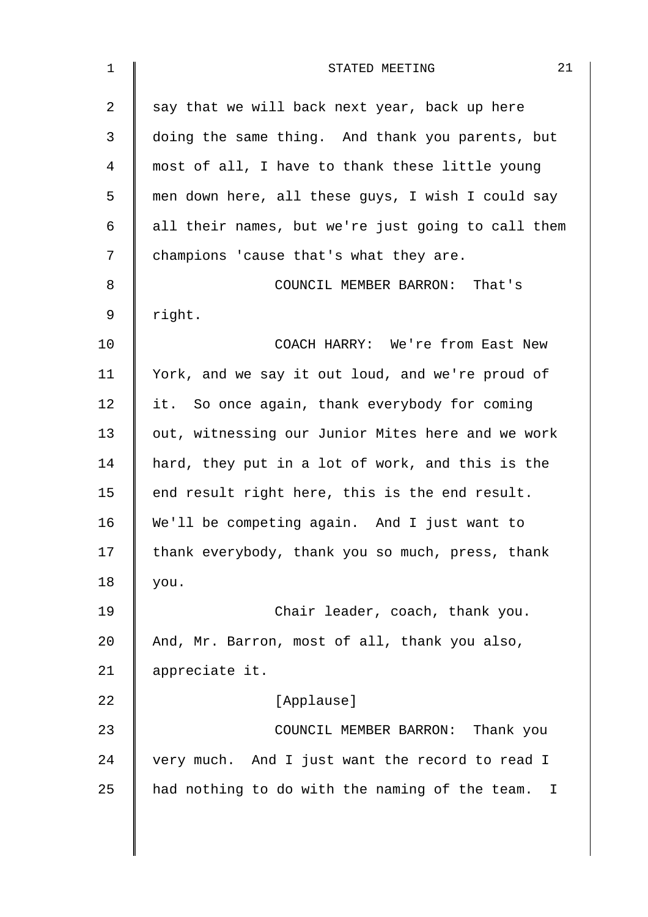| $\mathbf 1$    | 21<br>STATED MEETING                                 |
|----------------|------------------------------------------------------|
| $\overline{2}$ | say that we will back next year, back up here        |
| 3              | doing the same thing. And thank you parents, but     |
| $\overline{4}$ | most of all, I have to thank these little young      |
| 5              | men down here, all these guys, I wish I could say    |
| 6              | all their names, but we're just going to call them   |
| 7              | champions 'cause that's what they are.               |
| 8              | COUNCIL MEMBER BARRON: That's                        |
| 9              | right.                                               |
| 10             | COACH HARRY: We're from East New                     |
| 11             | York, and we say it out loud, and we're proud of     |
| 12             | it. So once again, thank everybody for coming        |
| 13             | out, witnessing our Junior Mites here and we work    |
| 14             | hard, they put in a lot of work, and this is the     |
| 15             | end result right here, this is the end result.       |
| 16             | We'll be competing again. And I just want to         |
| 17             | thank everybody, thank you so much, press, thank     |
| 18             | you.                                                 |
| 19             | Chair leader, coach, thank you.                      |
| 20             | And, Mr. Barron, most of all, thank you also,        |
| 21             | appreciate it.                                       |
| 22             | [Applause]                                           |
| 23             | COUNCIL MEMBER BARRON: Thank you                     |
| 24             | very much. And I just want the record to read I      |
| 25             | had nothing to do with the naming of the team.<br>I. |
|                |                                                      |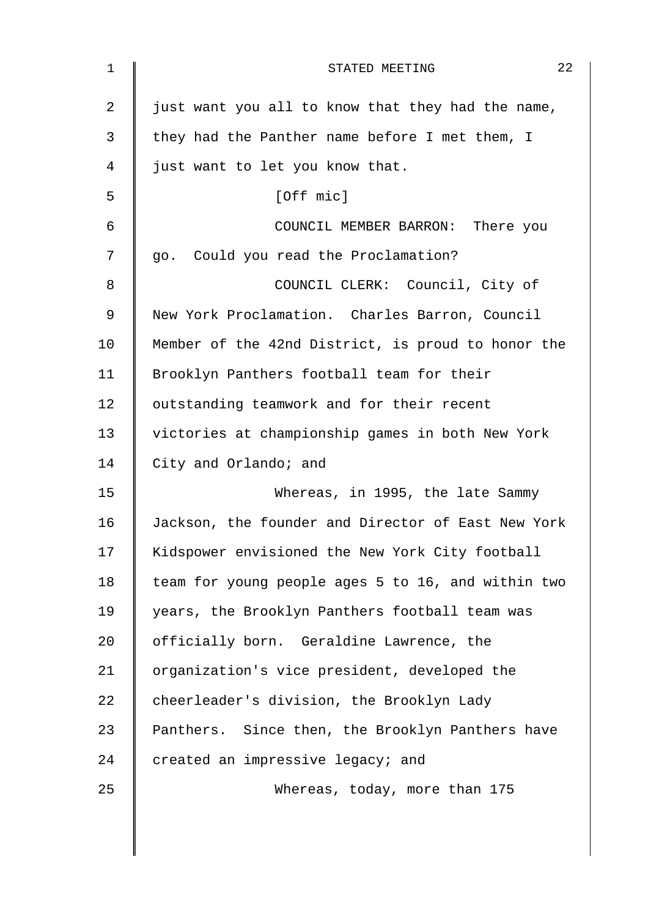| $\mathbf 1$ | 22<br>STATED MEETING                               |
|-------------|----------------------------------------------------|
| 2           | just want you all to know that they had the name,  |
| 3           | they had the Panther name before I met them, I     |
| 4           | just want to let you know that.                    |
| 5           | [Off mic]                                          |
| 6           | COUNCIL MEMBER BARRON: There you                   |
| 7           | go. Could you read the Proclamation?               |
| 8           | COUNCIL CLERK: Council, City of                    |
| 9           | New York Proclamation. Charles Barron, Council     |
| 10          | Member of the 42nd District, is proud to honor the |
| 11          | Brooklyn Panthers football team for their          |
| 12          | outstanding teamwork and for their recent          |
| 13          | victories at championship games in both New York   |
| 14          | City and Orlando; and                              |
| 15          | Whereas, in 1995, the late Sammy                   |
| 16          | Jackson, the founder and Director of East New York |
| 17          | Kidspower envisioned the New York City football    |
| 18          | team for young people ages 5 to 16, and within two |
| 19          | years, the Brooklyn Panthers football team was     |
| 20          | officially born. Geraldine Lawrence, the           |
| 21          | organization's vice president, developed the       |
| 22          | cheerleader's division, the Brooklyn Lady          |
| 23          | Panthers. Since then, the Brooklyn Panthers have   |
| 24          | created an impressive legacy; and                  |
| 25          | Whereas, today, more than 175                      |
|             |                                                    |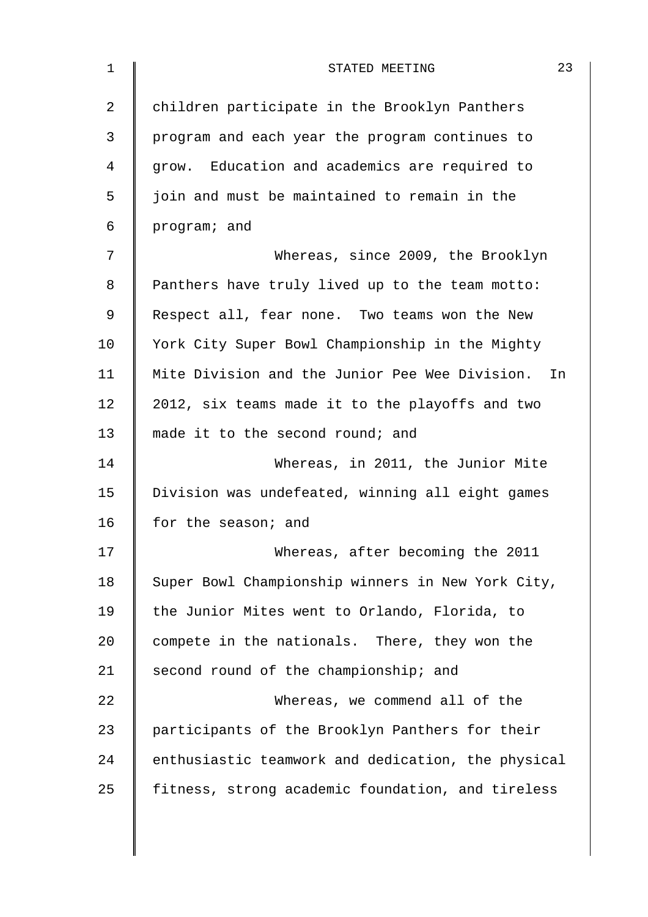| children participate in the Brooklyn Panthers      |
|----------------------------------------------------|
| program and each year the program continues to     |
| grow. Education and academics are required to      |
| join and must be maintained to remain in the       |
| program; and                                       |
| Whereas, since 2009, the Brooklyn                  |
| Panthers have truly lived up to the team motto:    |
| Respect all, fear none. Two teams won the New      |
| York City Super Bowl Championship in the Mighty    |
| Mite Division and the Junior Pee Wee Division. In  |
| 2012, six teams made it to the playoffs and two    |
| made it to the second round; and                   |
| Whereas, in 2011, the Junior Mite                  |
| Division was undefeated, winning all eight games   |
| for the season; and                                |
| Whereas, after becoming the 2011                   |
| Super Bowl Championship winners in New York City,  |
| the Junior Mites went to Orlando, Florida, to      |
| compete in the nationals. There, they won the      |
| second round of the championship; and              |
| Whereas, we commend all of the                     |
| participants of the Brooklyn Panthers for their    |
| enthusiastic teamwork and dedication, the physical |
| fitness, strong academic foundation, and tireless  |
|                                                    |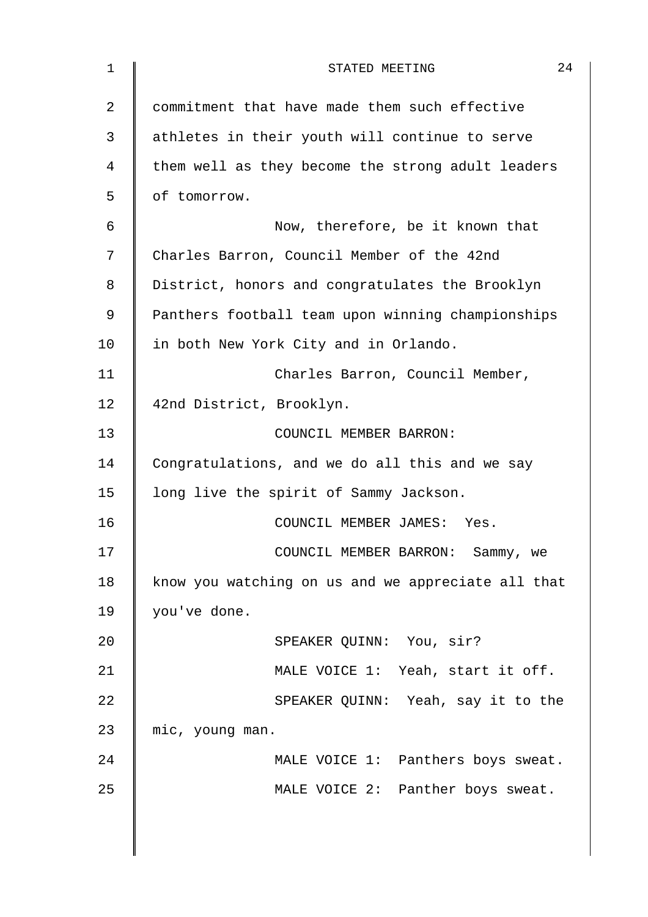| $\mathbf 1$    | 24<br>STATED MEETING                               |
|----------------|----------------------------------------------------|
| $\overline{2}$ | commitment that have made them such effective      |
| 3              | athletes in their youth will continue to serve     |
| 4              | them well as they become the strong adult leaders  |
| 5              | of tomorrow.                                       |
| 6              | Now, therefore, be it known that                   |
| 7              | Charles Barron, Council Member of the 42nd         |
| 8              | District, honors and congratulates the Brooklyn    |
| 9              | Panthers football team upon winning championships  |
| 10             | in both New York City and in Orlando.              |
| 11             | Charles Barron, Council Member,                    |
| 12             | 42nd District, Brooklyn.                           |
| 13             | COUNCIL MEMBER BARRON:                             |
| 14             | Congratulations, and we do all this and we say     |
| 15             | long live the spirit of Sammy Jackson.             |
| 16             | COUNCIL MEMBER JAMES: Yes.                         |
| 17             | COUNCIL MEMBER BARRON: Sammy, we                   |
| 18             | know you watching on us and we appreciate all that |
| 19             | you've done.                                       |
| 20             | SPEAKER QUINN: You, sir?                           |
| 21             | MALE VOICE 1: Yeah, start it off.                  |
| 22             | SPEAKER QUINN: Yeah, say it to the                 |
| 23             | mic, young man.                                    |
| 24             | MALE VOICE 1: Panthers boys sweat.                 |
| 25             | MALE VOICE 2: Panther boys sweat.                  |
|                |                                                    |
|                |                                                    |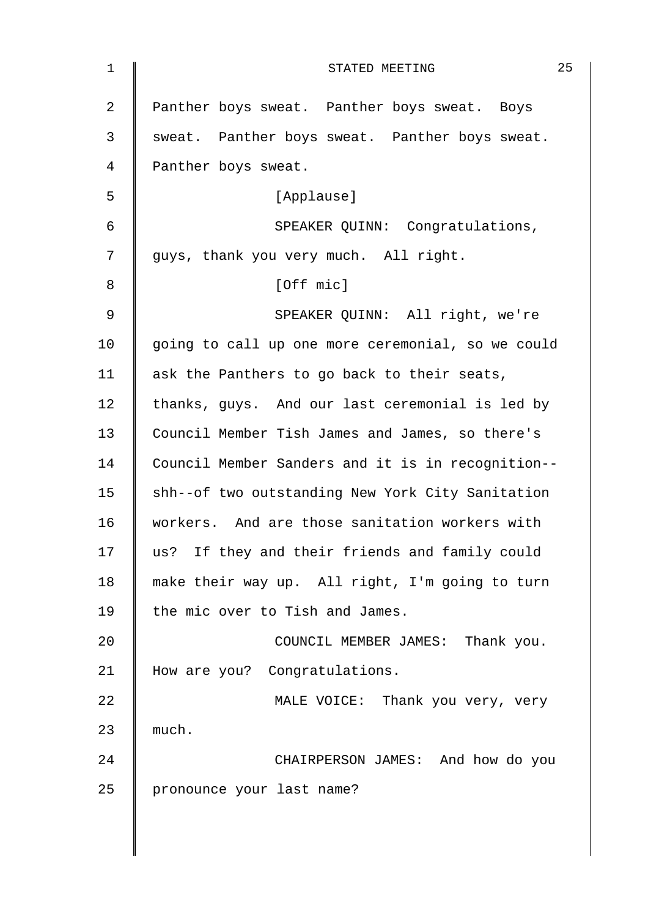| $\mathbf 1$ | 25<br>STATED MEETING                              |
|-------------|---------------------------------------------------|
| 2           | Panther boys sweat. Panther boys sweat. Boys      |
| 3           | sweat. Panther boys sweat. Panther boys sweat.    |
| 4           | Panther boys sweat.                               |
| 5           | [Applause]                                        |
| 6           | SPEAKER QUINN: Congratulations,                   |
| 7           | guys, thank you very much. All right.             |
| 8           | [Off mic]                                         |
| 9           | SPEAKER QUINN: All right, we're                   |
| 10          | going to call up one more ceremonial, so we could |
| 11          | ask the Panthers to go back to their seats,       |
| 12          | thanks, guys. And our last ceremonial is led by   |
| 13          | Council Member Tish James and James, so there's   |
| 14          | Council Member Sanders and it is in recognition-- |
| 15          | shh--of two outstanding New York City Sanitation  |
| 16          | workers. And are those sanitation workers with    |
| 17          | us? If they and their friends and family could    |
| 18          | make their way up. All right, I'm going to turn   |
| 19          | the mic over to Tish and James.                   |
| 20          | COUNCIL MEMBER JAMES: Thank you.                  |
| 21          | How are you? Congratulations.                     |
| 22          | MALE VOICE: Thank you very, very                  |
| 23          | much.                                             |
| 24          | CHAIRPERSON JAMES: And how do you                 |
| 25          | pronounce your last name?                         |
|             |                                                   |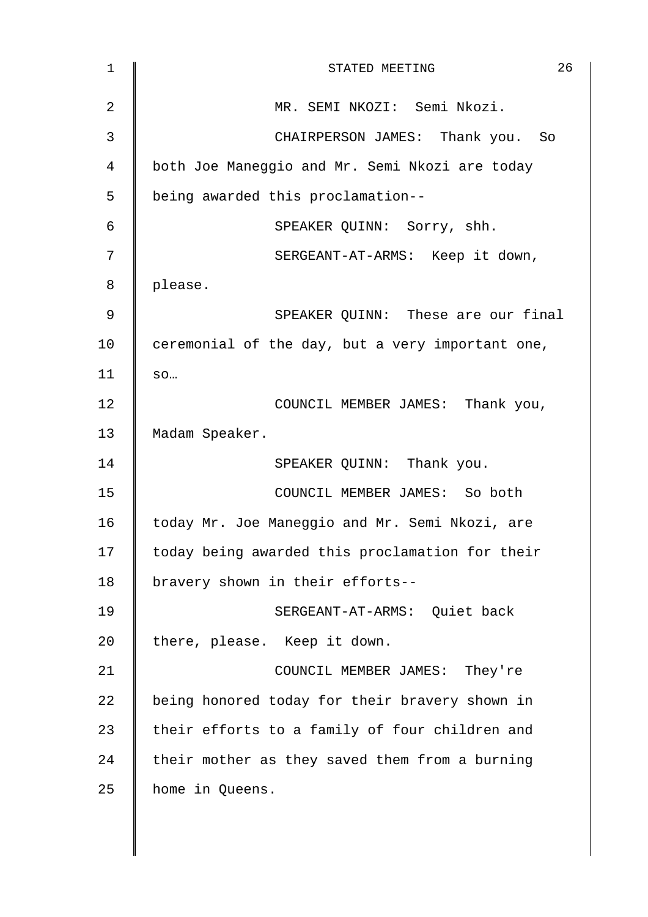| $\mathbf 1$    | 26<br>STATED MEETING                             |
|----------------|--------------------------------------------------|
| $\overline{2}$ | MR. SEMI NKOZI: Semi Nkozi.                      |
| 3              | CHAIRPERSON JAMES: Thank you. So                 |
| $\overline{4}$ | both Joe Maneggio and Mr. Semi Nkozi are today   |
| 5              | being awarded this proclamation--                |
| 6              | SPEAKER QUINN: Sorry, shh.                       |
| 7              | SERGEANT-AT-ARMS: Keep it down,                  |
| 8              | please.                                          |
| $\mathsf 9$    | SPEAKER QUINN: These are our final               |
| 10             | ceremonial of the day, but a very important one, |
| 11             | SO                                               |
| 12             | COUNCIL MEMBER JAMES: Thank you,                 |
| 13             | Madam Speaker.                                   |
| 14             | SPEAKER QUINN: Thank you.                        |
| 15             | COUNCIL MEMBER JAMES: So both                    |
| 16             | today Mr. Joe Maneggio and Mr. Semi Nkozi, are   |
| 17             | today being awarded this proclamation for their  |
| 18             | bravery shown in their efforts--                 |
| 19             | SERGEANT-AT-ARMS: Ouiet back                     |
| 20             | there, please. Keep it down.                     |
| 21             | COUNCIL MEMBER JAMES: They're                    |
| 22             | being honored today for their bravery shown in   |
| 23             | their efforts to a family of four children and   |
| 24             | their mother as they saved them from a burning   |
| 25             | home in Queens.                                  |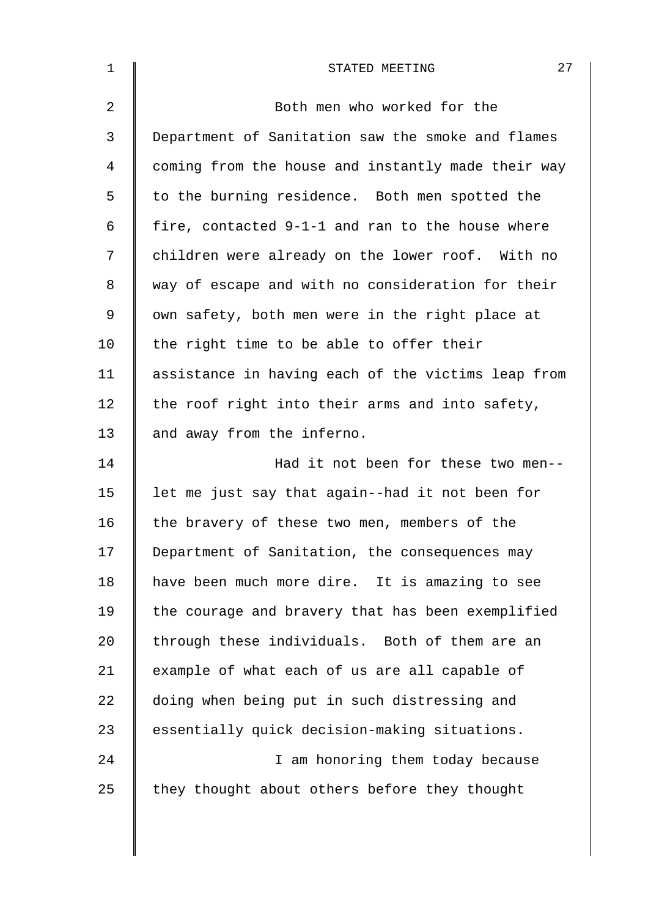| $\mathbf{1}$ | 27<br>STATED MEETING                               |
|--------------|----------------------------------------------------|
| 2            | Both men who worked for the                        |
| 3            | Department of Sanitation saw the smoke and flames  |
| 4            | coming from the house and instantly made their way |
| 5            | to the burning residence. Both men spotted the     |
| 6            | fire, contacted 9-1-1 and ran to the house where   |
| 7            | children were already on the lower roof. With no   |
| 8            | way of escape and with no consideration for their  |
| $\mathsf 9$  | own safety, both men were in the right place at    |
| 10           | the right time to be able to offer their           |
| 11           | assistance in having each of the victims leap from |
| 12           | the roof right into their arms and into safety,    |
| 13           | and away from the inferno.                         |
| 14           | Had it not been for these two men--                |
| 15           | let me just say that again--had it not been for    |
| 16           | the bravery of these two men, members of the       |
| 17           | Department of Sanitation, the consequences may     |
| 18           | have been much more dire. It is amazing to see     |
| 19           | the courage and bravery that has been exemplified  |
| 20           | through these individuals. Both of them are an     |
| 21           | example of what each of us are all capable of      |
| 22           | doing when being put in such distressing and       |
| 23           | essentially quick decision-making situations.      |
| 24           | I am honoring them today because                   |
| 25           | they thought about others before they thought      |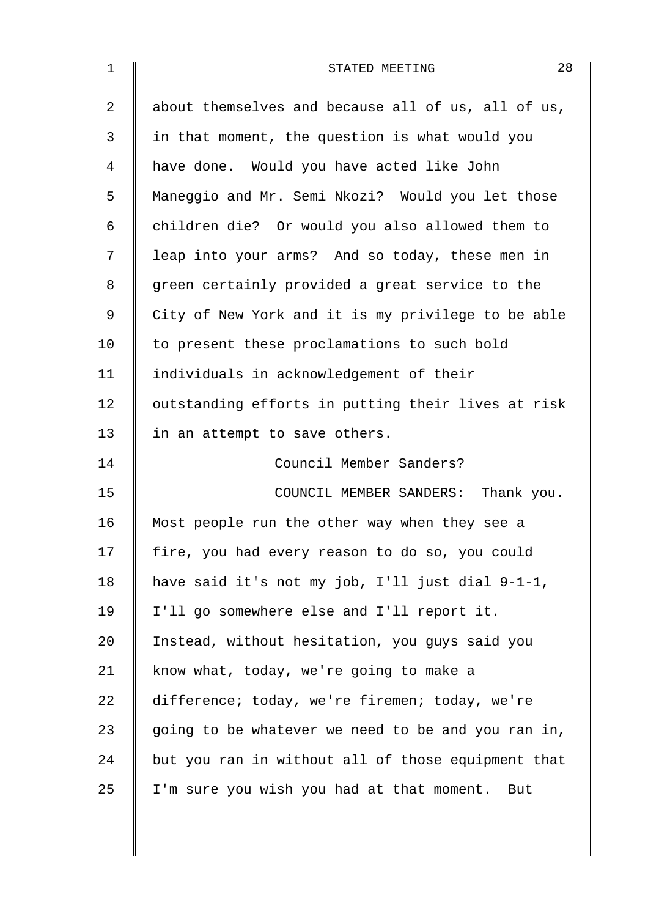| $\mathbf 1$ | 28<br>STATED MEETING                               |  |  |  |  |  |  |  |
|-------------|----------------------------------------------------|--|--|--|--|--|--|--|
| 2           | about themselves and because all of us, all of us, |  |  |  |  |  |  |  |
| 3           | in that moment, the question is what would you     |  |  |  |  |  |  |  |
| 4           | have done. Would you have acted like John          |  |  |  |  |  |  |  |
| 5           | Maneggio and Mr. Semi Nkozi? Would you let those   |  |  |  |  |  |  |  |
| 6           | children die? Or would you also allowed them to    |  |  |  |  |  |  |  |
| 7           | leap into your arms? And so today, these men in    |  |  |  |  |  |  |  |
| 8           | green certainly provided a great service to the    |  |  |  |  |  |  |  |
| 9           | City of New York and it is my privilege to be able |  |  |  |  |  |  |  |
| 10          | to present these proclamations to such bold        |  |  |  |  |  |  |  |
| 11          | individuals in acknowledgement of their            |  |  |  |  |  |  |  |
| 12          | outstanding efforts in putting their lives at risk |  |  |  |  |  |  |  |
| 13          | in an attempt to save others.                      |  |  |  |  |  |  |  |
| 14          | Council Member Sanders?                            |  |  |  |  |  |  |  |
| 15          | COUNCIL MEMBER SANDERS: Thank you.                 |  |  |  |  |  |  |  |
| 16          | Most people run the other way when they see a      |  |  |  |  |  |  |  |
| 17          | fire, you had every reason to do so, you could     |  |  |  |  |  |  |  |
| 18          | have said it's not my job, I'll just dial 9-1-1,   |  |  |  |  |  |  |  |
| 19          | I'll go somewhere else and I'll report it.         |  |  |  |  |  |  |  |
| 20          | Instead, without hesitation, you guys said you     |  |  |  |  |  |  |  |
| 21          | know what, today, we're going to make a            |  |  |  |  |  |  |  |
| 22          | difference; today, we're firemen; today, we're     |  |  |  |  |  |  |  |
| 23          | going to be whatever we need to be and you ran in, |  |  |  |  |  |  |  |
| 24          | but you ran in without all of those equipment that |  |  |  |  |  |  |  |
| 25          | I'm sure you wish you had at that moment. But      |  |  |  |  |  |  |  |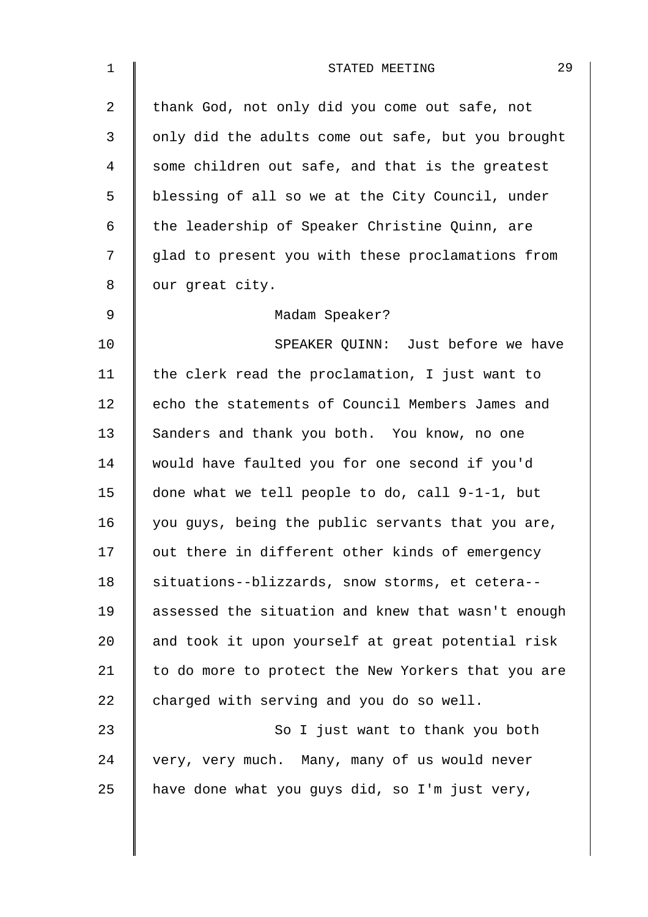| $\mathbf 1$ | 29<br>STATED MEETING                               |  |  |  |  |  |  |
|-------------|----------------------------------------------------|--|--|--|--|--|--|
| 2           | thank God, not only did you come out safe, not     |  |  |  |  |  |  |
| 3           | only did the adults come out safe, but you brought |  |  |  |  |  |  |
| 4           | some children out safe, and that is the greatest   |  |  |  |  |  |  |
| 5           | blessing of all so we at the City Council, under   |  |  |  |  |  |  |
| 6           | the leadership of Speaker Christine Quinn, are     |  |  |  |  |  |  |
| 7           | glad to present you with these proclamations from  |  |  |  |  |  |  |
| 8           | our great city.                                    |  |  |  |  |  |  |
| 9           | Madam Speaker?                                     |  |  |  |  |  |  |
| 10          | SPEAKER QUINN: Just before we have                 |  |  |  |  |  |  |
| 11          | the clerk read the proclamation, I just want to    |  |  |  |  |  |  |
| 12          | echo the statements of Council Members James and   |  |  |  |  |  |  |
| 13          | Sanders and thank you both. You know, no one       |  |  |  |  |  |  |
| 14          | would have faulted you for one second if you'd     |  |  |  |  |  |  |
| 15          | done what we tell people to do, call 9-1-1, but    |  |  |  |  |  |  |
| 16          | you guys, being the public servants that you are,  |  |  |  |  |  |  |
| 17          | out there in different other kinds of emergency    |  |  |  |  |  |  |
| 18          | situations--blizzards, snow storms, et cetera--    |  |  |  |  |  |  |
| 19          | assessed the situation and knew that wasn't enough |  |  |  |  |  |  |
| 20          | and took it upon yourself at great potential risk  |  |  |  |  |  |  |
| 21          | to do more to protect the New Yorkers that you are |  |  |  |  |  |  |
| 22          | charged with serving and you do so well.           |  |  |  |  |  |  |
| 23          | So I just want to thank you both                   |  |  |  |  |  |  |
| 24          | very, very much. Many, many of us would never      |  |  |  |  |  |  |
| 25          | have done what you guys did, so I'm just very,     |  |  |  |  |  |  |
|             |                                                    |  |  |  |  |  |  |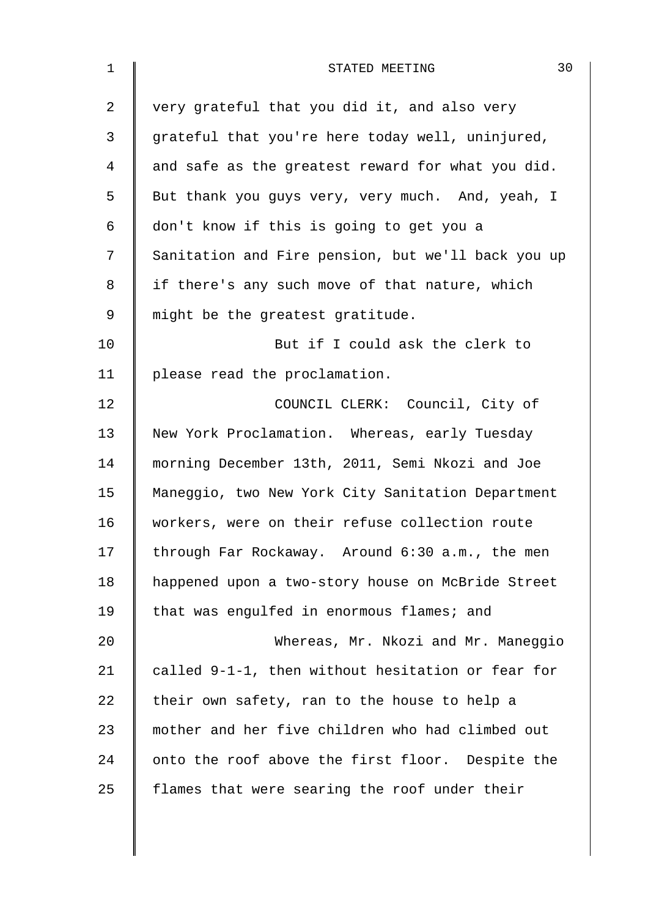| $\mathbf 1$ | 30<br>STATED MEETING                               |  |  |  |  |  |  |
|-------------|----------------------------------------------------|--|--|--|--|--|--|
| 2           | very grateful that you did it, and also very       |  |  |  |  |  |  |
| 3           | grateful that you're here today well, uninjured,   |  |  |  |  |  |  |
| 4           | and safe as the greatest reward for what you did.  |  |  |  |  |  |  |
| 5           | But thank you guys very, very much. And, yeah, I   |  |  |  |  |  |  |
| 6           | don't know if this is going to get you a           |  |  |  |  |  |  |
| 7           | Sanitation and Fire pension, but we'll back you up |  |  |  |  |  |  |
| 8           | if there's any such move of that nature, which     |  |  |  |  |  |  |
| 9           | might be the greatest gratitude.                   |  |  |  |  |  |  |
| 10          | But if I could ask the clerk to                    |  |  |  |  |  |  |
| 11          | please read the proclamation.                      |  |  |  |  |  |  |
| 12          | COUNCIL CLERK: Council, City of                    |  |  |  |  |  |  |
| 13          | New York Proclamation. Whereas, early Tuesday      |  |  |  |  |  |  |
| 14          | morning December 13th, 2011, Semi Nkozi and Joe    |  |  |  |  |  |  |
| 15          | Maneggio, two New York City Sanitation Department  |  |  |  |  |  |  |
| 16          | workers, were on their refuse collection route     |  |  |  |  |  |  |
| 17          | through Far Rockaway. Around 6:30 a.m., the men    |  |  |  |  |  |  |
| 18          | happened upon a two-story house on McBride Street  |  |  |  |  |  |  |
| 19          | that was engulfed in enormous flames; and          |  |  |  |  |  |  |
| 20          | Whereas, Mr. Nkozi and Mr. Maneggio                |  |  |  |  |  |  |
| 21          | called 9-1-1, then without hesitation or fear for  |  |  |  |  |  |  |
| 22          | their own safety, ran to the house to help a       |  |  |  |  |  |  |
| 23          | mother and her five children who had climbed out   |  |  |  |  |  |  |
| 24          | onto the roof above the first floor. Despite the   |  |  |  |  |  |  |
| 25          | flames that were searing the roof under their      |  |  |  |  |  |  |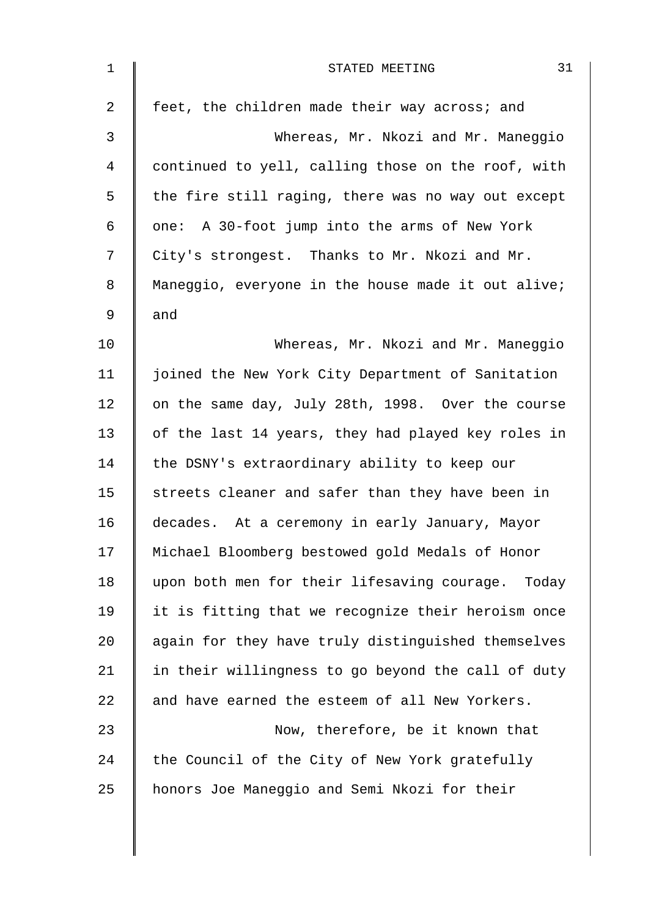| $\mathbf 1$ | 31<br>STATED MEETING                               |
|-------------|----------------------------------------------------|
| 2           | feet, the children made their way across; and      |
| 3           | Whereas, Mr. Nkozi and Mr. Maneggio                |
| 4           | continued to yell, calling those on the roof, with |
| 5           | the fire still raging, there was no way out except |
| 6           | one: A 30-foot jump into the arms of New York      |
| 7           | City's strongest. Thanks to Mr. Nkozi and Mr.      |
| 8           | Maneggio, everyone in the house made it out alive; |
| 9           | and                                                |
| 10          | Whereas, Mr. Nkozi and Mr. Maneggio                |
| 11          | joined the New York City Department of Sanitation  |
| 12          | on the same day, July 28th, 1998. Over the course  |
| 13          | of the last 14 years, they had played key roles in |
| 14          | the DSNY's extraordinary ability to keep our       |
| 15          | streets cleaner and safer than they have been in   |
| 16          | decades. At a ceremony in early January, Mayor     |
| 17          | Michael Bloomberg bestowed gold Medals of Honor    |
| 18          | upon both men for their lifesaving courage. Today  |
| 19          | it is fitting that we recognize their heroism once |
| 20          | again for they have truly distinguished themselves |
| 21          | in their willingness to go beyond the call of duty |
| 22          | and have earned the esteem of all New Yorkers.     |
| 23          | Now, therefore, be it known that                   |
| 24          | the Council of the City of New York gratefully     |
| 25          | honors Joe Maneggio and Semi Nkozi for their       |
|             |                                                    |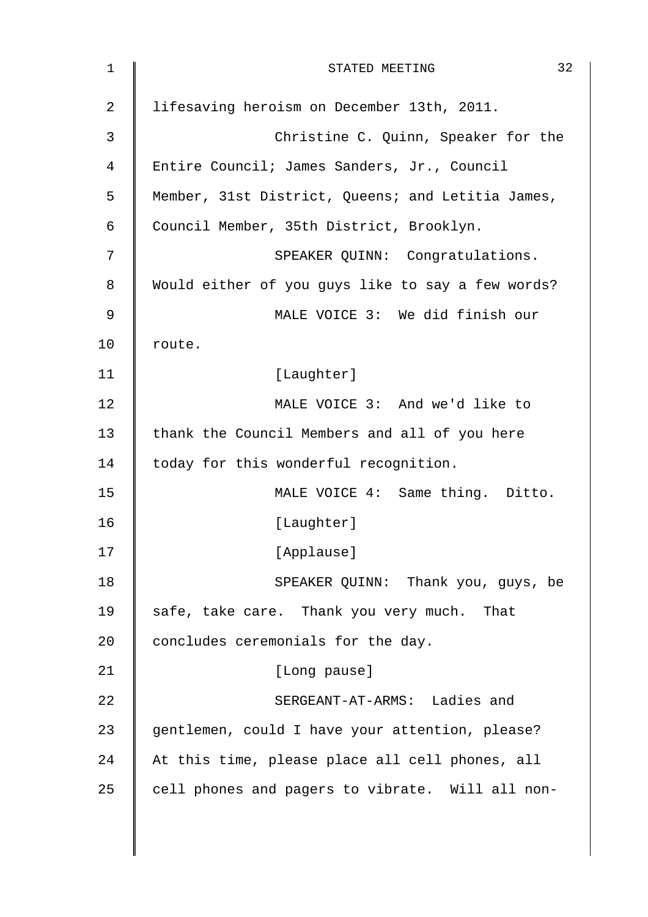| $\mathbf 1$ | 32<br>STATED MEETING                              |  |  |  |  |  |
|-------------|---------------------------------------------------|--|--|--|--|--|
| 2           | lifesaving heroism on December 13th, 2011.        |  |  |  |  |  |
| 3           | Christine C. Quinn, Speaker for the               |  |  |  |  |  |
| 4           | Entire Council; James Sanders, Jr., Council       |  |  |  |  |  |
| 5           | Member, 31st District, Queens; and Letitia James, |  |  |  |  |  |
| 6           | Council Member, 35th District, Brooklyn.          |  |  |  |  |  |
| 7           | SPEAKER QUINN: Congratulations.                   |  |  |  |  |  |
| 8           | Would either of you guys like to say a few words? |  |  |  |  |  |
| 9           | MALE VOICE 3: We did finish our                   |  |  |  |  |  |
| 10          | route.                                            |  |  |  |  |  |
| 11          | [Laughter]                                        |  |  |  |  |  |
| 12          | MALE VOICE 3: And we'd like to                    |  |  |  |  |  |
| 13          | thank the Council Members and all of you here     |  |  |  |  |  |
| 14          | today for this wonderful recognition.             |  |  |  |  |  |
| 15          | MALE VOICE 4: Same thing. Ditto.                  |  |  |  |  |  |
| 16          | [Laughter]                                        |  |  |  |  |  |
| 17          | [Applause]                                        |  |  |  |  |  |
| 18          | SPEAKER QUINN: Thank you, guys, be                |  |  |  |  |  |
| 19          | safe, take care. Thank you very much. That        |  |  |  |  |  |
| 20          | concludes ceremonials for the day.                |  |  |  |  |  |
| 21          | [Long pause]                                      |  |  |  |  |  |
| 22          | SERGEANT-AT-ARMS: Ladies and                      |  |  |  |  |  |
| 23          | gentlemen, could I have your attention, please?   |  |  |  |  |  |
| 24          | At this time, please place all cell phones, all   |  |  |  |  |  |
| 25          | cell phones and pagers to vibrate. Will all non-  |  |  |  |  |  |
|             |                                                   |  |  |  |  |  |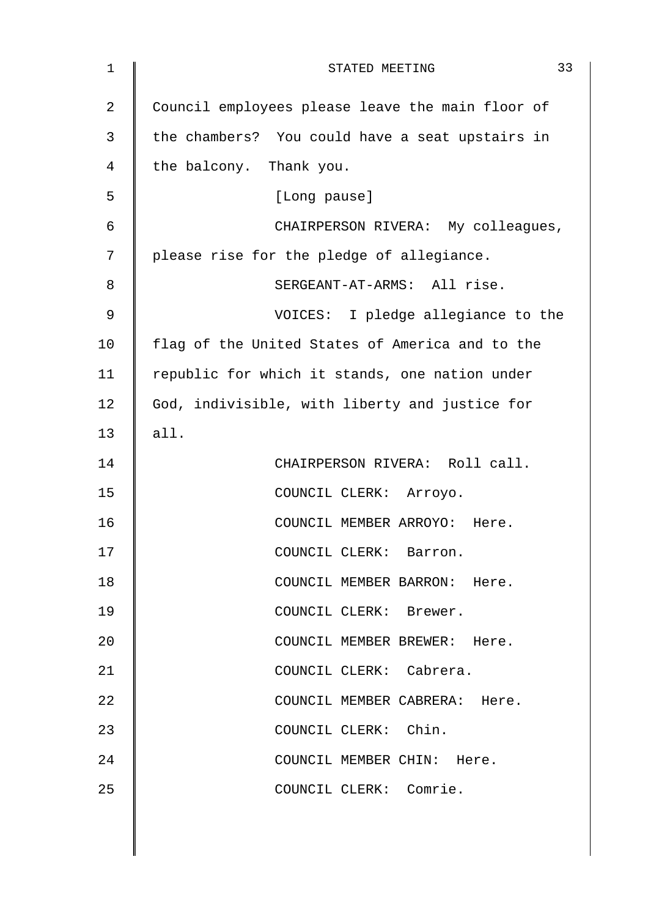| $\mathbf{1}$ | 33<br>STATED MEETING                             |  |  |  |  |
|--------------|--------------------------------------------------|--|--|--|--|
| 2            | Council employees please leave the main floor of |  |  |  |  |
| 3            | the chambers? You could have a seat upstairs in  |  |  |  |  |
| 4            | the balcony. Thank you.                          |  |  |  |  |
| 5            | [Long pause]                                     |  |  |  |  |
| 6            | CHAIRPERSON RIVERA: My colleagues,               |  |  |  |  |
| 7            | please rise for the pledge of allegiance.        |  |  |  |  |
| 8            | SERGEANT-AT-ARMS: All rise.                      |  |  |  |  |
| 9            | VOICES: I pledge allegiance to the               |  |  |  |  |
| 10           | flag of the United States of America and to the  |  |  |  |  |
| 11           | republic for which it stands, one nation under   |  |  |  |  |
| 12           | God, indivisible, with liberty and justice for   |  |  |  |  |
| 13           | all.                                             |  |  |  |  |
| 14           | CHAIRPERSON RIVERA: Roll call.                   |  |  |  |  |
| 15           | COUNCIL CLERK: Arroyo.                           |  |  |  |  |
| 16           | COUNCIL MEMBER ARROYO: Here.                     |  |  |  |  |
| 17           | COUNCIL CLERK: Barron.                           |  |  |  |  |
| 18           | COUNCIL MEMBER BARRON: Here.                     |  |  |  |  |
| 19           | COUNCIL CLERK: Brewer.                           |  |  |  |  |
| 20           | COUNCIL MEMBER BREWER: Here.                     |  |  |  |  |
| 21           | COUNCIL CLERK: Cabrera.                          |  |  |  |  |
| 22           | COUNCIL MEMBER CABRERA: Here.                    |  |  |  |  |
| 23           | COUNCIL CLERK: Chin.                             |  |  |  |  |
| 24           | COUNCIL MEMBER CHIN: Here.                       |  |  |  |  |
| 25           | COUNCIL CLERK: Comrie.                           |  |  |  |  |
|              |                                                  |  |  |  |  |
|              |                                                  |  |  |  |  |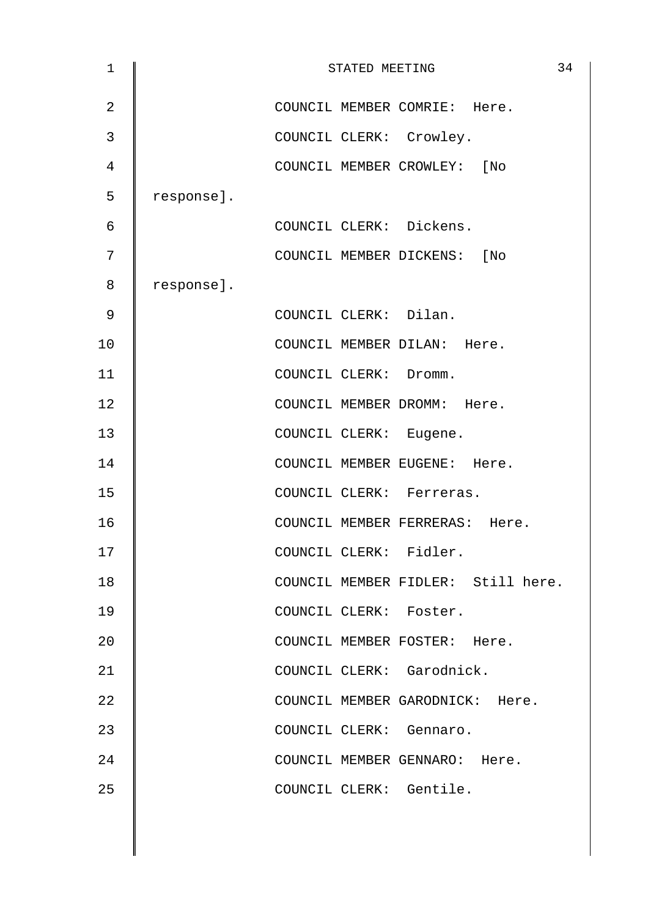| $\mathbf 1$    | STATED MEETING |  |  |                                    |  |
|----------------|----------------|--|--|------------------------------------|--|
| $\overline{2}$ |                |  |  | COUNCIL MEMBER COMRIE: Here.       |  |
| 3              |                |  |  | COUNCIL CLERK: Crowley.            |  |
| 4              |                |  |  | COUNCIL MEMBER CROWLEY: [No        |  |
| 5              | response].     |  |  |                                    |  |
| 6              |                |  |  | COUNCIL CLERK: Dickens.            |  |
| 7              |                |  |  | COUNCIL MEMBER DICKENS: [No        |  |
| 8              | response].     |  |  |                                    |  |
| 9              |                |  |  | COUNCIL CLERK: Dilan.              |  |
| 10             |                |  |  | COUNCIL MEMBER DILAN: Here.        |  |
| 11             |                |  |  | COUNCIL CLERK: Dromm.              |  |
| 12             |                |  |  | COUNCIL MEMBER DROMM: Here.        |  |
| 13             |                |  |  | COUNCIL CLERK: Eugene.             |  |
| 14             |                |  |  | COUNCIL MEMBER EUGENE: Here.       |  |
| 15             |                |  |  | COUNCIL CLERK: Ferreras.           |  |
| 16             |                |  |  | COUNCIL MEMBER FERRERAS: Here.     |  |
| 17             |                |  |  | COUNCIL CLERK: Fidler.             |  |
| 18             |                |  |  | COUNCIL MEMBER FIDLER: Still here. |  |
| 19             |                |  |  | COUNCIL CLERK: Foster.             |  |
| 20             |                |  |  | COUNCIL MEMBER FOSTER: Here.       |  |
| 21             |                |  |  | COUNCIL CLERK: Garodnick.          |  |
| 22             |                |  |  | COUNCIL MEMBER GARODNICK: Here.    |  |
| 23             |                |  |  | COUNCIL CLERK: Gennaro.            |  |
| 24             |                |  |  | COUNCIL MEMBER GENNARO: Here.      |  |
| 25             |                |  |  | COUNCIL CLERK: Gentile.            |  |
|                |                |  |  |                                    |  |
|                |                |  |  |                                    |  |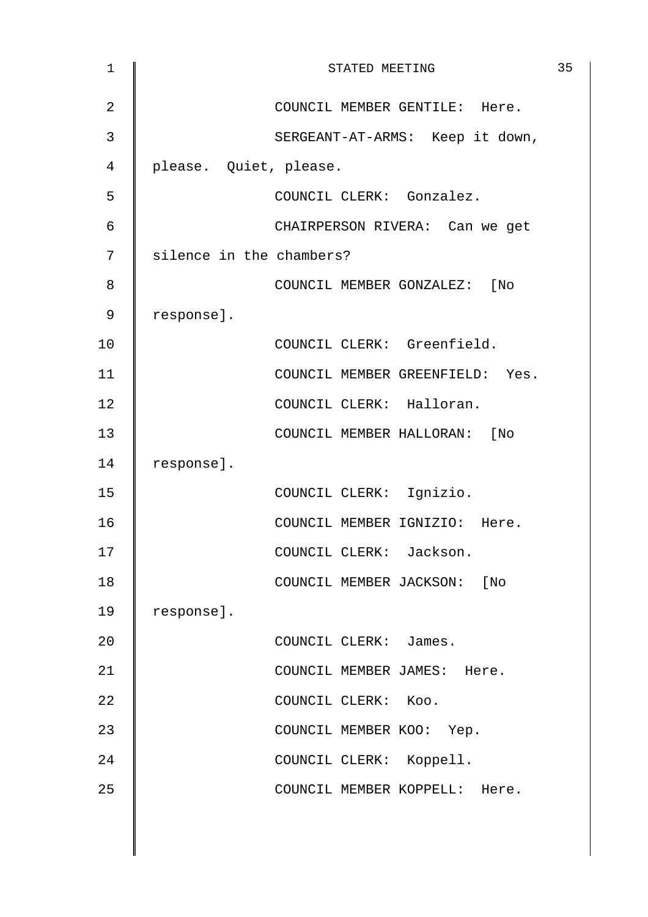| $\mathbf 1$    | STATED MEETING           |                                 |  |  |  |  |
|----------------|--------------------------|---------------------------------|--|--|--|--|
| $\overline{2}$ |                          | COUNCIL MEMBER GENTILE: Here.   |  |  |  |  |
| 3              |                          | SERGEANT-AT-ARMS: Keep it down, |  |  |  |  |
| 4              | please. Quiet, please.   |                                 |  |  |  |  |
| 5              |                          | COUNCIL CLERK: Gonzalez.        |  |  |  |  |
| 6              |                          | CHAIRPERSON RIVERA: Can we get  |  |  |  |  |
| 7              | silence in the chambers? |                                 |  |  |  |  |
| 8              |                          | COUNCIL MEMBER GONZALEZ: [No    |  |  |  |  |
| 9              | response].               |                                 |  |  |  |  |
| 10             |                          | COUNCIL CLERK: Greenfield.      |  |  |  |  |
| 11             |                          | COUNCIL MEMBER GREENFIELD: Yes. |  |  |  |  |
| 12             |                          | COUNCIL CLERK: Halloran.        |  |  |  |  |
| 13             |                          | COUNCIL MEMBER HALLORAN: [No    |  |  |  |  |
| 14             | response].               |                                 |  |  |  |  |
| 15             |                          | COUNCIL CLERK: Ignizio.         |  |  |  |  |
| 16             |                          | COUNCIL MEMBER IGNIZIO: Here.   |  |  |  |  |
| 17             |                          | COUNCIL CLERK: Jackson.         |  |  |  |  |
| 18             |                          | COUNCIL MEMBER JACKSON: [No     |  |  |  |  |
| 19             | response].               |                                 |  |  |  |  |
| 20             |                          | COUNCIL CLERK: James.           |  |  |  |  |
| 21             |                          | COUNCIL MEMBER JAMES: Here.     |  |  |  |  |
| 22             |                          | COUNCIL CLERK: Koo.             |  |  |  |  |
| 23             |                          | COUNCIL MEMBER KOO: Yep.        |  |  |  |  |
| 24             |                          | COUNCIL CLERK: Koppell.         |  |  |  |  |
| 25             |                          | COUNCIL MEMBER KOPPELL: Here.   |  |  |  |  |
|                |                          |                                 |  |  |  |  |
|                |                          |                                 |  |  |  |  |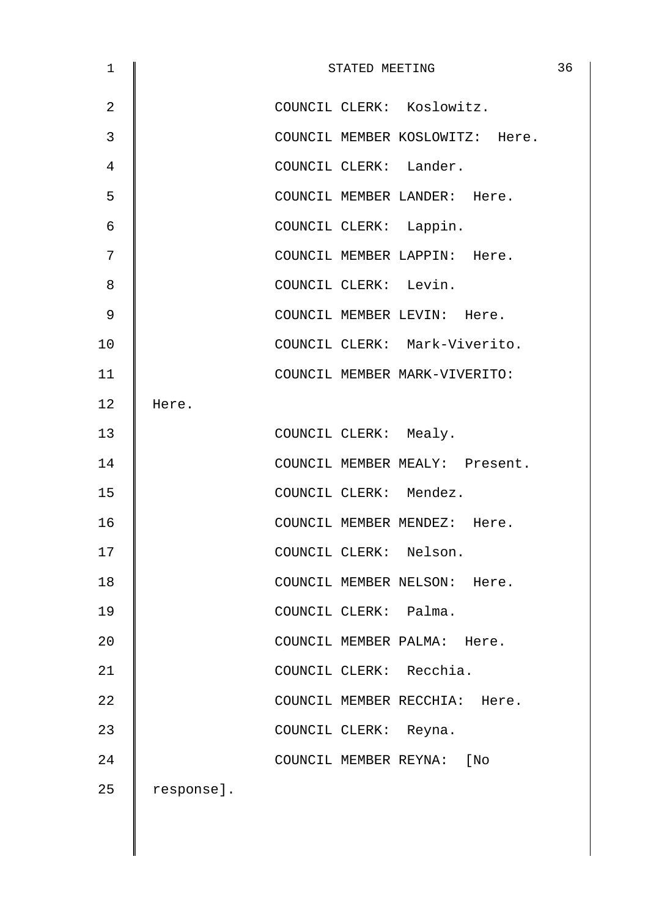| $\mathbf{1}$   | STATED MEETING |                       |  |                               |                                 |  |  |
|----------------|----------------|-----------------------|--|-------------------------------|---------------------------------|--|--|
| $\overline{2}$ |                |                       |  | COUNCIL CLERK: Koslowitz.     |                                 |  |  |
| 3              |                |                       |  |                               | COUNCIL MEMBER KOSLOWITZ: Here. |  |  |
| 4              |                |                       |  | COUNCIL CLERK: Lander.        |                                 |  |  |
| 5              |                |                       |  | COUNCIL MEMBER LANDER: Here.  |                                 |  |  |
| 6              |                |                       |  | COUNCIL CLERK: Lappin.        |                                 |  |  |
| 7              |                |                       |  | COUNCIL MEMBER LAPPIN: Here.  |                                 |  |  |
| 8              |                | COUNCIL CLERK: Levin. |  |                               |                                 |  |  |
| 9              |                |                       |  | COUNCIL MEMBER LEVIN: Here.   |                                 |  |  |
| 10             |                |                       |  | COUNCIL CLERK: Mark-Viverito. |                                 |  |  |
| 11             |                |                       |  | COUNCIL MEMBER MARK-VIVERITO: |                                 |  |  |
| 12             | Here.          |                       |  |                               |                                 |  |  |
| 13             |                | COUNCIL CLERK: Mealy. |  |                               |                                 |  |  |
| 14             |                |                       |  |                               | COUNCIL MEMBER MEALY: Present.  |  |  |
| 15             |                |                       |  | COUNCIL CLERK: Mendez.        |                                 |  |  |
| 16             |                |                       |  | COUNCIL MEMBER MENDEZ: Here.  |                                 |  |  |
| 17             |                |                       |  | COUNCIL CLERK: Nelson.        |                                 |  |  |
| 18             |                |                       |  | COUNCIL MEMBER NELSON: Here.  |                                 |  |  |
| 19             |                | COUNCIL CLERK: Palma. |  |                               |                                 |  |  |
| 20             |                |                       |  | COUNCIL MEMBER PALMA: Here.   |                                 |  |  |
| 21             |                |                       |  | COUNCIL CLERK: Recchia.       |                                 |  |  |
| 22             |                |                       |  | COUNCIL MEMBER RECCHIA: Here. |                                 |  |  |
| 23             |                | COUNCIL CLERK: Reyna. |  |                               |                                 |  |  |
| 24             |                |                       |  | COUNCIL MEMBER REYNA: [No     |                                 |  |  |
| 25             | response].     |                       |  |                               |                                 |  |  |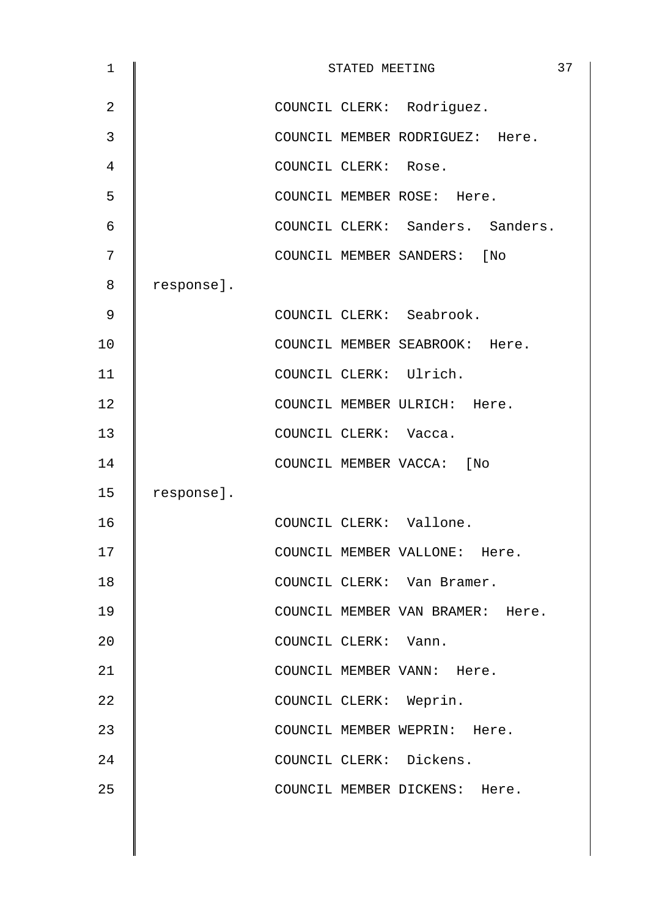| $\mathbf 1$    |            |                       | STATED MEETING |                                  | 37 |
|----------------|------------|-----------------------|----------------|----------------------------------|----|
| $\overline{2}$ |            |                       |                | COUNCIL CLERK: Rodriguez.        |    |
| 3              |            |                       |                | COUNCIL MEMBER RODRIGUEZ: Here.  |    |
| 4              |            | COUNCIL CLERK: Rose.  |                |                                  |    |
| 5              |            |                       |                | COUNCIL MEMBER ROSE: Here.       |    |
| 6              |            |                       |                | COUNCIL CLERK: Sanders. Sanders. |    |
| 7              |            |                       |                | COUNCIL MEMBER SANDERS: [No      |    |
| 8              | response]. |                       |                |                                  |    |
| 9              |            |                       |                | COUNCIL CLERK: Seabrook.         |    |
| 10             |            |                       |                | COUNCIL MEMBER SEABROOK: Here.   |    |
| 11             |            |                       |                | COUNCIL CLERK: Ulrich.           |    |
| 12             |            |                       |                | COUNCIL MEMBER ULRICH: Here.     |    |
| 13             |            | COUNCIL CLERK: Vacca. |                |                                  |    |
| 14             |            |                       |                | COUNCIL MEMBER VACCA:<br>[No     |    |
| 15             | response]. |                       |                |                                  |    |
| 16             |            |                       |                | COUNCIL CLERK: Vallone.          |    |
| 17             |            |                       |                | COUNCIL MEMBER VALLONE: Here.    |    |
| 18             |            |                       |                | COUNCIL CLERK: Van Bramer.       |    |
| 19             |            |                       |                | COUNCIL MEMBER VAN BRAMER: Here. |    |
| 20             |            | COUNCIL CLERK: Vann.  |                |                                  |    |
| 21             |            |                       |                | COUNCIL MEMBER VANN: Here.       |    |
| 22             |            |                       |                | COUNCIL CLERK: Weprin.           |    |
| 23             |            |                       |                | COUNCIL MEMBER WEPRIN: Here.     |    |
| 24             |            |                       |                | COUNCIL CLERK: Dickens.          |    |
| 25             |            |                       |                | COUNCIL MEMBER DICKENS: Here.    |    |
|                |            |                       |                |                                  |    |
|                |            |                       |                |                                  |    |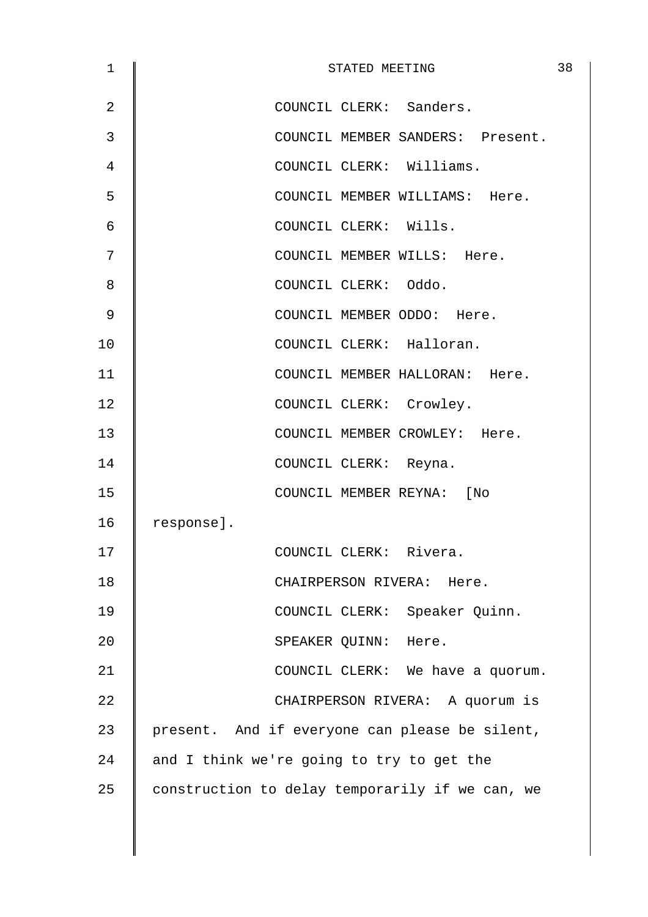| 1              | STATED MEETING                                  | 38 |
|----------------|-------------------------------------------------|----|
| $\overline{2}$ | COUNCIL CLERK: Sanders.                         |    |
| 3              | COUNCIL MEMBER SANDERS: Present.                |    |
| 4              | COUNCIL CLERK: Williams.                        |    |
| 5              | COUNCIL MEMBER WILLIAMS: Here.                  |    |
| 6              | COUNCIL CLERK: Wills.                           |    |
| 7              | COUNCIL MEMBER WILLS: Here.                     |    |
| 8              | COUNCIL CLERK: Oddo.                            |    |
| 9              | COUNCIL MEMBER ODDO: Here.                      |    |
| 10             | COUNCIL CLERK: Halloran.                        |    |
| 11             | COUNCIL MEMBER HALLORAN: Here.                  |    |
| 12             | COUNCIL CLERK: Crowley.                         |    |
| 13             | COUNCIL MEMBER CROWLEY: Here.                   |    |
| 14             | COUNCIL CLERK: Reyna.                           |    |
| 15             | COUNCIL MEMBER REYNA: [No                       |    |
| 16             | response].                                      |    |
| 17             | COUNCIL CLERK: Rivera.                          |    |
| 18             | CHAIRPERSON RIVERA: Here.                       |    |
| 19             | COUNCIL CLERK: Speaker Quinn.                   |    |
| 20             | SPEAKER QUINN: Here.                            |    |
| 21             | COUNCIL CLERK: We have a quorum.                |    |
| 22             | CHAIRPERSON RIVERA: A quorum is                 |    |
| 23             | present. And if everyone can please be silent,  |    |
| 24             | and I think we're going to try to get the       |    |
| 25             | construction to delay temporarily if we can, we |    |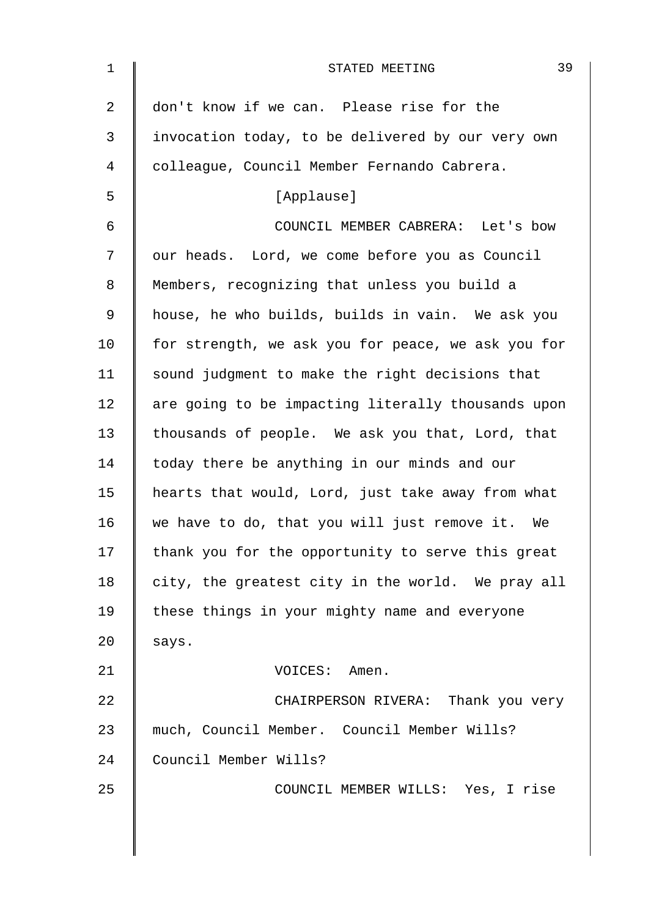| 1              | 39<br>STATED MEETING                               |
|----------------|----------------------------------------------------|
| $\overline{a}$ | don't know if we can. Please rise for the          |
| $\mathfrak{Z}$ | invocation today, to be delivered by our very own  |
| 4              | colleague, Council Member Fernando Cabrera.        |
| 5              | [Applause]                                         |
| 6              | COUNCIL MEMBER CABRERA: Let's bow                  |
| 7              | our heads. Lord, we come before you as Council     |
| 8              | Members, recognizing that unless you build a       |
| 9              | house, he who builds, builds in vain. We ask you   |
| 10             | for strength, we ask you for peace, we ask you for |
| 11             | sound judgment to make the right decisions that    |
| 12             | are going to be impacting literally thousands upon |
| 13             | thousands of people. We ask you that, Lord, that   |
| 14             | today there be anything in our minds and our       |
| 15             | hearts that would, Lord, just take away from what  |
| 16             | we have to do, that you will just remove it. We    |
| 17             | thank you for the opportunity to serve this great  |
| 18             | city, the greatest city in the world. We pray all  |
| 19             | these things in your mighty name and everyone      |
| 20             | says.                                              |
| 21             | VOICES: Amen.                                      |
| 22             | CHAIRPERSON RIVERA: Thank you very                 |
| 23             | much, Council Member. Council Member Wills?        |
| 24             | Council Member Wills?                              |
| 25             | COUNCIL MEMBER WILLS: Yes, I rise                  |
|                |                                                    |
|                |                                                    |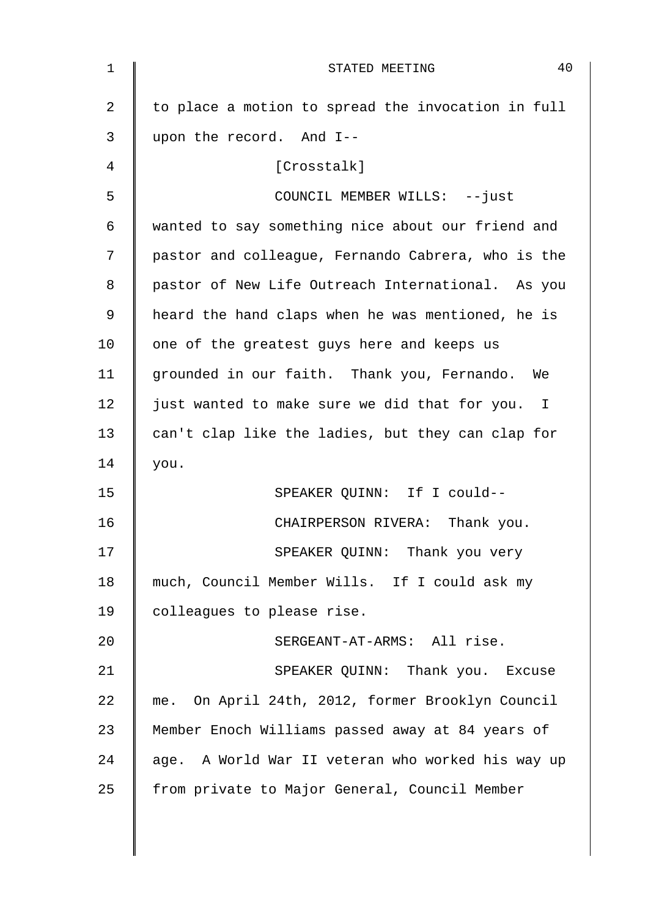| $\mathbf 1$ | 40<br>STATED MEETING                               |
|-------------|----------------------------------------------------|
| 2           | to place a motion to spread the invocation in full |
| 3           | upon the record. And I--                           |
| 4           | [Crosstalk]                                        |
| 5           | COUNCIL MEMBER WILLS: --just                       |
| 6           | wanted to say something nice about our friend and  |
| 7           | pastor and colleague, Fernando Cabrera, who is the |
| 8           | pastor of New Life Outreach International. As you  |
| 9           | heard the hand claps when he was mentioned, he is  |
| 10          | one of the greatest guys here and keeps us         |
| 11          | grounded in our faith. Thank you, Fernando. We     |
| 12          | just wanted to make sure we did that for you. I    |
| 13          | can't clap like the ladies, but they can clap for  |
| 14          | you.                                               |
| 15          | SPEAKER QUINN: If I could--                        |
| 16          | CHAIRPERSON RIVERA:<br>Thank you.                  |
| 17          | SPEAKER QUINN: Thank you very                      |
| 18          | much, Council Member Wills. If I could ask my      |
| 19          | colleagues to please rise.                         |
| 20          | SERGEANT-AT-ARMS: All rise.                        |
| 21          | SPEAKER QUINN: Thank you. Excuse                   |
| 22          | me. On April 24th, 2012, former Brooklyn Council   |
| 23          | Member Enoch Williams passed away at 84 years of   |
| 24          | age. A World War II veteran who worked his way up  |
| 25          | from private to Major General, Council Member      |
|             |                                                    |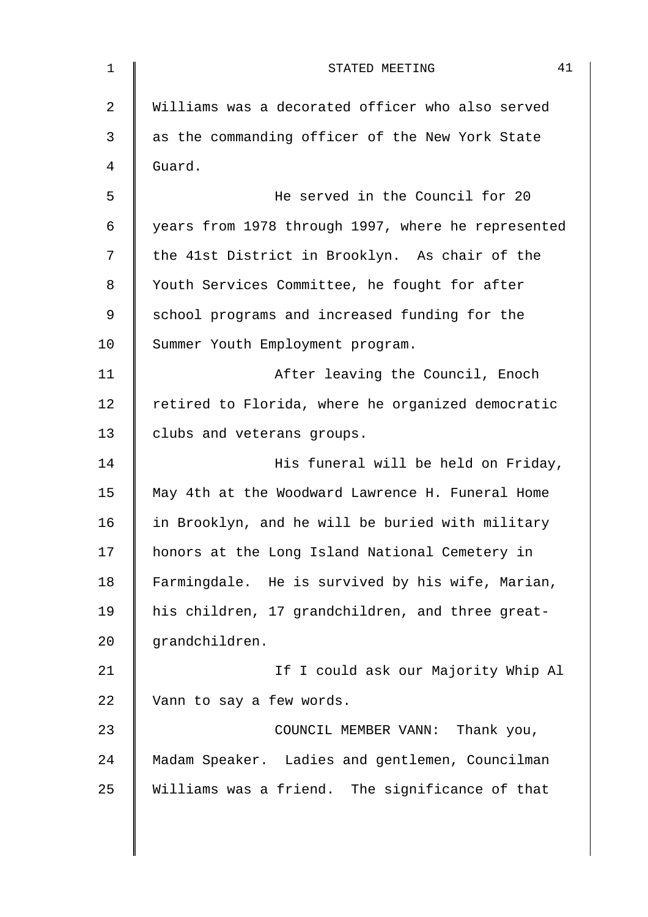| 1  | 41<br>STATED MEETING                               |
|----|----------------------------------------------------|
| 2  | Williams was a decorated officer who also served   |
| 3  | as the commanding officer of the New York State    |
| 4  | Guard.                                             |
| 5  | He served in the Council for 20                    |
| 6  | years from 1978 through 1997, where he represented |
| 7  | the 41st District in Brooklyn. As chair of the     |
| 8  | Youth Services Committee, he fought for after      |
| 9  | school programs and increased funding for the      |
| 10 | Summer Youth Employment program.                   |
| 11 | After leaving the Council, Enoch                   |
| 12 | retired to Florida, where he organized democratic  |
| 13 | clubs and veterans groups.                         |
| 14 | His funeral will be held on Friday,                |
| 15 | May 4th at the Woodward Lawrence H. Funeral Home   |
| 16 | in Brooklyn, and he will be buried with military   |
| 17 | honors at the Long Island National Cemetery in     |
| 18 | Farmingdale. He is survived by his wife, Marian,   |
| 19 | his children, 17 grandchildren, and three great-   |
| 20 | grandchildren.                                     |
| 21 | If I could ask our Majority Whip Al                |
| 22 | Vann to say a few words.                           |
| 23 | COUNCIL MEMBER VANN: Thank you,                    |
| 24 | Madam Speaker. Ladies and gentlemen, Councilman    |
| 25 | Williams was a friend. The significance of that    |
|    |                                                    |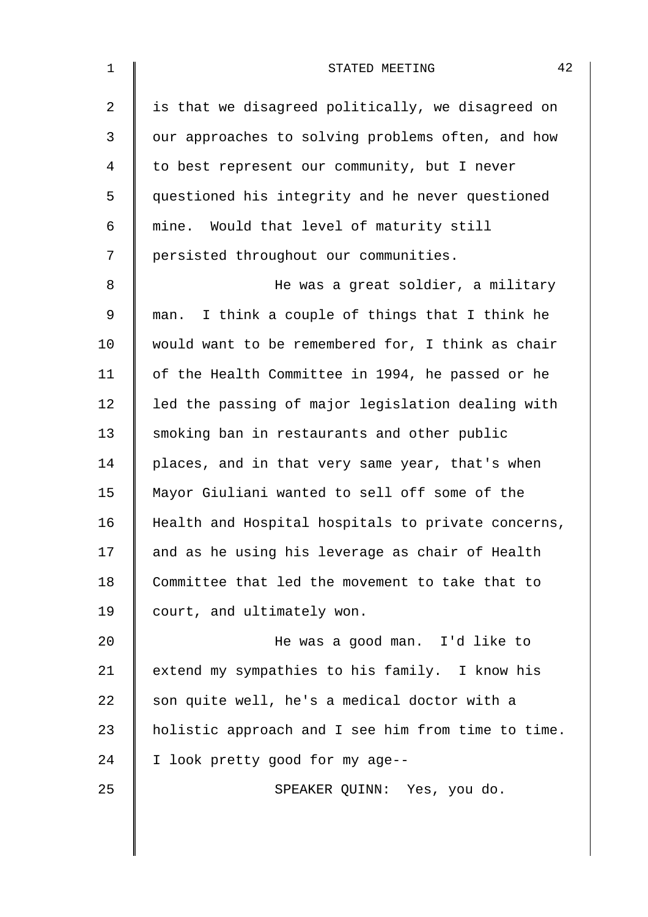| $\mathbf 1$    | 42<br>STATED MEETING                               |
|----------------|----------------------------------------------------|
| $\overline{a}$ | is that we disagreed politically, we disagreed on  |
| $\mathfrak{Z}$ | our approaches to solving problems often, and how  |
| 4              | to best represent our community, but I never       |
| 5              | questioned his integrity and he never questioned   |
| 6              | mine. Would that level of maturity still           |
| 7              | persisted throughout our communities.              |
| 8              | He was a great soldier, a military                 |
| 9              | man. I think a couple of things that I think he    |
| 10             | would want to be remembered for, I think as chair  |
| 11             | of the Health Committee in 1994, he passed or he   |
| 12             | led the passing of major legislation dealing with  |
| 13             | smoking ban in restaurants and other public        |
| 14             | places, and in that very same year, that's when    |
| 15             | Mayor Giuliani wanted to sell off some of the      |
| 16             | Health and Hospital hospitals to private concerns, |
| 17             | and as he using his leverage as chair of Health    |
| 18             | Committee that led the movement to take that to    |
| 19             | court, and ultimately won.                         |
| 20             | He was a good man. I'd like to                     |
| 21             | extend my sympathies to his family. I know his     |
| 22             | son quite well, he's a medical doctor with a       |
| 23             | holistic approach and I see him from time to time. |
| 24             | I look pretty good for my age--                    |
| 25             | SPEAKER QUINN: Yes, you do.                        |
|                |                                                    |
|                |                                                    |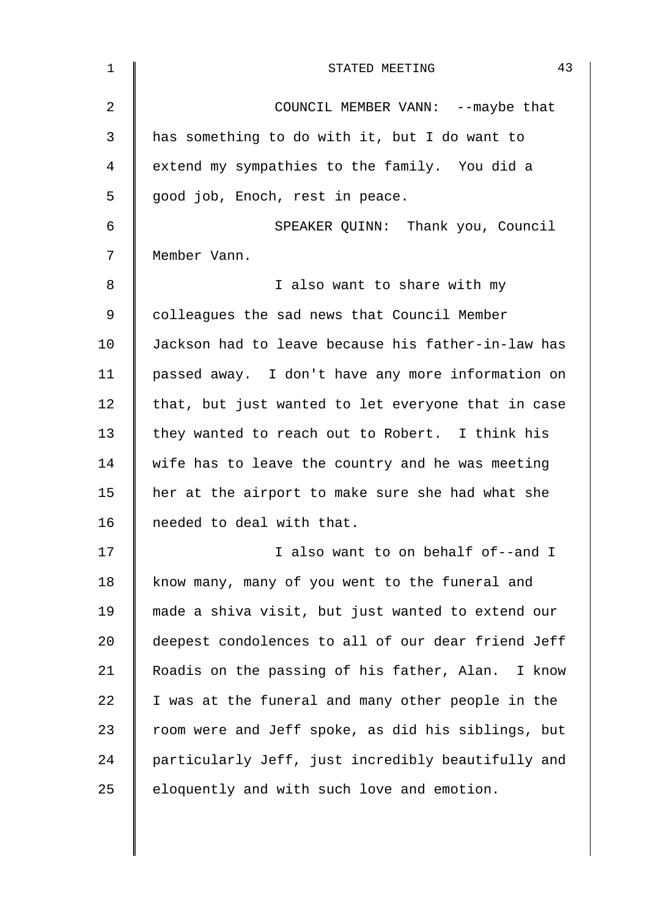| $\mathbf 1$ | 43<br>STATED MEETING                               |
|-------------|----------------------------------------------------|
| 2           | COUNCIL MEMBER VANN: -- maybe that                 |
| 3           | has something to do with it, but I do want to      |
| 4           | extend my sympathies to the family. You did a      |
| 5           | good job, Enoch, rest in peace.                    |
| 6           | SPEAKER QUINN: Thank you, Council                  |
| 7           | Member Vann.                                       |
| 8           | I also want to share with my                       |
| $\mathsf 9$ | colleagues the sad news that Council Member        |
| 10          | Jackson had to leave because his father-in-law has |
| 11          | passed away. I don't have any more information on  |
| 12          | that, but just wanted to let everyone that in case |
| 13          | they wanted to reach out to Robert. I think his    |
| 14          | wife has to leave the country and he was meeting   |
| 15          | her at the airport to make sure she had what she   |
| 16          | needed to deal with that.                          |
| 17          | I also want to on behalf of--and I                 |
| 18          | know many, many of you went to the funeral and     |
| 19          | made a shiva visit, but just wanted to extend our  |
| 20          | deepest condolences to all of our dear friend Jeff |
| 21          | Roadis on the passing of his father, Alan. I know  |
| 22          | I was at the funeral and many other people in the  |
| 23          | room were and Jeff spoke, as did his siblings, but |
| 24          | particularly Jeff, just incredibly beautifully and |
| 25          | eloquently and with such love and emotion.         |
|             |                                                    |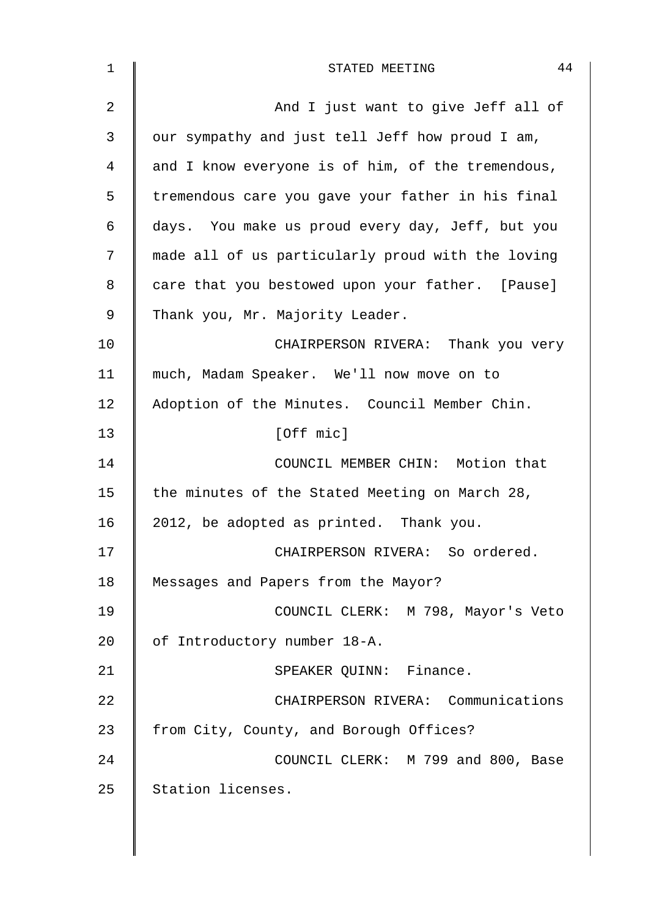| 1              | 44<br>STATED MEETING                              |
|----------------|---------------------------------------------------|
| $\overline{2}$ | And I just want to give Jeff all of               |
| 3              | our sympathy and just tell Jeff how proud I am,   |
| 4              | and I know everyone is of him, of the tremendous, |
| 5              | tremendous care you gave your father in his final |
| 6              | days. You make us proud every day, Jeff, but you  |
| 7              | made all of us particularly proud with the loving |
| 8              | care that you bestowed upon your father. [Pause]  |
| 9              | Thank you, Mr. Majority Leader.                   |
| 10             | CHAIRPERSON RIVERA: Thank you very                |
| 11             | much, Madam Speaker. We'll now move on to         |
| 12             | Adoption of the Minutes. Council Member Chin.     |
| 13             | [Off mic]                                         |
| 14             | COUNCIL MEMBER CHIN: Motion that                  |
| 15             | the minutes of the Stated Meeting on March 28,    |
| 16             | 2012, be adopted as printed. Thank you.           |
| 17             | CHAIRPERSON RIVERA: So ordered.                   |
| 18             | Messages and Papers from the Mayor?               |
| 19             | COUNCIL CLERK: M 798, Mayor's Veto                |
| 20             | of Introductory number 18-A.                      |
| 21             | SPEAKER QUINN: Finance.                           |
| 22             | CHAIRPERSON RIVERA: Communications                |
| 23             | from City, County, and Borough Offices?           |
| 24             | COUNCIL CLERK: M 799 and 800, Base                |
| 25             | Station licenses.                                 |
|                |                                                   |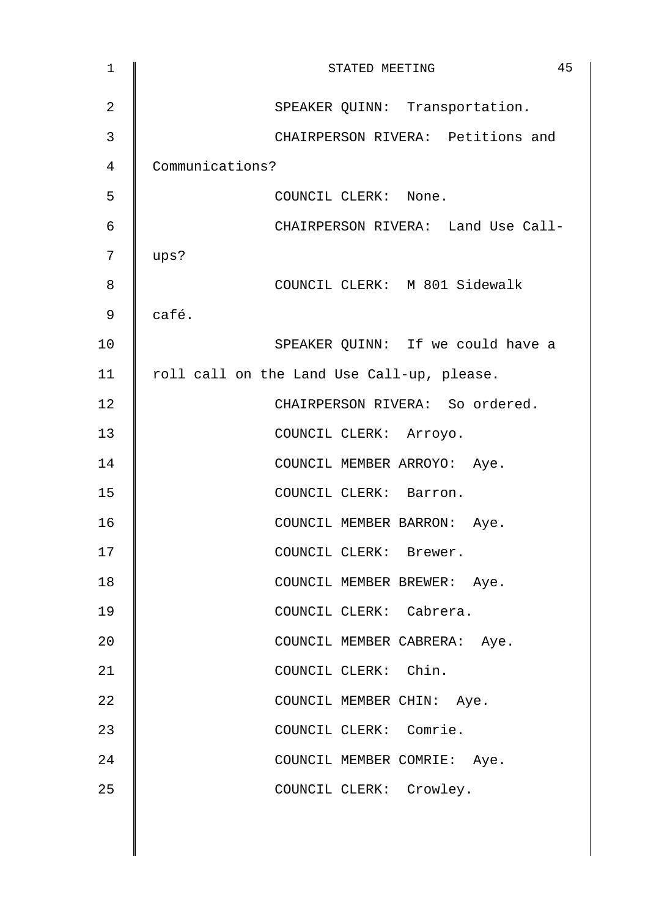| $\mathbf 1$ | 45<br>STATED MEETING                       |
|-------------|--------------------------------------------|
| 2           | SPEAKER QUINN: Transportation.             |
| 3           | CHAIRPERSON RIVERA: Petitions and          |
| 4           | Communications?                            |
| 5           | COUNCIL CLERK: None.                       |
| 6           | CHAIRPERSON RIVERA: Land Use Call-         |
| 7           | ups?                                       |
| 8           | COUNCIL CLERK: M 801 Sidewalk              |
| 9           | café.                                      |
| 10          | SPEAKER QUINN: If we could have a          |
| 11          | roll call on the Land Use Call-up, please. |
| 12          | CHAIRPERSON RIVERA: So ordered.            |
| 13          | COUNCIL CLERK: Arroyo.                     |
| 14          | COUNCIL MEMBER ARROYO: Aye.                |
| 15          | COUNCIL CLERK: Barron.                     |
| 16          | COUNCIL MEMBER BARRON: Aye.                |
| 17          | COUNCIL CLERK: Brewer.                     |
| 18          | COUNCIL MEMBER BREWER: Aye.                |
| 19          | COUNCIL CLERK: Cabrera.                    |
| 20          | COUNCIL MEMBER CABRERA: Aye.               |
| 21          | COUNCIL CLERK: Chin.                       |
| 22          | COUNCIL MEMBER CHIN: Aye.                  |
| 23          | COUNCIL CLERK: Comrie.                     |
| 24          | COUNCIL MEMBER COMRIE: Aye.                |
| 25          | COUNCIL CLERK: Crowley.                    |
|             |                                            |
|             |                                            |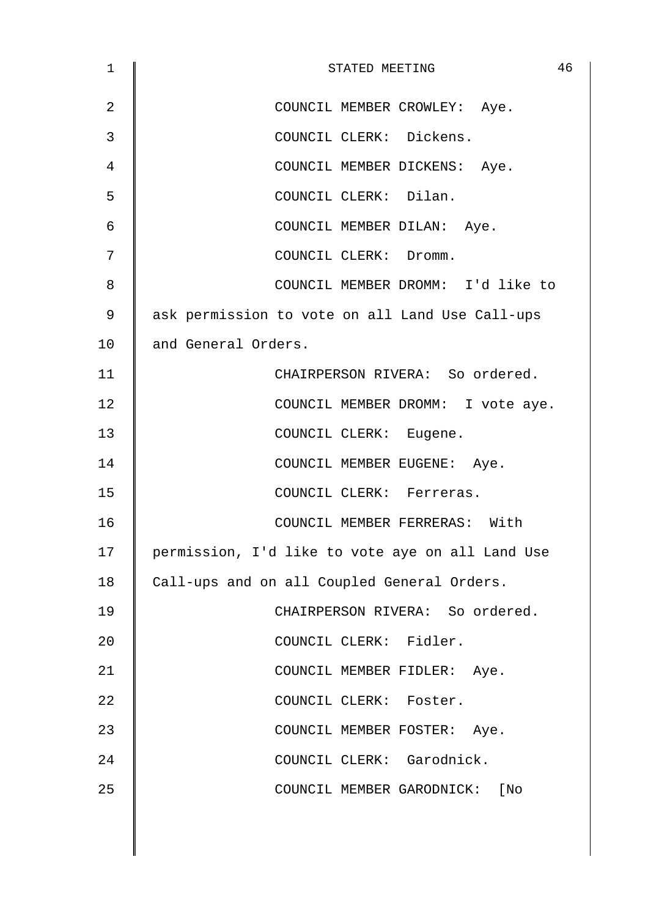| $\mathbf 1$    | 46<br>STATED MEETING                             |
|----------------|--------------------------------------------------|
| $\overline{2}$ | COUNCIL MEMBER CROWLEY: Aye.                     |
| 3              | COUNCIL CLERK: Dickens.                          |
| 4              | COUNCIL MEMBER DICKENS: Aye.                     |
| 5              | COUNCIL CLERK: Dilan.                            |
| 6              | COUNCIL MEMBER DILAN: Aye.                       |
| 7              | COUNCIL CLERK: Dromm.                            |
| 8              | COUNCIL MEMBER DROMM: I'd like to                |
| 9              | ask permission to vote on all Land Use Call-ups  |
| 10             | and General Orders.                              |
| 11             | CHAIRPERSON RIVERA: So ordered.                  |
| 12             | COUNCIL MEMBER DROMM: I vote aye.                |
| 13             | COUNCIL CLERK: Eugene.                           |
| 14             | COUNCIL MEMBER EUGENE: Aye.                      |
| 15             | COUNCIL CLERK: Ferreras.                         |
| 16             | COUNCIL MEMBER FERRERAS: With                    |
| 17             | permission, I'd like to vote aye on all Land Use |
| 18             | Call-ups and on all Coupled General Orders.      |
| 19             | CHAIRPERSON RIVERA: So ordered.                  |
| 20             | COUNCIL CLERK: Fidler.                           |
| 21             | COUNCIL MEMBER FIDLER: Aye.                      |
| 22             | COUNCIL CLERK: Foster.                           |
| 23             | COUNCIL MEMBER FOSTER: Aye.                      |
| 24             | COUNCIL CLERK: Garodnick.                        |
| 25             | COUNCIL MEMBER GARODNICK: [No                    |
|                |                                                  |
|                |                                                  |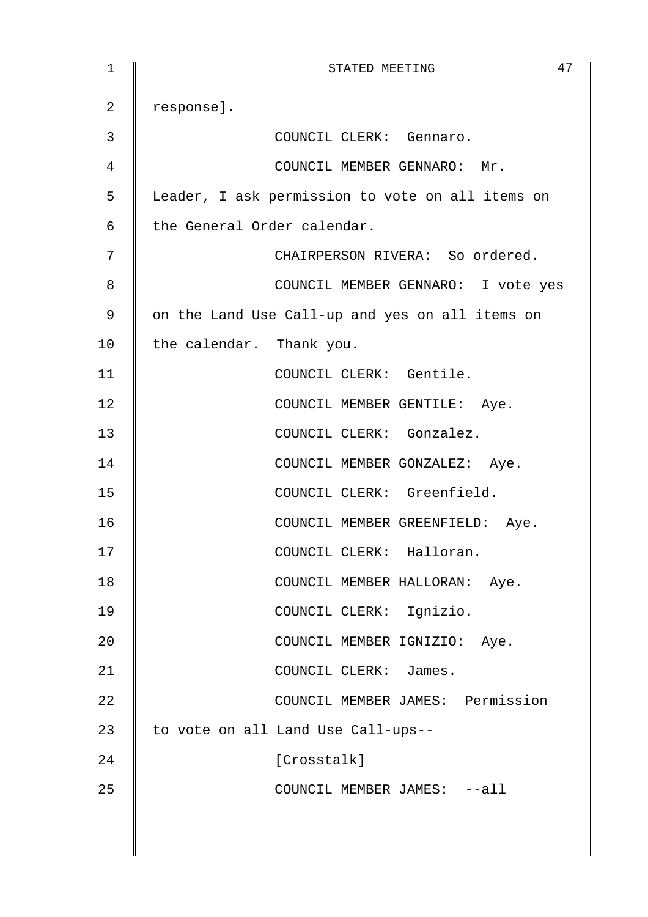| $\mathbf 1$ | 47<br>STATED MEETING                             |
|-------------|--------------------------------------------------|
| 2           | response].                                       |
| 3           | COUNCIL CLERK: Gennaro.                          |
| 4           | COUNCIL MEMBER GENNARO: Mr.                      |
| 5           | Leader, I ask permission to vote on all items on |
| 6           | the General Order calendar.                      |
| 7           | CHAIRPERSON RIVERA: So ordered.                  |
| 8           | COUNCIL MEMBER GENNARO: I vote yes               |
| 9           | on the Land Use Call-up and yes on all items on  |
| 10          | the calendar. Thank you.                         |
| 11          | COUNCIL CLERK: Gentile.                          |
| 12          | COUNCIL MEMBER GENTILE: Aye.                     |
| 13          | COUNCIL CLERK: Gonzalez.                         |
| 14          | COUNCIL MEMBER GONZALEZ: Aye.                    |
| 15          | COUNCIL CLERK: Greenfield.                       |
| 16          | COUNCIL MEMBER GREENFIELD: Aye.                  |
| 17          | COUNCIL CLERK: Halloran.                         |
| 18          | COUNCIL MEMBER HALLORAN: Aye.                    |
| 19          | COUNCIL CLERK: Ignizio.                          |
| 20          | COUNCIL MEMBER IGNIZIO: Aye.                     |
| 21          | COUNCIL CLERK: James.                            |
| 22          | COUNCIL MEMBER JAMES: Permission                 |
| 23          | to vote on all Land Use Call-ups--               |
| 24          | [Crosstalk]                                      |
| 25          | COUNCIL MEMBER JAMES: --all                      |
|             |                                                  |
|             |                                                  |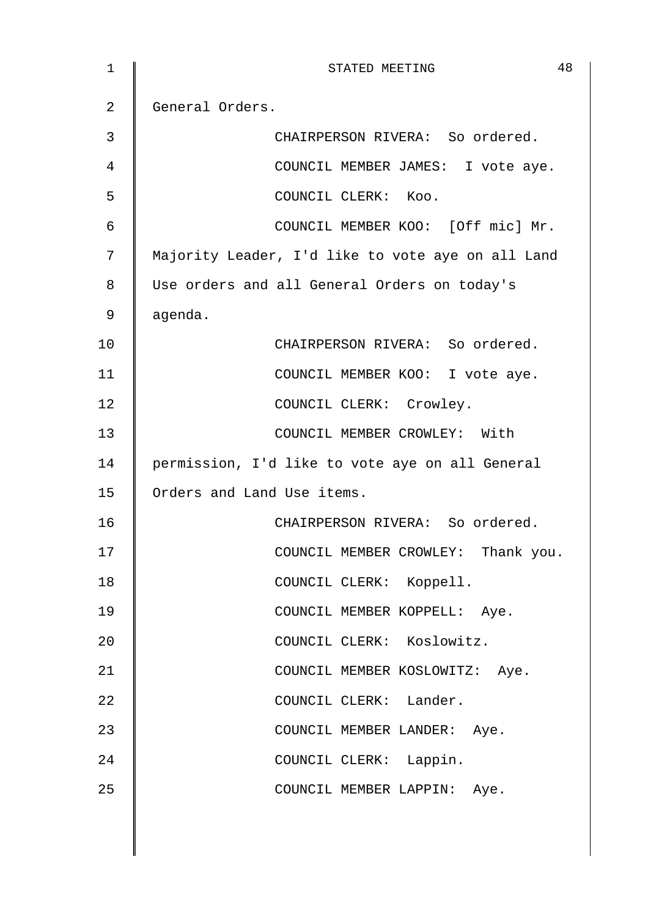| $\mathbf 1$ | 48<br>STATED MEETING                              |
|-------------|---------------------------------------------------|
| 2           | General Orders.                                   |
| 3           | CHAIRPERSON RIVERA: So ordered.                   |
| 4           | COUNCIL MEMBER JAMES: I vote aye.                 |
| 5           | COUNCIL CLERK: Koo.                               |
| 6           | COUNCIL MEMBER KOO: [Off mic] Mr.                 |
| 7           | Majority Leader, I'd like to vote aye on all Land |
| 8           | Use orders and all General Orders on today's      |
| 9           | agenda.                                           |
| 10          | CHAIRPERSON RIVERA: So ordered.                   |
| 11          | COUNCIL MEMBER KOO: I vote aye.                   |
| 12          | COUNCIL CLERK: Crowley.                           |
| 13          | COUNCIL MEMBER CROWLEY: With                      |
| 14          | permission, I'd like to vote aye on all General   |
| 15          | Orders and Land Use items.                        |
| 16          | CHAIRPERSON RIVERA: So ordered.                   |
| 17          | COUNCIL MEMBER CROWLEY: Thank you.                |
| 18          | COUNCIL CLERK: Koppell.                           |
| 19          | COUNCIL MEMBER KOPPELL: Aye.                      |
| 20          | COUNCIL CLERK: Koslowitz.                         |
| 21          | COUNCIL MEMBER KOSLOWITZ: Aye.                    |
| 22          | COUNCIL CLERK: Lander.                            |
| 23          | COUNCIL MEMBER LANDER: Aye.                       |
| 24          | COUNCIL CLERK: Lappin.                            |
| 25          | COUNCIL MEMBER LAPPIN: Aye.                       |
|             |                                                   |
|             |                                                   |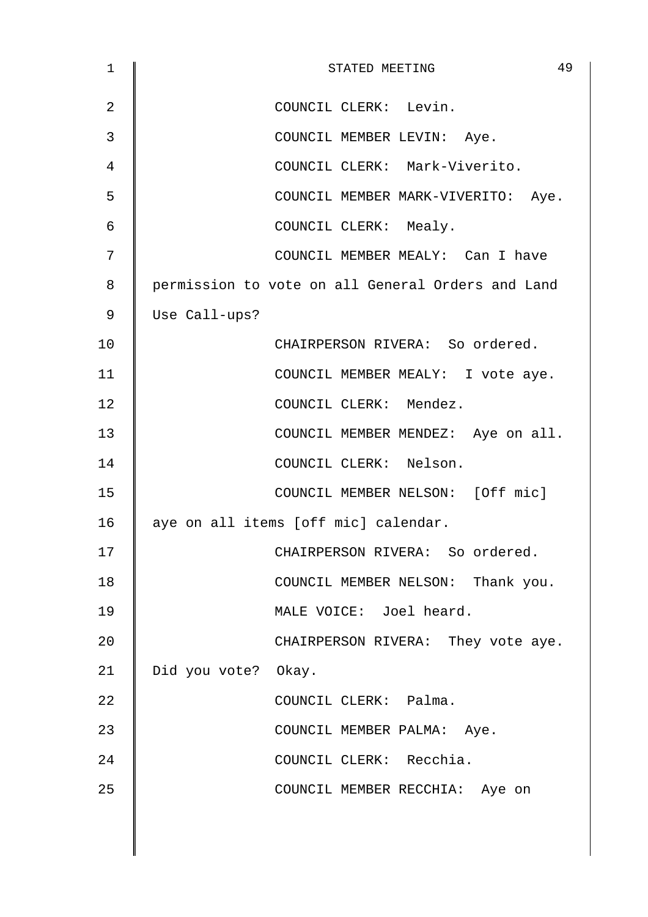| 1  | 49<br>STATED MEETING                              |
|----|---------------------------------------------------|
| 2  | COUNCIL CLERK: Levin.                             |
| 3  | COUNCIL MEMBER LEVIN: Aye.                        |
| 4  | COUNCIL CLERK: Mark-Viverito.                     |
| 5  | COUNCIL MEMBER MARK-VIVERITO: Aye.                |
| 6  | COUNCIL CLERK: Mealy.                             |
| 7  | COUNCIL MEMBER MEALY: Can I have                  |
| 8  | permission to vote on all General Orders and Land |
| 9  | Use Call-ups?                                     |
| 10 | CHAIRPERSON RIVERA: So ordered.                   |
| 11 | COUNCIL MEMBER MEALY: I vote aye.                 |
| 12 | COUNCIL CLERK: Mendez.                            |
| 13 | COUNCIL MEMBER MENDEZ: Aye on all.                |
| 14 | COUNCIL CLERK: Nelson.                            |
| 15 | COUNCIL MEMBER NELSON: [Off mic]                  |
| 16 | aye on all items [off mic] calendar.              |
| 17 | CHAIRPERSON RIVERA: So ordered.                   |
| 18 | COUNCIL MEMBER NELSON: Thank you.                 |
| 19 | MALE VOICE: Joel heard.                           |
| 20 | CHAIRPERSON RIVERA: They vote aye.                |
| 21 | Did you vote? Okay.                               |
| 22 | COUNCIL CLERK: Palma.                             |
| 23 | COUNCIL MEMBER PALMA: Aye.                        |
| 24 | COUNCIL CLERK: Recchia.                           |
| 25 | COUNCIL MEMBER RECCHIA: Aye on                    |
|    |                                                   |
|    |                                                   |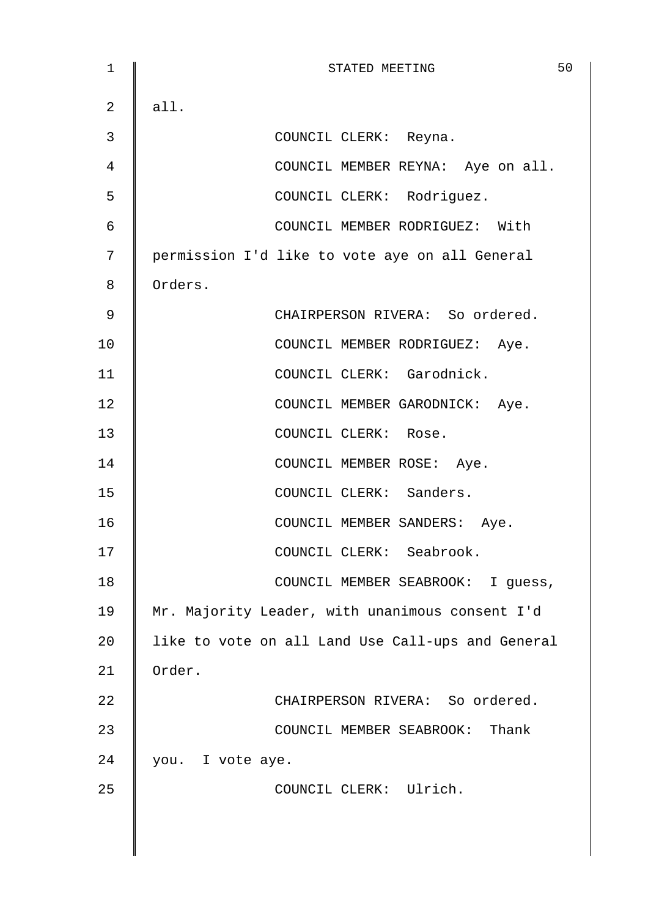1 **STATED MEETING** 50  $2 \parallel$  all. 3 COUNCIL CLERK: Reyna. 4 | COUNCIL MEMBER REYNA: Aye on all. 5 || COUNCIL CLERK: Rodriguez. 6 COUNCIL MEMBER RODRIGUEZ: With 7 | permission I'd like to vote aye on all General 8 | Orders. 9 | CHAIRPERSON RIVERA: So ordered. 10 | COUNCIL MEMBER RODRIGUEZ: Aye. 11 | COUNCIL CLERK: Garodnick. 12 | COUNCIL MEMBER GARODNICK: Ave. 13 | COUNCIL CLERK: Rose. 14 | COUNCIL MEMBER ROSE: Aye. 15 | COUNCIL CLERK: Sanders. 16 | COUNCIL MEMBER SANDERS: Aye. 17 || COUNCIL CLERK: Seabrook. 18 | COUNCIL MEMBER SEABROOK: I guess, 19 | Mr. Majority Leader, with unanimous consent I'd 20 | like to vote on all Land Use Call-ups and General 21 Order. 22 | CHAIRPERSON RIVERA: So ordered. 23 **COUNCIL MEMBER SEABROOK:** Thank 24 | you. I vote aye. 25 | COUNCIL CLERK: Ulrich.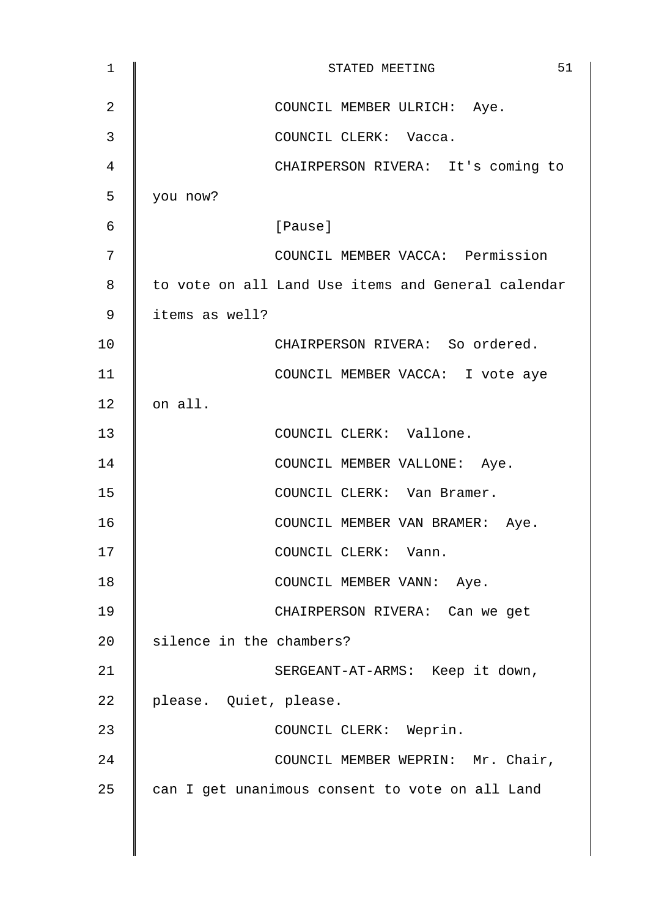| $\mathbf 1$ | 51<br>STATED MEETING                               |
|-------------|----------------------------------------------------|
| 2           | COUNCIL MEMBER ULRICH: Aye.                        |
| 3           | COUNCIL CLERK: Vacca.                              |
| 4           | CHAIRPERSON RIVERA: It's coming to                 |
| 5           | you now?                                           |
| 6           | [Pause]                                            |
| 7           | COUNCIL MEMBER VACCA: Permission                   |
| 8           | to vote on all Land Use items and General calendar |
| 9           | items as well?                                     |
| 10          | CHAIRPERSON RIVERA: So ordered.                    |
| 11          | COUNCIL MEMBER VACCA: I vote aye                   |
| 12          | on all.                                            |
| 13          | COUNCIL CLERK: Vallone.                            |
| 14          | COUNCIL MEMBER VALLONE: Aye.                       |
| 15          | COUNCIL CLERK: Van Bramer.                         |
| 16          | COUNCIL MEMBER VAN BRAMER: Aye.                    |
| 17          | COUNCIL CLERK: Vann.                               |
| 18          | COUNCIL MEMBER VANN: Aye.                          |
| 19          | CHAIRPERSON RIVERA: Can we get                     |
| 20          | silence in the chambers?                           |
| 21          | SERGEANT-AT-ARMS: Keep it down,                    |
| 22          | please. Quiet, please.                             |
| 23          | COUNCIL CLERK: Weprin.                             |
| 24          | COUNCIL MEMBER WEPRIN: Mr. Chair,                  |
| 25          | can I get unanimous consent to vote on all Land    |
|             |                                                    |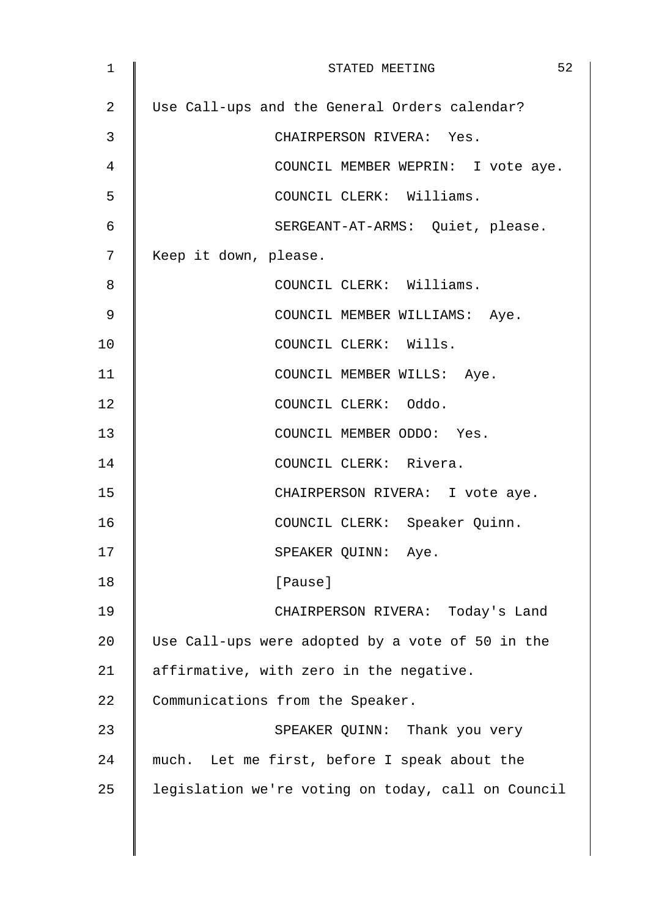| 1  | 52<br>STATED MEETING                               |
|----|----------------------------------------------------|
| 2  | Use Call-ups and the General Orders calendar?      |
| 3  | CHAIRPERSON RIVERA: Yes.                           |
| 4  | COUNCIL MEMBER WEPRIN: I vote aye.                 |
| 5  | COUNCIL CLERK: Williams.                           |
| 6  | SERGEANT-AT-ARMS: Quiet, please.                   |
| 7  | Keep it down, please.                              |
| 8  | COUNCIL CLERK: Williams.                           |
| 9  | COUNCIL MEMBER WILLIAMS: Aye.                      |
| 10 | COUNCIL CLERK: Wills.                              |
| 11 | COUNCIL MEMBER WILLS: Aye.                         |
| 12 | COUNCIL CLERK: Oddo.                               |
| 13 | COUNCIL MEMBER ODDO: Yes.                          |
| 14 | COUNCIL CLERK: Rivera.                             |
| 15 | CHAIRPERSON RIVERA: I vote aye.                    |
| 16 | COUNCIL CLERK: Speaker Quinn.                      |
| 17 | SPEAKER QUINN: Aye.                                |
| 18 | [Pause]                                            |
| 19 | CHAIRPERSON RIVERA: Today's Land                   |
| 20 | Use Call-ups were adopted by a vote of 50 in the   |
| 21 | affirmative, with zero in the negative.            |
| 22 | Communications from the Speaker.                   |
| 23 | SPEAKER QUINN: Thank you very                      |
| 24 | much. Let me first, before I speak about the       |
| 25 | legislation we're voting on today, call on Council |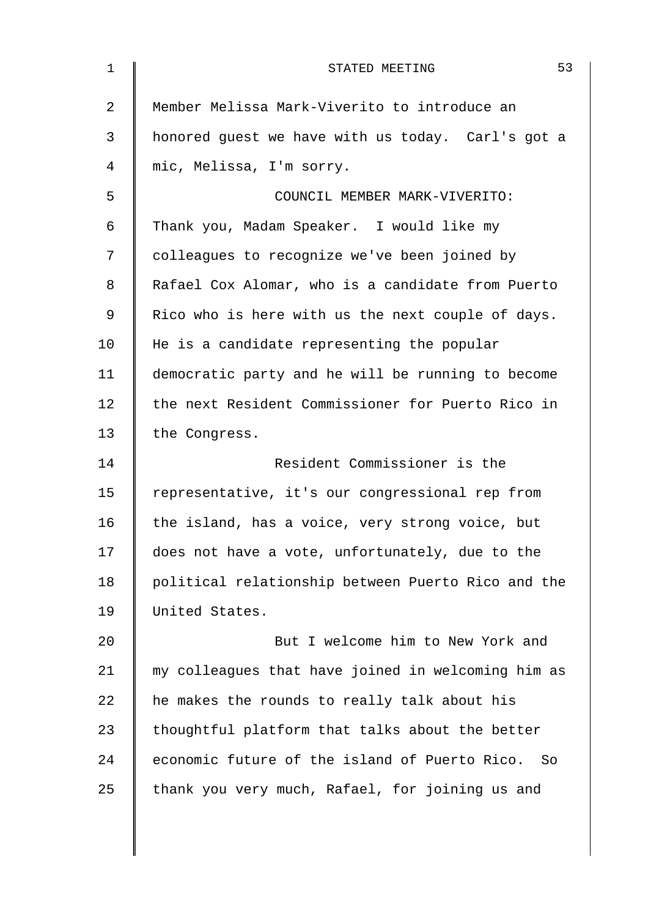| $\mathbf 1$ | 53<br>STATED MEETING                               |
|-------------|----------------------------------------------------|
| 2           | Member Melissa Mark-Viverito to introduce an       |
| 3           | honored guest we have with us today. Carl's got a  |
| 4           | mic, Melissa, I'm sorry.                           |
| 5           | COUNCIL MEMBER MARK-VIVERITO:                      |
| 6           | Thank you, Madam Speaker. I would like my          |
| 7           | colleagues to recognize we've been joined by       |
| 8           | Rafael Cox Alomar, who is a candidate from Puerto  |
| 9           | Rico who is here with us the next couple of days.  |
| 10          | He is a candidate representing the popular         |
| 11          | democratic party and he will be running to become  |
| 12          | the next Resident Commissioner for Puerto Rico in  |
| 13          | the Congress.                                      |
| 14          | Resident Commissioner is the                       |
| 15          | representative, it's our congressional rep from    |
| 16          | the island, has a voice, very strong voice, but    |
| 17          | does not have a vote, unfortunately, due to the    |
| 18          | political relationship between Puerto Rico and the |
| 19          | United States.                                     |
| 20          | But I welcome him to New York and                  |
| 21          | my colleagues that have joined in welcoming him as |
| 22          | he makes the rounds to really talk about his       |
| 23          | thoughtful platform that talks about the better    |
| 24          | economic future of the island of Puerto Rico. So   |
| 25          | thank you very much, Rafael, for joining us and    |
|             |                                                    |
|             |                                                    |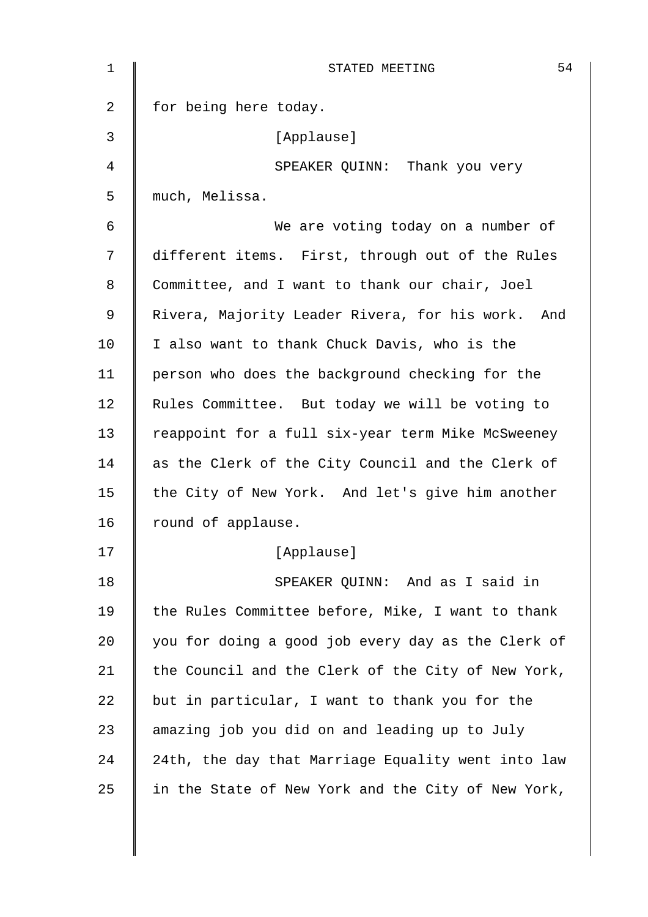| 1  | 54<br>STATED MEETING                               |
|----|----------------------------------------------------|
| 2  | for being here today.                              |
| 3  | [Applause]                                         |
| 4  | SPEAKER QUINN: Thank you very                      |
| 5  | much, Melissa.                                     |
| 6  | We are voting today on a number of                 |
| 7  | different items. First, through out of the Rules   |
| 8  | Committee, and I want to thank our chair, Joel     |
| 9  | Rivera, Majority Leader Rivera, for his work. And  |
| 10 | I also want to thank Chuck Davis, who is the       |
| 11 | person who does the background checking for the    |
| 12 | Rules Committee. But today we will be voting to    |
| 13 | reappoint for a full six-year term Mike McSweeney  |
| 14 | as the Clerk of the City Council and the Clerk of  |
| 15 | the City of New York. And let's give him another   |
| 16 | round of applause.                                 |
| 17 | [Applause]                                         |
| 18 | SPEAKER QUINN: And as I said in                    |
| 19 | the Rules Committee before, Mike, I want to thank  |
| 20 | you for doing a good job every day as the Clerk of |
| 21 | the Council and the Clerk of the City of New York, |
| 22 | but in particular, I want to thank you for the     |
| 23 | amazing job you did on and leading up to July      |
| 24 | 24th, the day that Marriage Equality went into law |
| 25 | in the State of New York and the City of New York, |
|    |                                                    |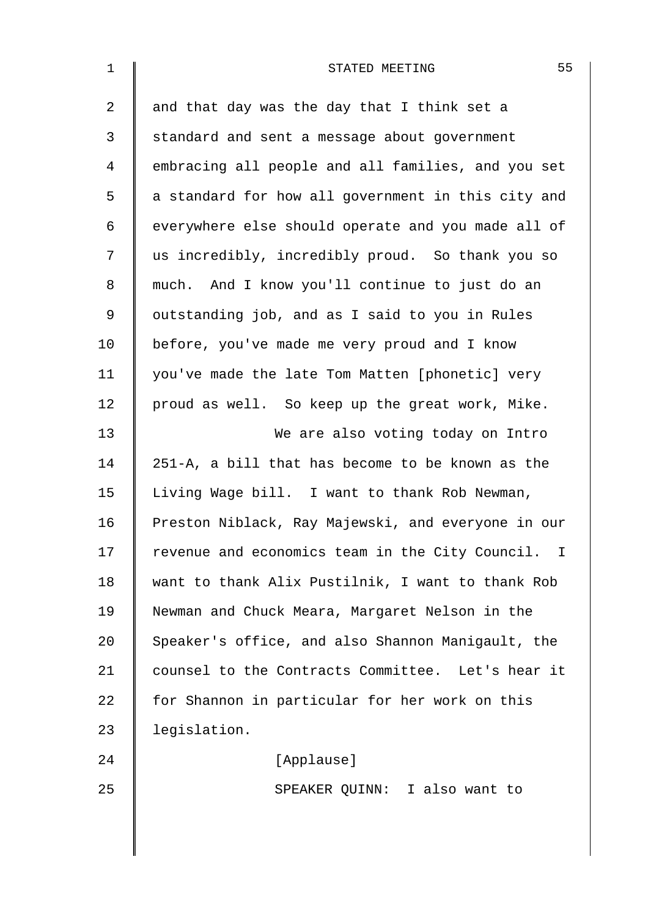| $\mathbf 1$ | 55<br>STATED MEETING                               |
|-------------|----------------------------------------------------|
| 2           | and that day was the day that I think set a        |
| 3           | standard and sent a message about government       |
| 4           | embracing all people and all families, and you set |
| 5           | a standard for how all government in this city and |
| 6           | everywhere else should operate and you made all of |
| 7           | us incredibly, incredibly proud. So thank you so   |
| 8           | much. And I know you'll continue to just do an     |
| 9           | outstanding job, and as I said to you in Rules     |
| 10          | before, you've made me very proud and I know       |
| 11          | you've made the late Tom Matten [phonetic] very    |
| 12          | proud as well. So keep up the great work, Mike.    |
| 13          | We are also voting today on Intro                  |
| 14          | 251-A, a bill that has become to be known as the   |
| 15          | Living Wage bill. I want to thank Rob Newman,      |
| 16          | Preston Niblack, Ray Majewski, and everyone in our |
| 17          | revenue and economics team in the City Council. I  |
| 18          | want to thank Alix Pustilnik, I want to thank Rob  |
| 19          | Newman and Chuck Meara, Margaret Nelson in the     |
| 20          | Speaker's office, and also Shannon Manigault, the  |
| 21          | counsel to the Contracts Committee. Let's hear it  |
| 22          | for Shannon in particular for her work on this     |
| 23          | legislation.                                       |
| 24          | [Applause]                                         |
| 25          | SPEAKER QUINN: I also want to                      |
|             |                                                    |
|             |                                                    |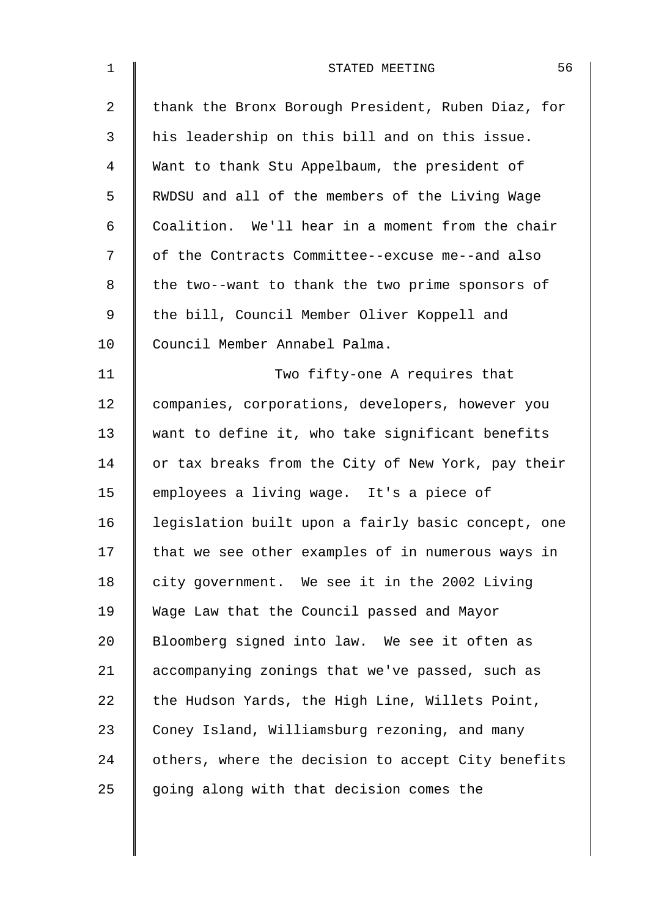| $\mathbf 1$    | 56<br>STATED MEETING                               |
|----------------|----------------------------------------------------|
| $\overline{a}$ | thank the Bronx Borough President, Ruben Diaz, for |
| 3              | his leadership on this bill and on this issue.     |
| 4              | Want to thank Stu Appelbaum, the president of      |
| 5              | RWDSU and all of the members of the Living Wage    |
| 6              | Coalition. We'll hear in a moment from the chair   |
| 7              | of the Contracts Committee--excuse me--and also    |
| 8              | the two--want to thank the two prime sponsors of   |
| 9              | the bill, Council Member Oliver Koppell and        |
| 10             | Council Member Annabel Palma.                      |
| 11             | Two fifty-one A requires that                      |
| 12             | companies, corporations, developers, however you   |
| 13             | want to define it, who take significant benefits   |
| 14             | or tax breaks from the City of New York, pay their |
| 15             | employees a living wage. It's a piece of           |
| 16             | legislation built upon a fairly basic concept, one |
| 17             | that we see other examples of in numerous ways in  |
| 18             | city government. We see it in the 2002 Living      |
| 19             | Wage Law that the Council passed and Mayor         |
| 20             | Bloomberg signed into law. We see it often as      |
| 21             | accompanying zonings that we've passed, such as    |
| 22             | the Hudson Yards, the High Line, Willets Point,    |
| 23             | Coney Island, Williamsburg rezoning, and many      |
| 24             | others, where the decision to accept City benefits |
| 25             | going along with that decision comes the           |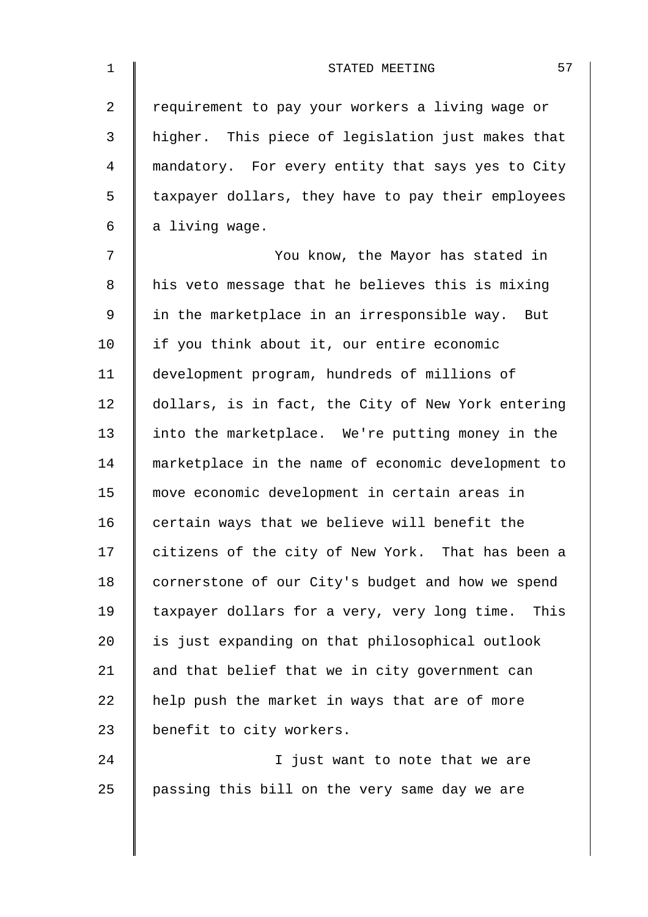| $\mathbf 1$    | 57<br>STATED MEETING                               |
|----------------|----------------------------------------------------|
| $\overline{a}$ | requirement to pay your workers a living wage or   |
| 3              | higher. This piece of legislation just makes that  |
| 4              | mandatory. For every entity that says yes to City  |
| 5              | taxpayer dollars, they have to pay their employees |
| 6              | a living wage.                                     |
| 7              | You know, the Mayor has stated in                  |
| 8              | his veto message that he believes this is mixing   |
| $\mathsf 9$    | in the marketplace in an irresponsible way. But    |
| 10             | if you think about it, our entire economic         |
| 11             | development program, hundreds of millions of       |
| 12             | dollars, is in fact, the City of New York entering |
| 13             | into the marketplace. We're putting money in the   |
| 14             | marketplace in the name of economic development to |
| 15             | move economic development in certain areas in      |
| 16             | certain ways that we believe will benefit the      |
| 17             | citizens of the city of New York. That has been a  |
| 18             | cornerstone of our City's budget and how we spend  |
| 19             | taxpayer dollars for a very, very long time. This  |
| 20             | is just expanding on that philosophical outlook    |
| 21             | and that belief that we in city government can     |
| 22             | help push the market in ways that are of more      |
| 23             | benefit to city workers.                           |
| 24             | I just want to note that we are                    |
| 25             | passing this bill on the very same day we are      |
|                |                                                    |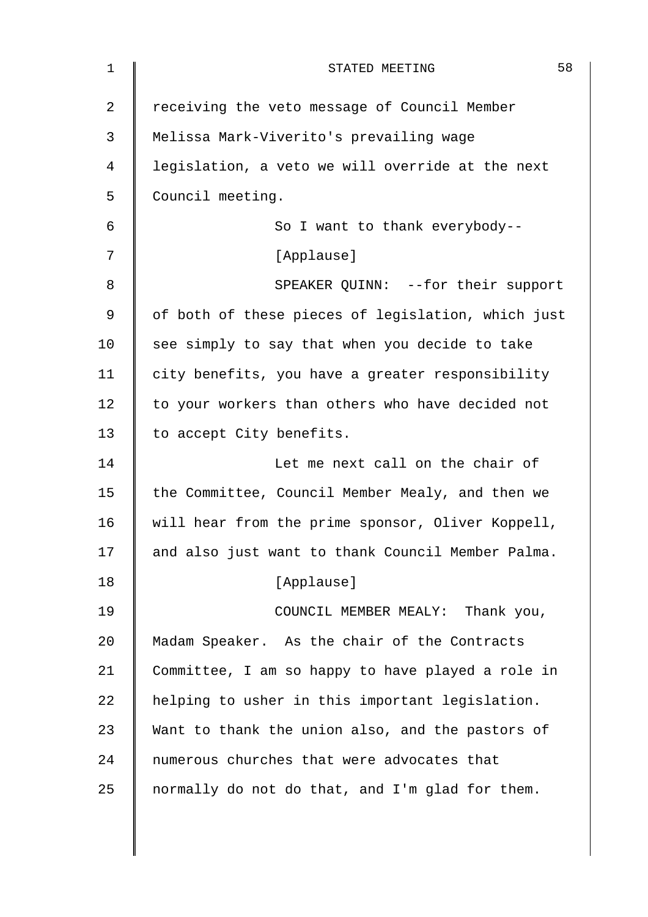| 1              | 58<br>STATED MEETING                               |
|----------------|----------------------------------------------------|
| $\overline{2}$ | receiving the veto message of Council Member       |
| 3              | Melissa Mark-Viverito's prevailing wage            |
| 4              | legislation, a veto we will override at the next   |
| 5              | Council meeting.                                   |
| 6              | So I want to thank everybody--                     |
| 7              | [Applause]                                         |
| 8              | SPEAKER QUINN: --for their support                 |
| 9              | of both of these pieces of legislation, which just |
| 10             | see simply to say that when you decide to take     |
| 11             | city benefits, you have a greater responsibility   |
| 12             | to your workers than others who have decided not   |
| 13             | to accept City benefits.                           |
| 14             | Let me next call on the chair of                   |
| 15             | the Committee, Council Member Mealy, and then we   |
| 16             | will hear from the prime sponsor, Oliver Koppell,  |
| 17             | and also just want to thank Council Member Palma.  |
| 18             | [Applause]                                         |
| 19             | COUNCIL MEMBER MEALY: Thank you,                   |
| 20             | Madam Speaker. As the chair of the Contracts       |
| 21             | Committee, I am so happy to have played a role in  |
| 22             | helping to usher in this important legislation.    |
| 23             | Want to thank the union also, and the pastors of   |
| 24             | numerous churches that were advocates that         |
| 25             | normally do not do that, and I'm glad for them.    |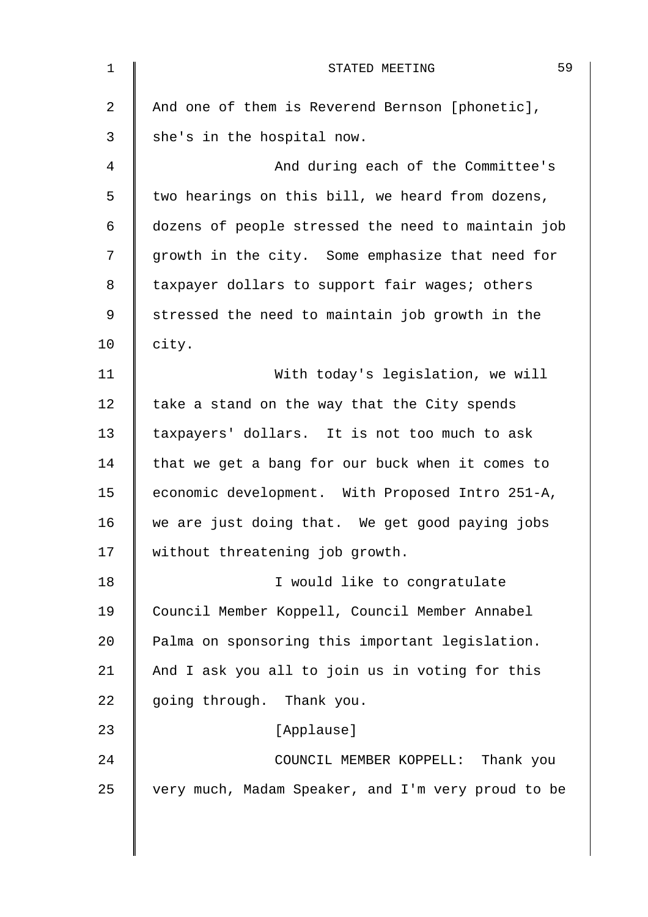| $\mathbf 1$    | 59<br>STATED MEETING                               |
|----------------|----------------------------------------------------|
| $\overline{2}$ | And one of them is Reverend Bernson [phonetic],    |
| 3              | she's in the hospital now.                         |
| 4              | And during each of the Committee's                 |
| 5              | two hearings on this bill, we heard from dozens,   |
| 6              | dozens of people stressed the need to maintain job |
| 7              | growth in the city. Some emphasize that need for   |
| 8              | taxpayer dollars to support fair wages; others     |
| 9              | stressed the need to maintain job growth in the    |
| 10             | city.                                              |
| 11             | With today's legislation, we will                  |
| 12             | take a stand on the way that the City spends       |
| 13             | taxpayers' dollars. It is not too much to ask      |
| 14             | that we get a bang for our buck when it comes to   |
| 15             | economic development. With Proposed Intro 251-A,   |
| 16             | we are just doing that. We get good paying jobs    |
| 17             | without threatening job growth.                    |
| 18             | I would like to congratulate                       |
| 19             | Council Member Koppell, Council Member Annabel     |
| 20             | Palma on sponsoring this important legislation.    |
| 21             | And I ask you all to join us in voting for this    |
| 22             | going through. Thank you.                          |
| 23             | [Applause]                                         |
| 24             | COUNCIL MEMBER KOPPELL: Thank you                  |
| 25             | very much, Madam Speaker, and I'm very proud to be |
|                |                                                    |

 $\overline{\phantom{a}}$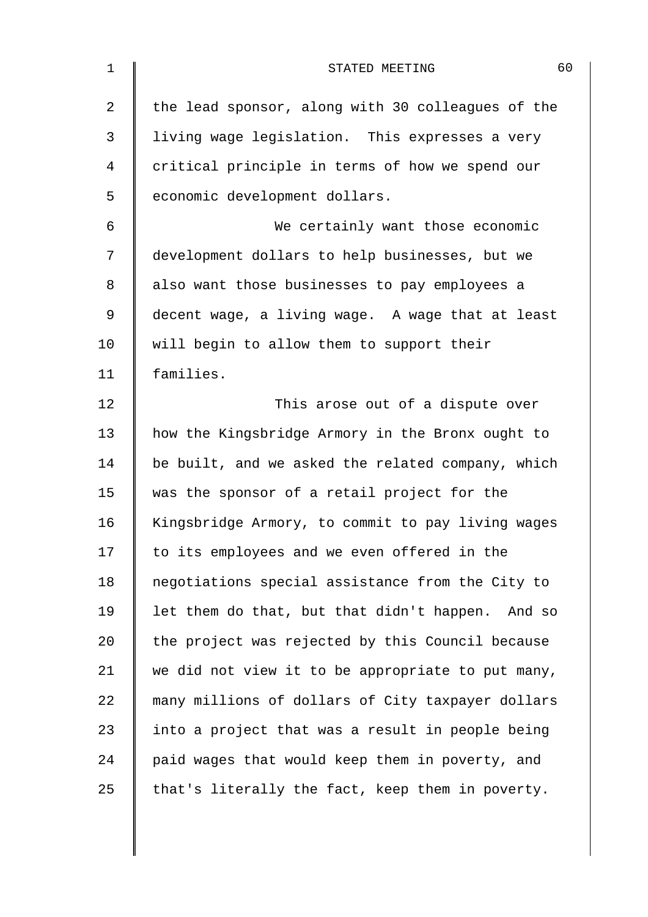| $\mathbf 1$    | 60<br>STATED MEETING                              |
|----------------|---------------------------------------------------|
| $\overline{2}$ | the lead sponsor, along with 30 colleagues of the |
| 3              | living wage legislation. This expresses a very    |
| 4              | critical principle in terms of how we spend our   |
| 5              | economic development dollars.                     |
| 6              | We certainly want those economic                  |
| 7              | development dollars to help businesses, but we    |
| 8              | also want those businesses to pay employees a     |
| $\mathsf 9$    | decent wage, a living wage. A wage that at least  |
| 10             | will begin to allow them to support their         |
| 11             | families.                                         |
| 12             | This arose out of a dispute over                  |
| 13             | how the Kingsbridge Armory in the Bronx ought to  |
| 14             | be built, and we asked the related company, which |
| 15             | was the sponsor of a retail project for the       |
| 16             | Kingsbridge Armory, to commit to pay living wages |
| 17             | to its employees and we even offered in the       |
| 18             | negotiations special assistance from the City to  |
| 19             | let them do that, but that didn't happen. And so  |
| 20             | the project was rejected by this Council because  |
| 21             | we did not view it to be appropriate to put many, |
| 22             | many millions of dollars of City taxpayer dollars |
| 23             | into a project that was a result in people being  |
| 24             | paid wages that would keep them in poverty, and   |
| 25             | that's literally the fact, keep them in poverty.  |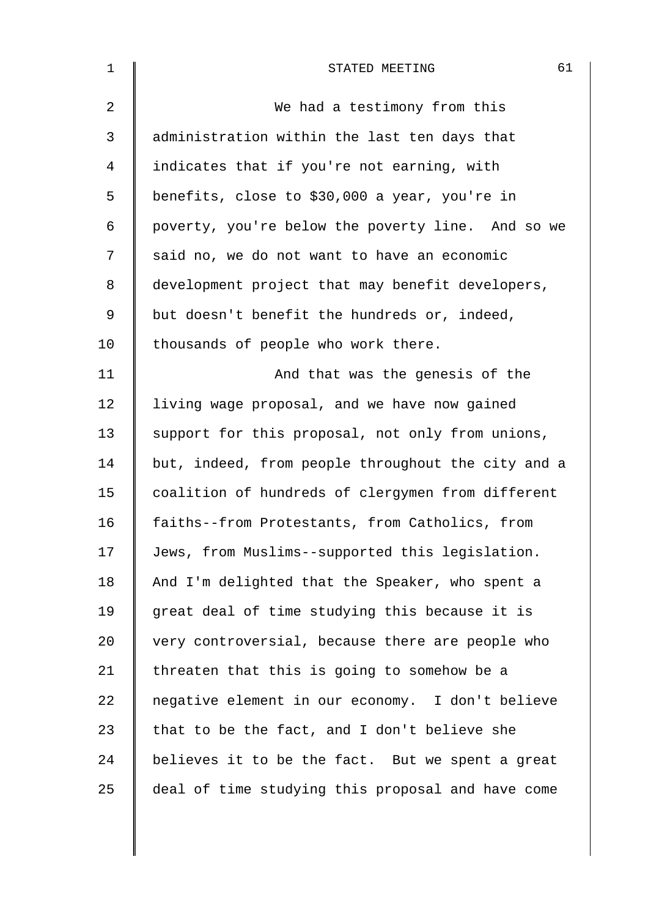| 1              | 61<br>STATED MEETING                               |
|----------------|----------------------------------------------------|
| 2              | We had a testimony from this                       |
| 3              | administration within the last ten days that       |
| $\overline{4}$ | indicates that if you're not earning, with         |
| 5              | benefits, close to \$30,000 a year, you're in      |
| 6              | poverty, you're below the poverty line. And so we  |
| 7              | said no, we do not want to have an economic        |
| 8              | development project that may benefit developers,   |
| 9              | but doesn't benefit the hundreds or, indeed,       |
| 10             | thousands of people who work there.                |
| 11             | And that was the genesis of the                    |
| 12             | living wage proposal, and we have now gained       |
| 13             | support for this proposal, not only from unions,   |
| 14             | but, indeed, from people throughout the city and a |
| 15             | coalition of hundreds of clergymen from different  |
| 16             | faiths--from Protestants, from Catholics, from     |
| 17             | Jews, from Muslims--supported this legislation.    |
| 18             | And I'm delighted that the Speaker, who spent a    |
| 19             | great deal of time studying this because it is     |
| 20             | very controversial, because there are people who   |
| 21             | threaten that this is going to somehow be a        |
| 22             | negative element in our economy. I don't believe   |
| 23             | that to be the fact, and I don't believe she       |
| 24             | believes it to be the fact. But we spent a great   |
| 25             | deal of time studying this proposal and have come  |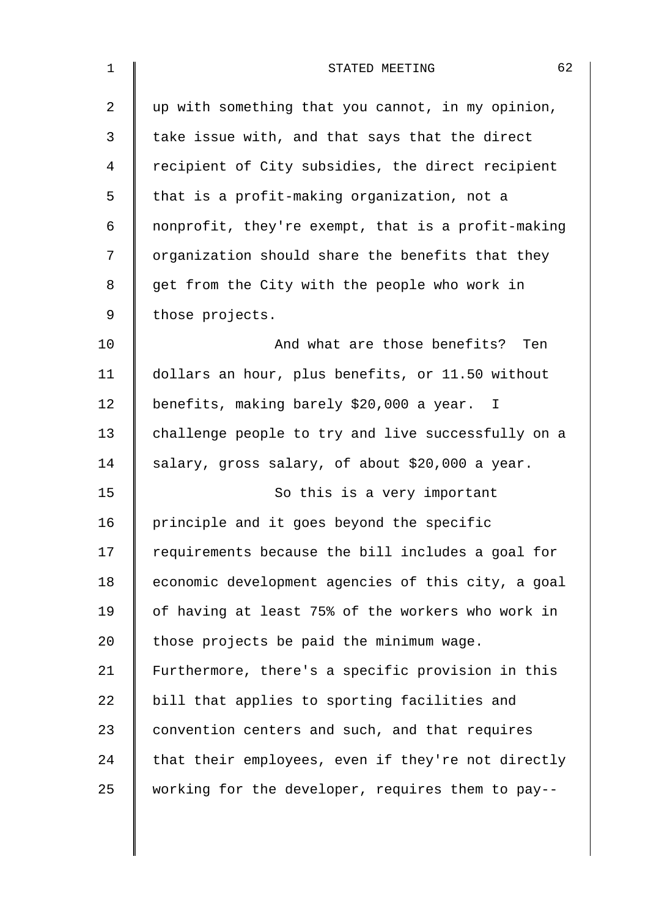| 1              | 62<br>STATED MEETING                               |
|----------------|----------------------------------------------------|
| $\overline{2}$ | up with something that you cannot, in my opinion,  |
| 3              | take issue with, and that says that the direct     |
| 4              | recipient of City subsidies, the direct recipient  |
| 5              | that is a profit-making organization, not a        |
| 6              | nonprofit, they're exempt, that is a profit-making |
| 7              | organization should share the benefits that they   |
| 8              | get from the City with the people who work in      |
| 9              | those projects.                                    |
| 10             | And what are those benefits?<br>Ten                |
| 11             | dollars an hour, plus benefits, or 11.50 without   |
| 12             | benefits, making barely \$20,000 a year. I         |
| 13             | challenge people to try and live successfully on a |
| 14             | salary, gross salary, of about \$20,000 a year.    |
| 15             | So this is a very important                        |
| 16             | principle and it goes beyond the specific          |
| 17             | requirements because the bill includes a goal for  |
| 18             | economic development agencies of this city, a goal |
| 19             | of having at least 75% of the workers who work in  |
| 20             | those projects be paid the minimum wage.           |
| 21             | Furthermore, there's a specific provision in this  |
| 22             | bill that applies to sporting facilities and       |
| 23             | convention centers and such, and that requires     |
| 24             | that their employees, even if they're not directly |
| 25             | working for the developer, requires them to pay--  |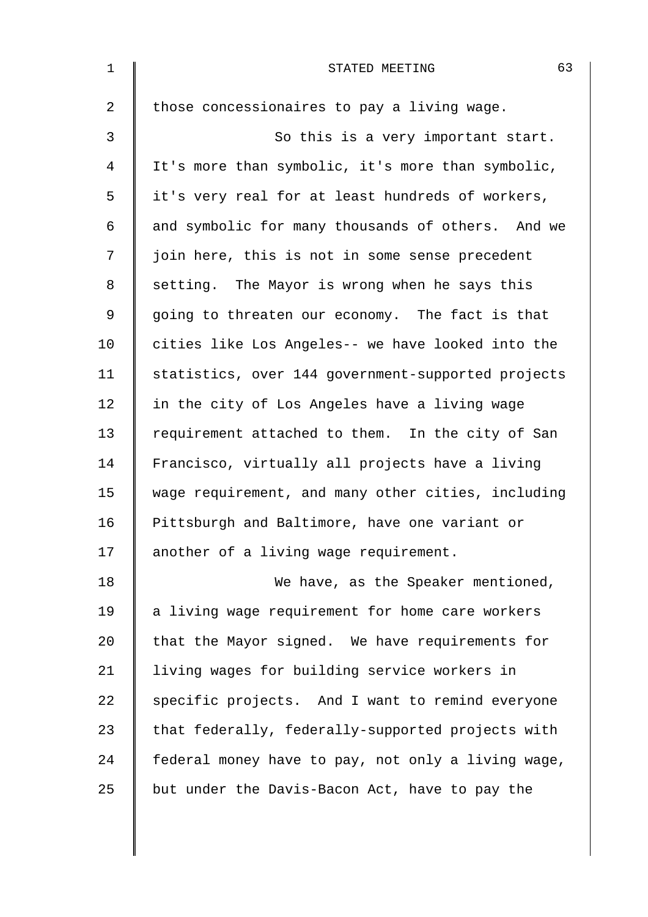| $\mathbf 1$    | 63<br>STATED MEETING                               |
|----------------|----------------------------------------------------|
| $\overline{2}$ | those concessionaires to pay a living wage.        |
| 3              | So this is a very important start.                 |
| $\overline{4}$ | It's more than symbolic, it's more than symbolic,  |
| 5              | it's very real for at least hundreds of workers,   |
| 6              | and symbolic for many thousands of others. And we  |
| 7              | join here, this is not in some sense precedent     |
| 8              | setting. The Mayor is wrong when he says this      |
| $\mathsf 9$    | going to threaten our economy. The fact is that    |
| 10             | cities like Los Angeles-- we have looked into the  |
| 11             | statistics, over 144 government-supported projects |
| 12             | in the city of Los Angeles have a living wage      |
| 13             | requirement attached to them. In the city of San   |
| 14             | Francisco, virtually all projects have a living    |
| 15             | wage requirement, and many other cities, including |
| 16             | Pittsburgh and Baltimore, have one variant or      |
| 17             | another of a living wage requirement.              |
| 18             | We have, as the Speaker mentioned,                 |
| 19             | a living wage requirement for home care workers    |
| 20             | that the Mayor signed. We have requirements for    |
| 21             | living wages for building service workers in       |
| 22             | specific projects. And I want to remind everyone   |
| 23             | that federally, federally-supported projects with  |
| 24             | federal money have to pay, not only a living wage, |
| 25             | but under the Davis-Bacon Act, have to pay the     |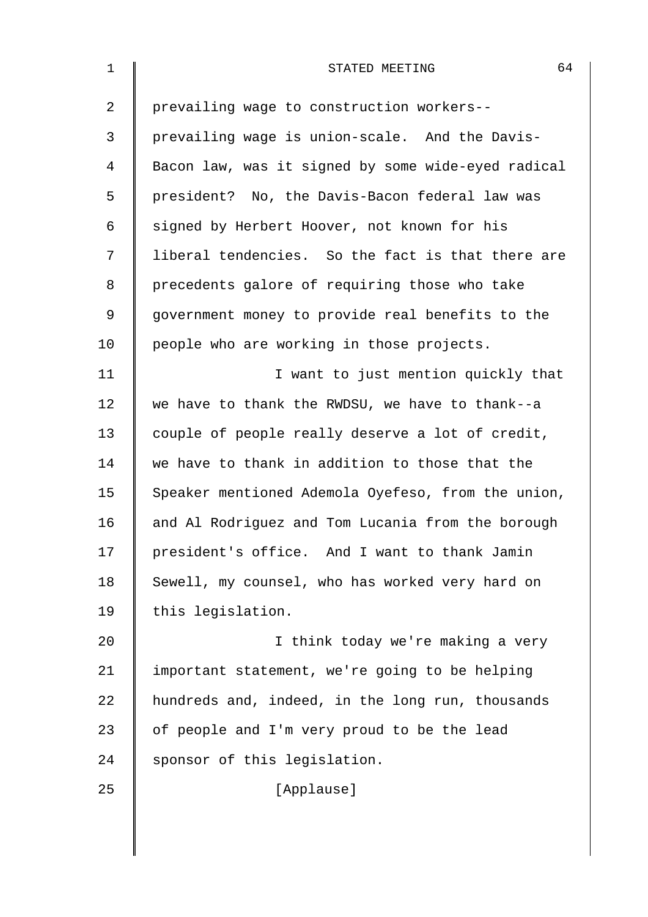| $\mathbf 1$ | 64<br>STATED MEETING                               |
|-------------|----------------------------------------------------|
| 2           | prevailing wage to construction workers--          |
| 3           | prevailing wage is union-scale. And the Davis-     |
| 4           | Bacon law, was it signed by some wide-eyed radical |
| 5           | president? No, the Davis-Bacon federal law was     |
| 6           | signed by Herbert Hoover, not known for his        |
| 7           | liberal tendencies. So the fact is that there are  |
| 8           | precedents galore of requiring those who take      |
| 9           | government money to provide real benefits to the   |
| 10          | people who are working in those projects.          |
| 11          | I want to just mention quickly that                |
| 12          | we have to thank the RWDSU, we have to thank--a    |
| 13          | couple of people really deserve a lot of credit,   |
| 14          | we have to thank in addition to those that the     |
| 15          | Speaker mentioned Ademola Oyefeso, from the union, |
| 16          | and Al Rodriguez and Tom Lucania from the borough  |
| 17          | president's office. And I want to thank Jamin      |
| 18          | Sewell, my counsel, who has worked very hard on    |
| 19          | this legislation.                                  |
| 20          | I think today we're making a very                  |
| 21          | important statement, we're going to be helping     |
| 22          | hundreds and, indeed, in the long run, thousands   |
| 23          | of people and I'm very proud to be the lead        |
| 24          | sponsor of this legislation.                       |
| 25          | [Applause]                                         |
|             |                                                    |
|             |                                                    |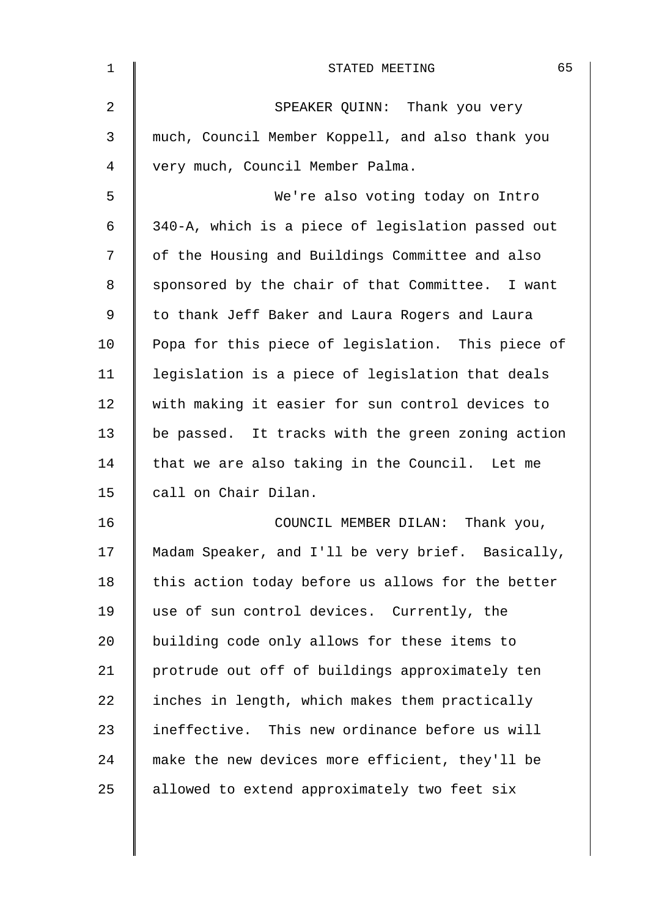| 1              | 65<br>STATED MEETING                              |
|----------------|---------------------------------------------------|
| $\overline{2}$ | SPEAKER QUINN: Thank you very                     |
| 3              | much, Council Member Koppell, and also thank you  |
| 4              | very much, Council Member Palma.                  |
| 5              | We're also voting today on Intro                  |
| 6              | 340-A, which is a piece of legislation passed out |
| 7              | of the Housing and Buildings Committee and also   |
| 8              | sponsored by the chair of that Committee. I want  |
| 9              | to thank Jeff Baker and Laura Rogers and Laura    |
| 10             | Popa for this piece of legislation. This piece of |
| 11             | legislation is a piece of legislation that deals  |
| 12             | with making it easier for sun control devices to  |
| 13             | be passed. It tracks with the green zoning action |
| 14             | that we are also taking in the Council. Let me    |
| 15             | call on Chair Dilan.                              |
| 16             | COUNCIL MEMBER DILAN: Thank you,                  |
| 17             | Madam Speaker, and I'll be very brief. Basically, |
| 18             | this action today before us allows for the better |
| 19             | use of sun control devices. Currently, the        |
| 20             | building code only allows for these items to      |
| 21             | protrude out off of buildings approximately ten   |
| 22             | inches in length, which makes them practically    |
| 23             | ineffective. This new ordinance before us will    |
| 24             | make the new devices more efficient, they'll be   |
| 25             | allowed to extend approximately two feet six      |
|                |                                                   |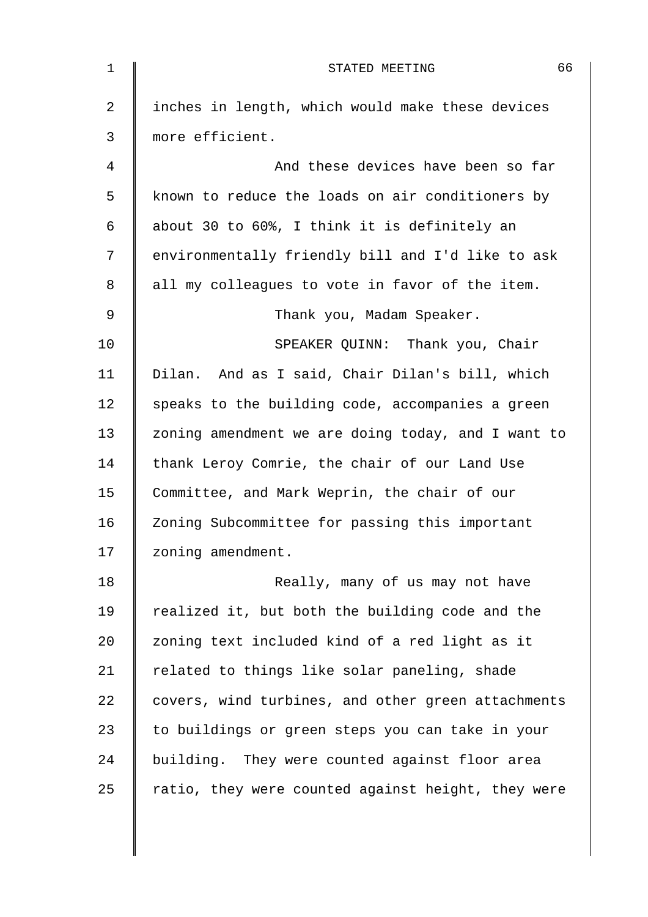| $\mathbf 1$    | 66<br>STATED MEETING                               |
|----------------|----------------------------------------------------|
| $\overline{2}$ | inches in length, which would make these devices   |
| 3              | more efficient.                                    |
| 4              | And these devices have been so far                 |
| 5              | known to reduce the loads on air conditioners by   |
| 6              | about 30 to 60%, I think it is definitely an       |
| 7              | environmentally friendly bill and I'd like to ask  |
| 8              | all my colleagues to vote in favor of the item.    |
| 9              | Thank you, Madam Speaker.                          |
| 10             | SPEAKER QUINN: Thank you, Chair                    |
| 11             | Dilan. And as I said, Chair Dilan's bill, which    |
| 12             | speaks to the building code, accompanies a green   |
| 13             | zoning amendment we are doing today, and I want to |
| 14             | thank Leroy Comrie, the chair of our Land Use      |
| 15             | Committee, and Mark Weprin, the chair of our       |
| 16             | Zoning Subcommittee for passing this important     |
| 17             | zoning amendment.                                  |
| 18             | Really, many of us may not have                    |
| 19             | realized it, but both the building code and the    |
| 20             | zoning text included kind of a red light as it     |
| 21             | related to things like solar paneling, shade       |
| 22             | covers, wind turbines, and other green attachments |
| 23             | to buildings or green steps you can take in your   |
| 24             | building. They were counted against floor area     |
| 25             | ratio, they were counted against height, they were |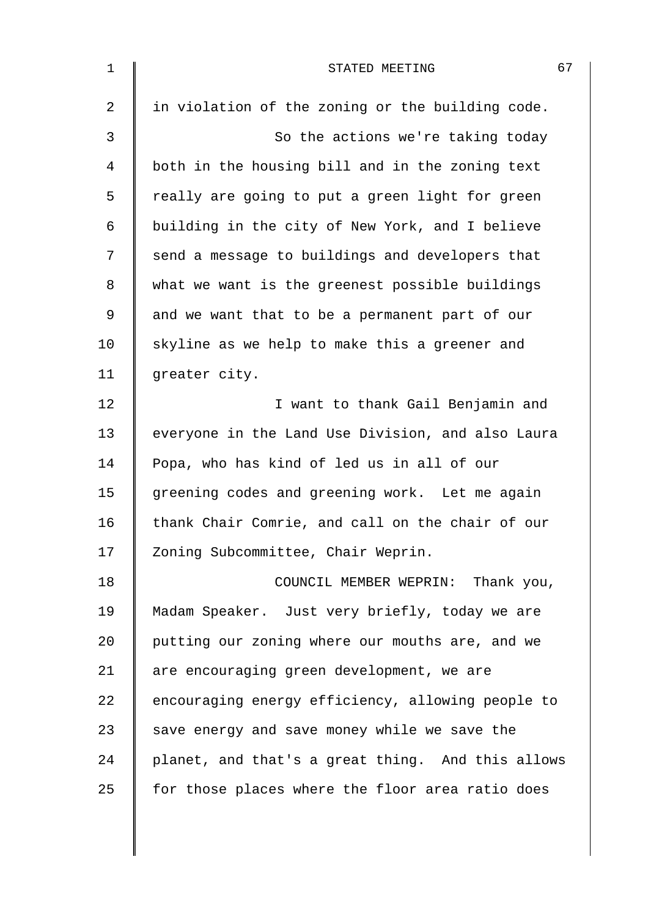| $\mathbf 1$    | 67<br>STATED MEETING                              |
|----------------|---------------------------------------------------|
| $\overline{2}$ | in violation of the zoning or the building code.  |
| 3              | So the actions we're taking today                 |
| $\overline{4}$ | both in the housing bill and in the zoning text   |
| 5              | really are going to put a green light for green   |
| 6              | building in the city of New York, and I believe   |
| 7              | send a message to buildings and developers that   |
| $\,8\,$        | what we want is the greenest possible buildings   |
| $\mathsf 9$    | and we want that to be a permanent part of our    |
| 10             | skyline as we help to make this a greener and     |
| 11             | greater city.                                     |
| 12             | I want to thank Gail Benjamin and                 |
| 13             | everyone in the Land Use Division, and also Laura |
| 14             | Popa, who has kind of led us in all of our        |
| 15             | greening codes and greening work. Let me again    |
| 16             | thank Chair Comrie, and call on the chair of our  |
| 17             | Zoning Subcommittee, Chair Weprin.                |
| 18             | COUNCIL MEMBER WEPRIN: Thank you,                 |
| 19             | Madam Speaker. Just very briefly, today we are    |
| 20             | putting our zoning where our mouths are, and we   |
| 21             | are encouraging green development, we are         |
| 22             | encouraging energy efficiency, allowing people to |
| 23             | save energy and save money while we save the      |
| 24             | planet, and that's a great thing. And this allows |
| 25             | for those places where the floor area ratio does  |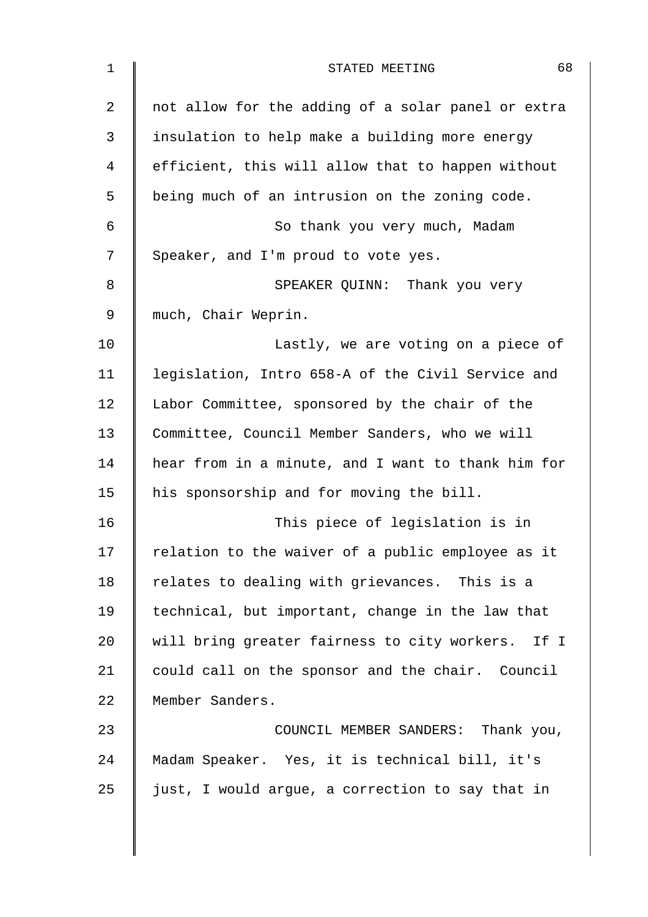| 1  | 68<br>STATED MEETING                               |
|----|----------------------------------------------------|
| 2  | not allow for the adding of a solar panel or extra |
| 3  | insulation to help make a building more energy     |
| 4  | efficient, this will allow that to happen without  |
| 5  | being much of an intrusion on the zoning code.     |
| 6  | So thank you very much, Madam                      |
| 7  | Speaker, and I'm proud to vote yes.                |
| 8  | SPEAKER QUINN: Thank you very                      |
| 9  | much, Chair Weprin.                                |
| 10 | Lastly, we are voting on a piece of                |
| 11 | legislation, Intro 658-A of the Civil Service and  |
| 12 | Labor Committee, sponsored by the chair of the     |
| 13 | Committee, Council Member Sanders, who we will     |
| 14 | hear from in a minute, and I want to thank him for |
| 15 | his sponsorship and for moving the bill.           |
| 16 | This piece of legislation is in                    |
| 17 | relation to the waiver of a public employee as it  |
| 18 | relates to dealing with grievances. This is a      |
| 19 | technical, but important, change in the law that   |
| 20 | will bring greater fairness to city workers. If I  |
| 21 | could call on the sponsor and the chair. Council   |
| 22 | Member Sanders.                                    |
| 23 | COUNCIL MEMBER SANDERS: Thank you,                 |
| 24 | Madam Speaker. Yes, it is technical bill, it's     |
| 25 | just, I would argue, a correction to say that in   |
|    |                                                    |
|    |                                                    |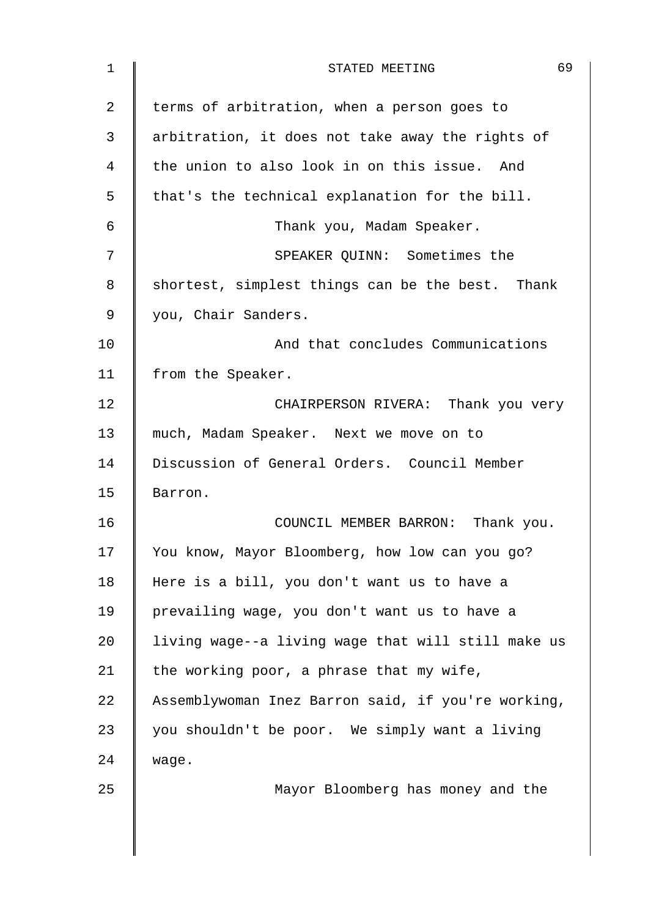| $\mathbf 1$ | 69<br>STATED MEETING                               |
|-------------|----------------------------------------------------|
| 2           | terms of arbitration, when a person goes to        |
| 3           | arbitration, it does not take away the rights of   |
| 4           | the union to also look in on this issue. And       |
| 5           | that's the technical explanation for the bill.     |
| 6           | Thank you, Madam Speaker.                          |
| 7           | SPEAKER QUINN: Sometimes the                       |
| 8           | shortest, simplest things can be the best. Thank   |
| 9           | you, Chair Sanders.                                |
| 10          | And that concludes Communications                  |
| 11          | from the Speaker.                                  |
| 12          | CHAIRPERSON RIVERA: Thank you very                 |
| 13          | much, Madam Speaker. Next we move on to            |
| 14          | Discussion of General Orders. Council Member       |
| 15          | Barron.                                            |
| 16          | COUNCIL MEMBER BARRON: Thank you.                  |
| 17          | You know, Mayor Bloomberg, how low can you go?     |
| 18          | Here is a bill, you don't want us to have a        |
| 19          | prevailing wage, you don't want us to have a       |
| 20          | living wage--a living wage that will still make us |
| 21          | the working poor, a phrase that my wife,           |
| 22          | Assemblywoman Inez Barron said, if you're working, |
| 23          | you shouldn't be poor. We simply want a living     |
| 24          | wage.                                              |
| 25          | Mayor Bloomberg has money and the                  |
|             |                                                    |
|             |                                                    |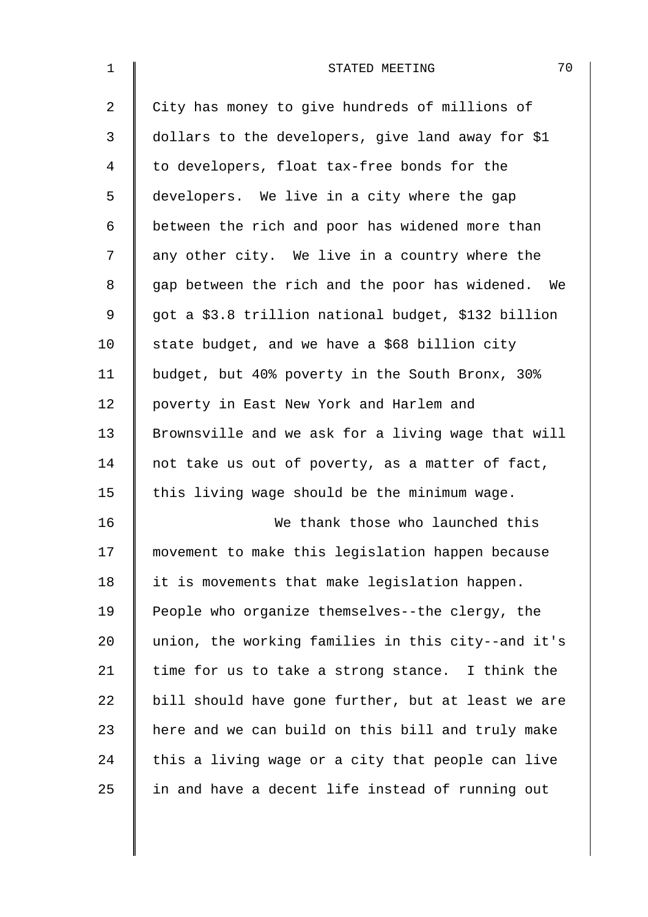| $\mathbf{1}$   | 70<br>STATED MEETING                                |
|----------------|-----------------------------------------------------|
| $\overline{a}$ | City has money to give hundreds of millions of      |
| 3              | dollars to the developers, give land away for \$1   |
| 4              | to developers, float tax-free bonds for the         |
| 5              | developers. We live in a city where the gap         |
| 6              | between the rich and poor has widened more than     |
| 7              | any other city. We live in a country where the      |
| 8              | gap between the rich and the poor has widened. We   |
| 9              | got a \$3.8 trillion national budget, \$132 billion |
| 10             | state budget, and we have a \$68 billion city       |
| 11             | budget, but 40% poverty in the South Bronx, 30%     |
| 12             | poverty in East New York and Harlem and             |
| 13             | Brownsville and we ask for a living wage that will  |
| 14             | not take us out of poverty, as a matter of fact,    |
| 15             | this living wage should be the minimum wage.        |
| 16             | We thank those who launched this                    |
| 17             | movement to make this legislation happen because    |
| 18             | it is movements that make legislation happen.       |
| 19             | People who organize themselves--the clergy, the     |
| 20             | union, the working families in this city--and it's  |
| 21             | time for us to take a strong stance. I think the    |
| 22             | bill should have gone further, but at least we are  |
| 23             | here and we can build on this bill and truly make   |
| 24             | this a living wage or a city that people can live   |
| 25             | in and have a decent life instead of running out    |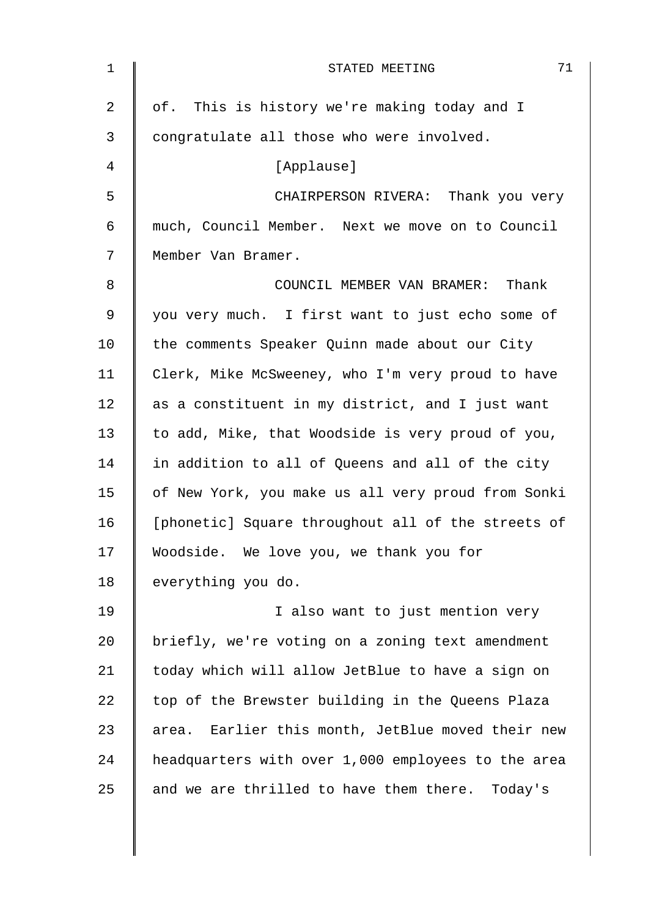| $\mathbf 1$ | 71<br>STATED MEETING                               |
|-------------|----------------------------------------------------|
| 2           | of. This is history we're making today and I       |
| 3           | congratulate all those who were involved.          |
| 4           | [Applause]                                         |
| 5           | CHAIRPERSON RIVERA: Thank you very                 |
| 6           | much, Council Member. Next we move on to Council   |
| 7           | Member Van Bramer.                                 |
| 8           | COUNCIL MEMBER VAN BRAMER: Thank                   |
| $\mathsf 9$ | you very much. I first want to just echo some of   |
| 10          | the comments Speaker Quinn made about our City     |
| 11          | Clerk, Mike McSweeney, who I'm very proud to have  |
| 12          | as a constituent in my district, and I just want   |
| 13          | to add, Mike, that Woodside is very proud of you,  |
| 14          | in addition to all of Queens and all of the city   |
| 15          | of New York, you make us all very proud from Sonki |
| 16          | [phonetic] Square throughout all of the streets of |
| 17          | Woodside. We love you, we thank you for            |
| 18          | everything you do.                                 |
| 19          | I also want to just mention very                   |
| 20          | briefly, we're voting on a zoning text amendment   |
| 21          | today which will allow JetBlue to have a sign on   |
| 22          | top of the Brewster building in the Queens Plaza   |
| 23          | area. Earlier this month, JetBlue moved their new  |
| 24          | headquarters with over 1,000 employees to the area |
| 25          | and we are thrilled to have them there. Today's    |
|             |                                                    |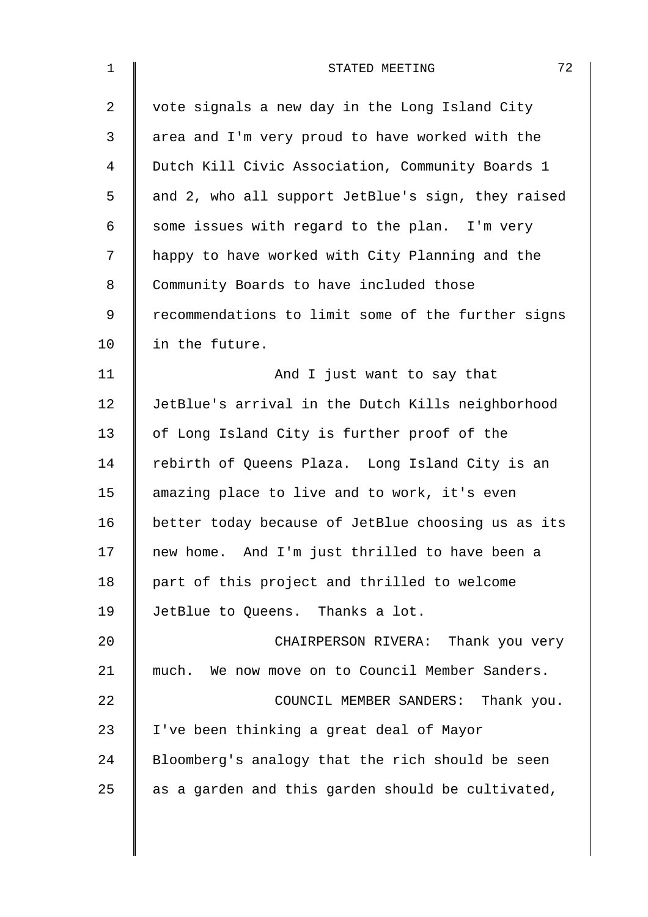| $\mathbf 1$ | 72<br>STATED MEETING                               |
|-------------|----------------------------------------------------|
| 2           | vote signals a new day in the Long Island City     |
| 3           | area and I'm very proud to have worked with the    |
| 4           | Dutch Kill Civic Association, Community Boards 1   |
| 5           | and 2, who all support JetBlue's sign, they raised |
| 6           | some issues with regard to the plan. I'm very      |
| 7           | happy to have worked with City Planning and the    |
| 8           | Community Boards to have included those            |
| $\mathsf 9$ | recommendations to limit some of the further signs |
| 10          | in the future.                                     |
| 11          | And I just want to say that                        |
| 12          | JetBlue's arrival in the Dutch Kills neighborhood  |
| 13          | of Long Island City is further proof of the        |
| 14          | rebirth of Queens Plaza. Long Island City is an    |
| 15          | amazing place to live and to work, it's even       |
| 16          | better today because of JetBlue choosing us as its |
| 17          | new home. And I'm just thrilled to have been a     |
| 18          | part of this project and thrilled to welcome       |
| 19          | JetBlue to Queens. Thanks a lot.                   |
| 20          | CHAIRPERSON RIVERA: Thank you very                 |
| 21          | much. We now move on to Council Member Sanders.    |
| 22          | COUNCIL MEMBER SANDERS: Thank you.                 |
| 23          | I've been thinking a great deal of Mayor           |
| 24          | Bloomberg's analogy that the rich should be seen   |
| 25          | as a garden and this garden should be cultivated,  |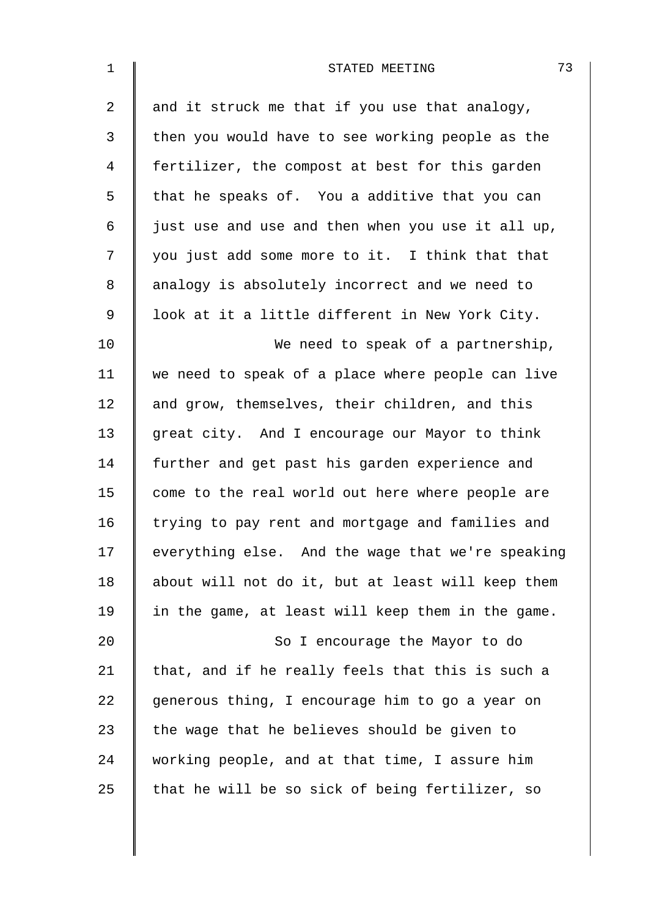| $\mathbf 1$    | 73<br>STATED MEETING                              |
|----------------|---------------------------------------------------|
| $\overline{2}$ | and it struck me that if you use that analogy,    |
| 3              | then you would have to see working people as the  |
| 4              | fertilizer, the compost at best for this garden   |
| 5              | that he speaks of. You a additive that you can    |
| 6              | just use and use and then when you use it all up, |
| 7              | you just add some more to it. I think that that   |
| 8              | analogy is absolutely incorrect and we need to    |
| 9              | look at it a little different in New York City.   |
| 10             | We need to speak of a partnership,                |
| 11             | we need to speak of a place where people can live |
| 12             | and grow, themselves, their children, and this    |
| 13             | great city. And I encourage our Mayor to think    |
| 14             | further and get past his garden experience and    |
| 15             | come to the real world out here where people are  |
| 16             | trying to pay rent and mortgage and families and  |
| 17             | everything else. And the wage that we're speaking |
| 18             | about will not do it, but at least will keep them |
| 19             | in the game, at least will keep them in the game. |
| 20             | So I encourage the Mayor to do                    |
| 21             | that, and if he really feels that this is such a  |
| 22             | generous thing, I encourage him to go a year on   |
| 23             | the wage that he believes should be given to      |
| 24             | working people, and at that time, I assure him    |
| 25             | that he will be so sick of being fertilizer, so   |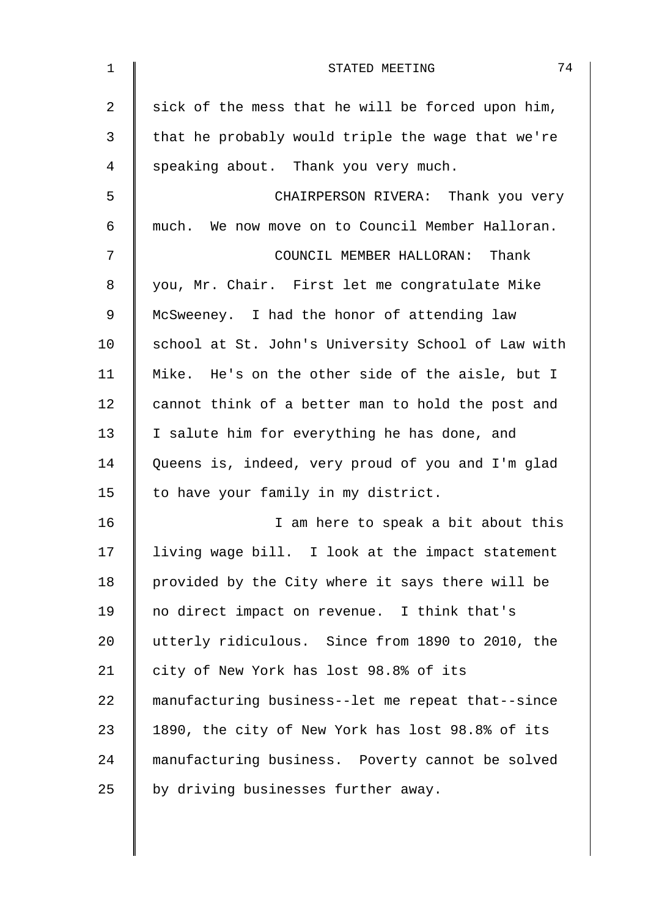| $\mathbf 1$    | 74<br>STATED MEETING                               |
|----------------|----------------------------------------------------|
| $\overline{2}$ | sick of the mess that he will be forced upon him,  |
| 3              | that he probably would triple the wage that we're  |
| 4              | speaking about. Thank you very much.               |
| 5              | CHAIRPERSON RIVERA: Thank you very                 |
| 6              | much. We now move on to Council Member Halloran.   |
| 7              | COUNCIL MEMBER HALLORAN: Thank                     |
| 8              | you, Mr. Chair. First let me congratulate Mike     |
| 9              | McSweeney. I had the honor of attending law        |
| 10             | school at St. John's University School of Law with |
| 11             | Mike. He's on the other side of the aisle, but I   |
| 12             | cannot think of a better man to hold the post and  |
| 13             | I salute him for everything he has done, and       |
| 14             | Queens is, indeed, very proud of you and I'm glad  |
| 15             | to have your family in my district.                |
| 16             | I am here to speak a bit about this                |
| 17             | living wage bill. I look at the impact statement   |
| 18             | provided by the City where it says there will be   |
| 19             | no direct impact on revenue. I think that's        |
| 20             | utterly ridiculous. Since from 1890 to 2010, the   |
| 21             | city of New York has lost 98.8% of its             |
| 22             | manufacturing business--let me repeat that--since  |
| 23             | 1890, the city of New York has lost 98.8% of its   |
| 24             | manufacturing business. Poverty cannot be solved   |
| 25             | by driving businesses further away.                |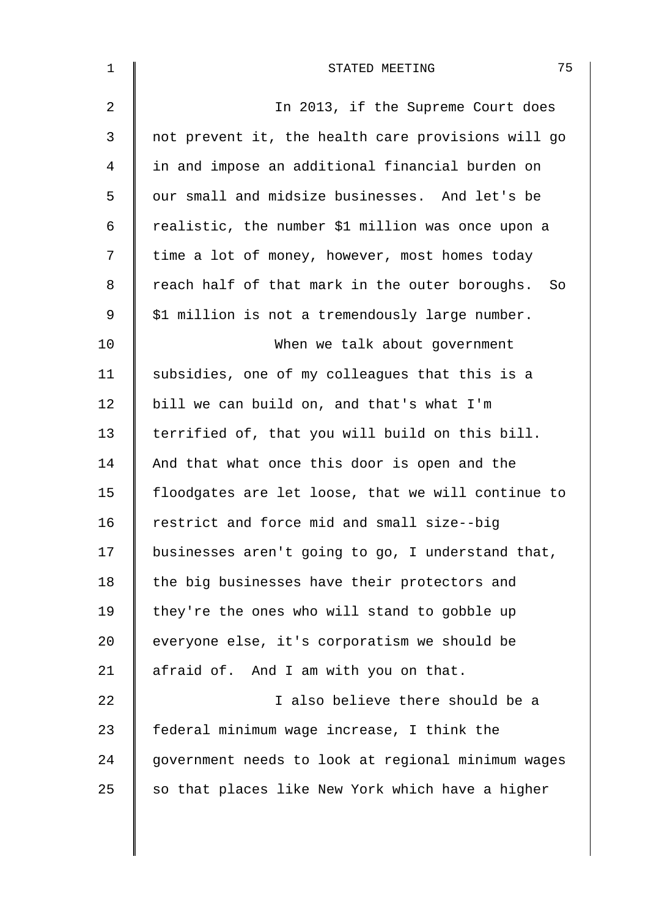| $\mathbf 1$ | 75<br>STATED MEETING                               |
|-------------|----------------------------------------------------|
| 2           | In 2013, if the Supreme Court does                 |
| 3           | not prevent it, the health care provisions will go |
| 4           | in and impose an additional financial burden on    |
| 5           | our small and midsize businesses. And let's be     |
| 6           | realistic, the number \$1 million was once upon a  |
| 7           | time a lot of money, however, most homes today     |
| 8           | reach half of that mark in the outer boroughs. So  |
| 9           | \$1 million is not a tremendously large number.    |
| 10          | When we talk about government                      |
| 11          | subsidies, one of my colleagues that this is a     |
| 12          | bill we can build on, and that's what I'm          |
| 13          | terrified of, that you will build on this bill.    |
| 14          | And that what once this door is open and the       |
| 15          | floodgates are let loose, that we will continue to |
| 16          | restrict and force mid and small size--big         |
| 17          | businesses aren't going to go, I understand that,  |
| 18          | the big businesses have their protectors and       |
| 19          | they're the ones who will stand to gobble up       |
| 20          | everyone else, it's corporatism we should be       |
| 21          | afraid of. And I am with you on that.              |
| 22          | I also believe there should be a                   |
| 23          | federal minimum wage increase, I think the         |
| 24          | government needs to look at regional minimum wages |
| 25          | so that places like New York which have a higher   |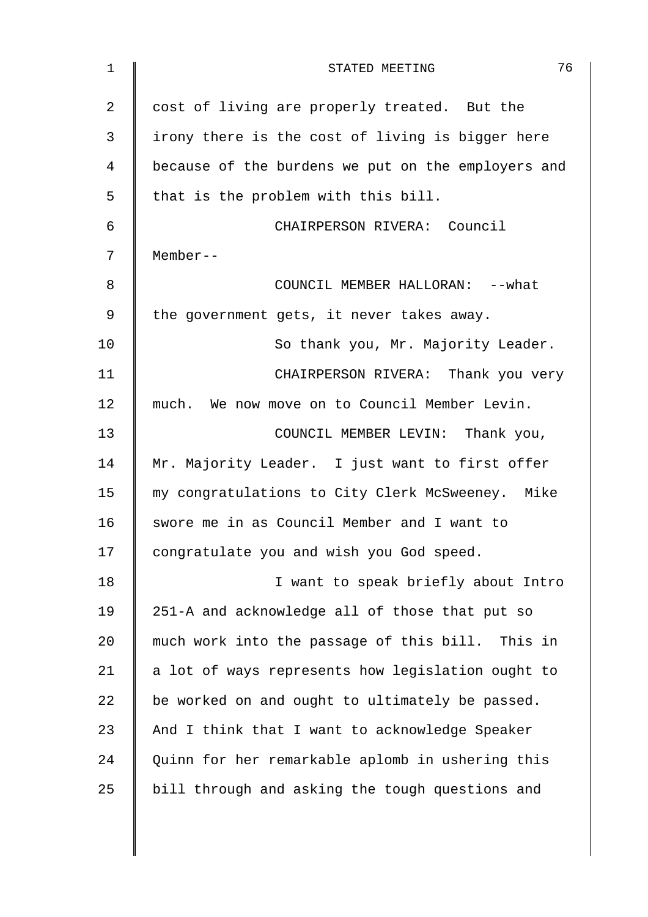| 1              | 76<br>STATED MEETING                               |
|----------------|----------------------------------------------------|
| $\overline{2}$ | cost of living are properly treated. But the       |
| 3              | irony there is the cost of living is bigger here   |
| 4              | because of the burdens we put on the employers and |
| 5              | that is the problem with this bill.                |
| 6              | CHAIRPERSON RIVERA: Council                        |
| 7              | Member--                                           |
| 8              | COUNCIL MEMBER HALLORAN: -- what                   |
| 9              | the government gets, it never takes away.          |
| 10             | So thank you, Mr. Majority Leader.                 |
| 11             | CHAIRPERSON RIVERA: Thank you very                 |
| 12             | much. We now move on to Council Member Levin.      |
| 13             | COUNCIL MEMBER LEVIN: Thank you,                   |
| 14             | Mr. Majority Leader. I just want to first offer    |
| 15             | my congratulations to City Clerk McSweeney. Mike   |
| 16             | swore me in as Council Member and I want to        |
| 17             | congratulate you and wish you God speed.           |
| 18             | I want to speak briefly about Intro                |
| 19             | 251-A and acknowledge all of those that put so     |
| 20             | much work into the passage of this bill. This in   |
| 21             | a lot of ways represents how legislation ought to  |
| 22             | be worked on and ought to ultimately be passed.    |
| 23             | And I think that I want to acknowledge Speaker     |
| 24             | Quinn for her remarkable aplomb in ushering this   |
| 25             | bill through and asking the tough questions and    |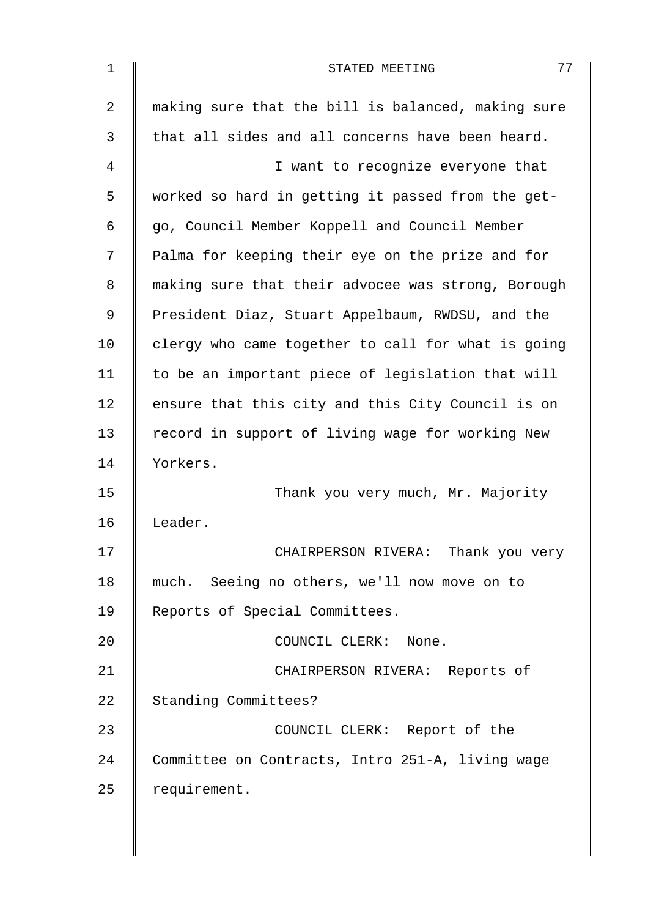| 1  | 77<br>STATED MEETING                               |
|----|----------------------------------------------------|
| 2  | making sure that the bill is balanced, making sure |
| 3  | that all sides and all concerns have been heard.   |
| 4  | I want to recognize everyone that                  |
| 5  | worked so hard in getting it passed from the get-  |
| 6  | go, Council Member Koppell and Council Member      |
| 7  | Palma for keeping their eye on the prize and for   |
| 8  | making sure that their advocee was strong, Borough |
| 9  | President Diaz, Stuart Appelbaum, RWDSU, and the   |
| 10 | clergy who came together to call for what is going |
| 11 | to be an important piece of legislation that will  |
| 12 | ensure that this city and this City Council is on  |
| 13 | record in support of living wage for working New   |
| 14 | Yorkers.                                           |
| 15 | Thank you very much, Mr. Majority                  |
| 16 | Leader.                                            |
| 17 | CHAIRPERSON RIVERA: Thank you very                 |
| 18 | much. Seeing no others, we'll now move on to       |
| 19 | Reports of Special Committees.                     |
| 20 | COUNCIL CLERK: None.                               |
| 21 | CHAIRPERSON RIVERA: Reports of                     |
| 22 | Standing Committees?                               |
| 23 | COUNCIL CLERK: Report of the                       |
| 24 | Committee on Contracts, Intro 251-A, living wage   |
| 25 | requirement.                                       |
|    |                                                    |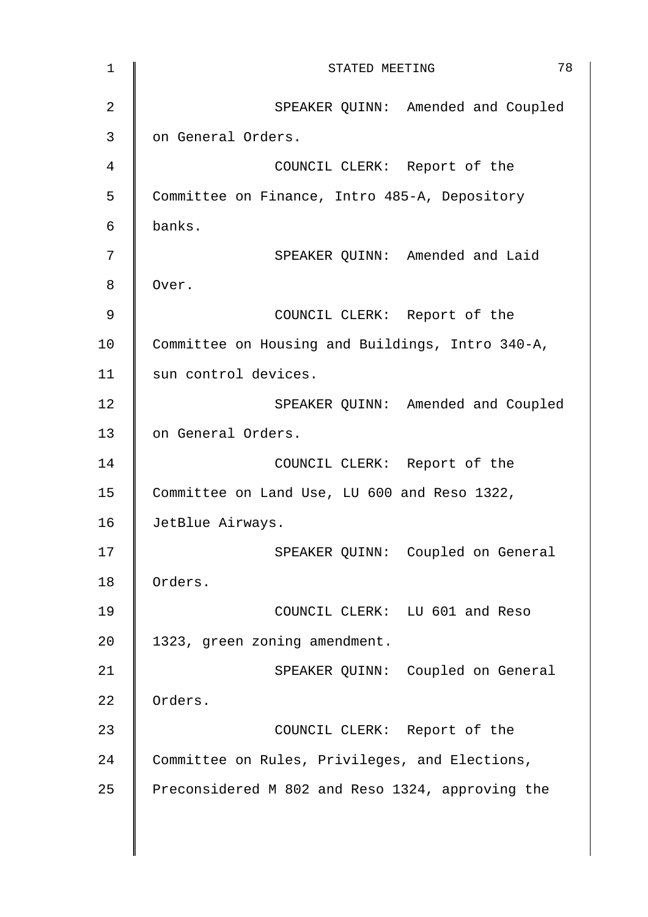| $\mathbf 1$    | 78<br>STATED MEETING                             |
|----------------|--------------------------------------------------|
| $\overline{2}$ | SPEAKER QUINN: Amended and Coupled               |
| 3              | on General Orders.                               |
| $\overline{4}$ | COUNCIL CLERK: Report of the                     |
| 5              | Committee on Finance, Intro 485-A, Depository    |
| 6              | banks.                                           |
| 7              | SPEAKER QUINN: Amended and Laid                  |
| 8              | Over.                                            |
| 9              | COUNCIL CLERK: Report of the                     |
| 10             | Committee on Housing and Buildings, Intro 340-A, |
| 11             | sun control devices.                             |
| 12             | SPEAKER QUINN: Amended and Coupled               |
| 13             | on General Orders.                               |
| 14             | COUNCIL CLERK: Report of the                     |
| 15             | Committee on Land Use, LU 600 and Reso 1322,     |
| 16             | JetBlue Airways.                                 |
| 17             | SPEAKER QUINN: Coupled on General                |
| 18             | Orders.                                          |
| 19             | COUNCIL CLERK: LU 601 and Reso                   |
| 20             | 1323, green zoning amendment.                    |
| 21             | SPEAKER QUINN: Coupled on General                |
| 22             | Orders.                                          |
| 23             | COUNCIL CLERK: Report of the                     |
| 24             | Committee on Rules, Privileges, and Elections,   |
| 25             | Preconsidered M 802 and Reso 1324, approving the |
|                |                                                  |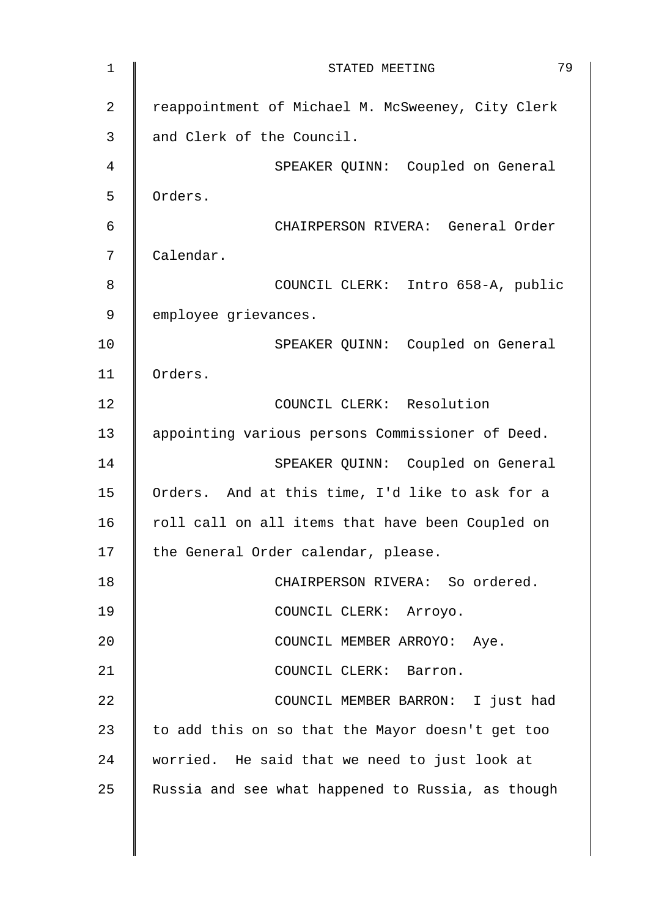| $1\,$          | 79<br>STATED MEETING                              |
|----------------|---------------------------------------------------|
| $\overline{2}$ | reappointment of Michael M. McSweeney, City Clerk |
| 3              | and Clerk of the Council.                         |
| 4              | SPEAKER QUINN: Coupled on General                 |
| 5              | Orders.                                           |
| 6              | CHAIRPERSON RIVERA: General Order                 |
| 7              | Calendar.                                         |
| 8              | COUNCIL CLERK: Intro 658-A, public                |
| 9              | employee grievances.                              |
| 10             | SPEAKER QUINN: Coupled on General                 |
| 11             | Orders.                                           |
| 12             | COUNCIL CLERK: Resolution                         |
| 13             | appointing various persons Commissioner of Deed.  |
| 14             | SPEAKER QUINN: Coupled on General                 |
| 15             | Orders. And at this time, I'd like to ask for a   |
| 16             | roll call on all items that have been Coupled on  |
| 17             | the General Order calendar, please.               |
| 18             | CHAIRPERSON RIVERA: So ordered.                   |
| 19             | COUNCIL CLERK: Arroyo.                            |
| 20             | COUNCIL MEMBER ARROYO: Aye.                       |
| 21             | COUNCIL CLERK: Barron.                            |
| 22             | COUNCIL MEMBER BARRON: I just had                 |
| 23             | to add this on so that the Mayor doesn't get too  |
| 24             | worried. He said that we need to just look at     |
| 25             | Russia and see what happened to Russia, as though |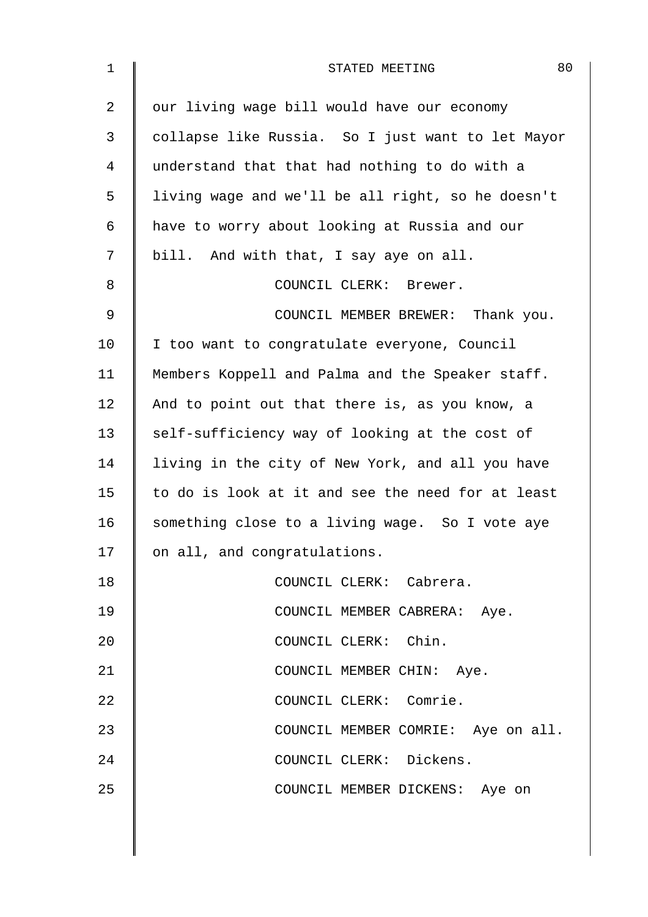| $\mathbf 1$ | 80<br>STATED MEETING                              |
|-------------|---------------------------------------------------|
| 2           | our living wage bill would have our economy       |
| 3           | collapse like Russia. So I just want to let Mayor |
| 4           | understand that that had nothing to do with a     |
| 5           | living wage and we'll be all right, so he doesn't |
| 6           | have to worry about looking at Russia and our     |
| 7           | bill. And with that, I say aye on all.            |
| 8           | COUNCIL CLERK: Brewer.                            |
| 9           | COUNCIL MEMBER BREWER: Thank you.                 |
| 10          | I too want to congratulate everyone, Council      |
| 11          | Members Koppell and Palma and the Speaker staff.  |
| 12          | And to point out that there is, as you know, a    |
| 13          | self-sufficiency way of looking at the cost of    |
| 14          | living in the city of New York, and all you have  |
| 15          | to do is look at it and see the need for at least |
| 16          | something close to a living wage. So I vote aye   |
| 17          | on all, and congratulations.                      |
| 18          | COUNCIL CLERK: Cabrera.                           |
| 19          | COUNCIL MEMBER CABRERA: Aye.                      |
| 20          | COUNCIL CLERK: Chin.                              |
| 21          | COUNCIL MEMBER CHIN: Aye.                         |
| 22          | COUNCIL CLERK: Comrie.                            |
| 23          | COUNCIL MEMBER COMRIE: Aye on all.                |
| 24          | COUNCIL CLERK: Dickens.                           |
| 25          | COUNCIL MEMBER DICKENS: Aye on                    |
|             |                                                   |
|             |                                                   |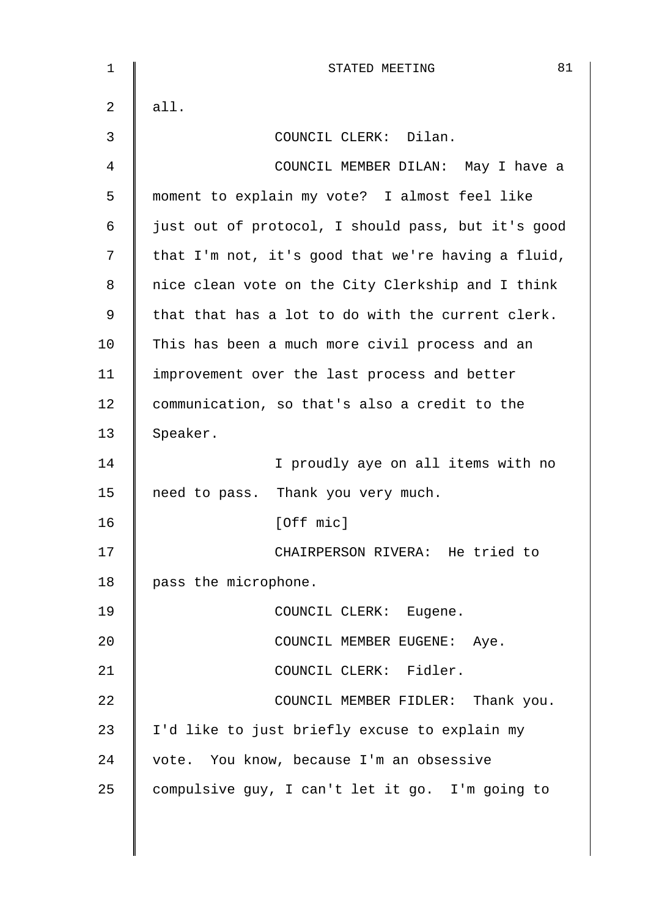| 1  | 81<br>STATED MEETING                               |
|----|----------------------------------------------------|
| 2  | all.                                               |
| 3  | COUNCIL CLERK: Dilan.                              |
| 4  | COUNCIL MEMBER DILAN: May I have a                 |
| 5  | moment to explain my vote? I almost feel like      |
| 6  | just out of protocol, I should pass, but it's good |
| 7  | that I'm not, it's good that we're having a fluid, |
| 8  | nice clean vote on the City Clerkship and I think  |
| 9  | that that has a lot to do with the current clerk.  |
| 10 | This has been a much more civil process and an     |
| 11 | improvement over the last process and better       |
| 12 | communication, so that's also a credit to the      |
| 13 | Speaker.                                           |
| 14 | I proudly aye on all items with no                 |
| 15 | need to pass. Thank you very much.                 |
| 16 | [Off mic]                                          |
| 17 | CHAIRPERSON RIVERA: He tried to                    |
| 18 | pass the microphone.                               |
| 19 | COUNCIL CLERK: Eugene.                             |
| 20 | COUNCIL MEMBER EUGENE: Aye.                        |
| 21 | COUNCIL CLERK: Fidler.                             |
| 22 | COUNCIL MEMBER FIDLER: Thank you.                  |
| 23 | I'd like to just briefly excuse to explain my      |
| 24 | vote. You know, because I'm an obsessive           |
| 25 | compulsive guy, I can't let it go. I'm going to    |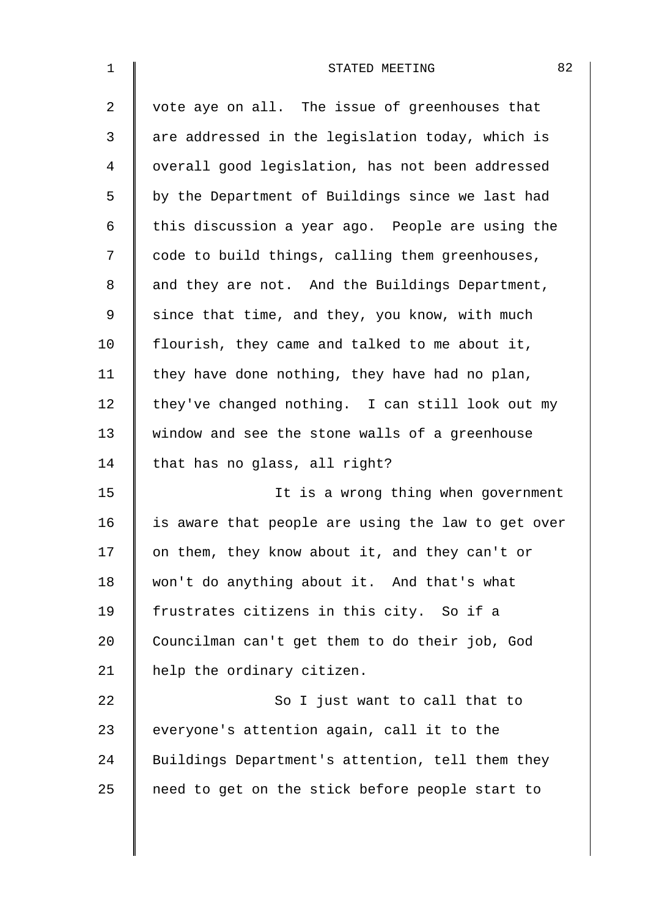| 82<br>STATED MEETING                               |
|----------------------------------------------------|
| vote aye on all. The issue of greenhouses that     |
| are addressed in the legislation today, which is   |
| overall good legislation, has not been addressed   |
| by the Department of Buildings since we last had   |
| this discussion a year ago. People are using the   |
| code to build things, calling them greenhouses,    |
| and they are not. And the Buildings Department,    |
| since that time, and they, you know, with much     |
| flourish, they came and talked to me about it,     |
| they have done nothing, they have had no plan,     |
| they've changed nothing. I can still look out my   |
| window and see the stone walls of a greenhouse     |
| that has no glass, all right?                      |
| It is a wrong thing when government                |
| is aware that people are using the law to get over |
| on them, they know about it, and they can't or     |
| won't do anything about it. And that's what        |
| frustrates citizens in this city. So if a          |
| Councilman can't get them to do their job, God     |
| help the ordinary citizen.                         |
| So I just want to call that to                     |
| everyone's attention again, call it to the         |
| Buildings Department's attention, tell them they   |
| need to get on the stick before people start to    |
|                                                    |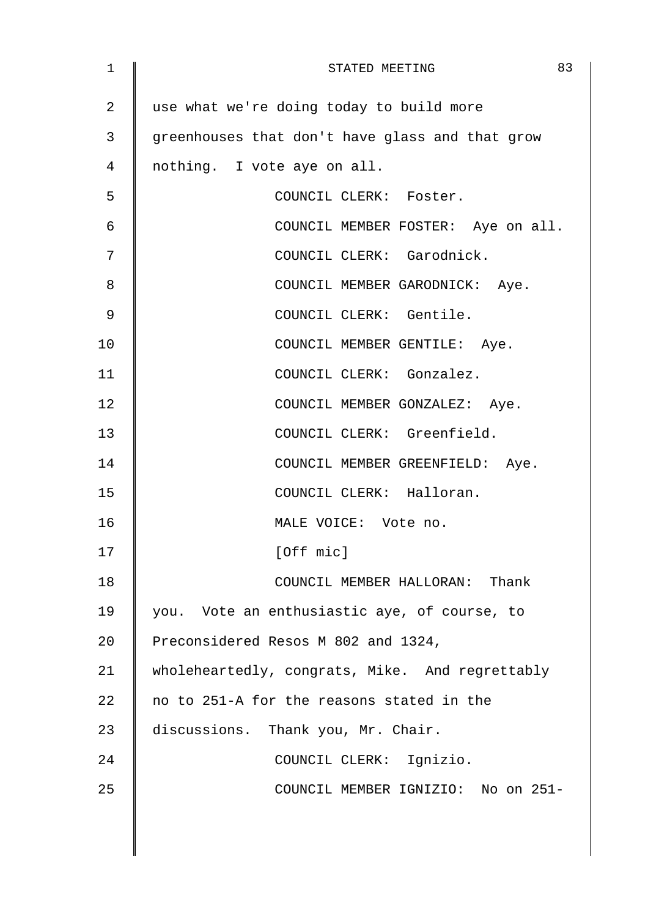| $\mathbf 1$ | 83<br>STATED MEETING                            |
|-------------|-------------------------------------------------|
| 2           | use what we're doing today to build more        |
| 3           | greenhouses that don't have glass and that grow |
| 4           | nothing. I vote aye on all.                     |
| 5           | COUNCIL CLERK: Foster.                          |
| 6           | COUNCIL MEMBER FOSTER: Aye on all.              |
| 7           | COUNCIL CLERK: Garodnick.                       |
| 8           | COUNCIL MEMBER GARODNICK: Aye.                  |
| 9           | COUNCIL CLERK: Gentile.                         |
| 10          | COUNCIL MEMBER GENTILE: Aye.                    |
| 11          | COUNCIL CLERK: Gonzalez.                        |
| 12          | COUNCIL MEMBER GONZALEZ: Aye.                   |
| 13          | COUNCIL CLERK: Greenfield.                      |
| 14          | COUNCIL MEMBER GREENFIELD: Aye.                 |
| 15          | COUNCIL CLERK: Halloran.                        |
| 16          | MALE VOICE: Vote no.                            |
| 17          | [Off mic]                                       |
| 18          | COUNCIL MEMBER HALLORAN: Thank                  |
| 19          | you. Vote an enthusiastic aye, of course, to    |
| 20          | Preconsidered Resos M 802 and 1324,             |
| 21          | wholeheartedly, congrats, Mike. And regrettably |
| 22          | no to 251-A for the reasons stated in the       |
| 23          | discussions. Thank you, Mr. Chair.              |
| 24          | COUNCIL CLERK: Ignizio.                         |
| 25          | COUNCIL MEMBER IGNIZIO: No on 251-              |
|             |                                                 |
|             |                                                 |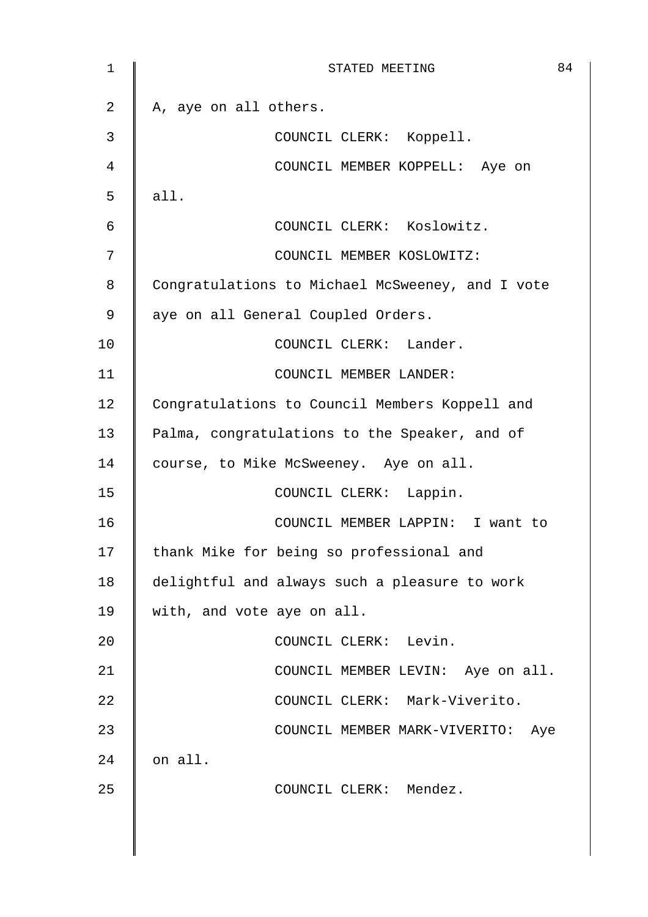| $\mathbf{1}$ | 84<br>STATED MEETING                             |
|--------------|--------------------------------------------------|
| 2            | A, aye on all others.                            |
| 3            | COUNCIL CLERK: Koppell.                          |
| 4            | COUNCIL MEMBER KOPPELL: Aye on                   |
| 5            | all.                                             |
| 6            | COUNCIL CLERK: Koslowitz.                        |
| 7            | COUNCIL MEMBER KOSLOWITZ:                        |
| 8            | Congratulations to Michael McSweeney, and I vote |
| 9            | aye on all General Coupled Orders.               |
| 10           | COUNCIL CLERK: Lander.                           |
| 11           | COUNCIL MEMBER LANDER:                           |
| 12           | Congratulations to Council Members Koppell and   |
| 13           | Palma, congratulations to the Speaker, and of    |
| 14           | course, to Mike McSweeney. Aye on all.           |
| 15           | COUNCIL CLERK: Lappin.                           |
| 16           | COUNCIL MEMBER LAPPIN: I want to                 |
| 17           | thank Mike for being so professional and         |
| 18           | delightful and always such a pleasure to work    |
| 19           | with, and vote aye on all.                       |
| 20           | COUNCIL CLERK: Levin.                            |
| 21           | COUNCIL MEMBER LEVIN: Aye on all.                |
| 22           | COUNCIL CLERK: Mark-Viverito.                    |
| 23           | COUNCIL MEMBER MARK-VIVERITO: Aye                |
| 24           | on all.                                          |
| 25           | COUNCIL CLERK: Mendez.                           |
|              |                                                  |
|              |                                                  |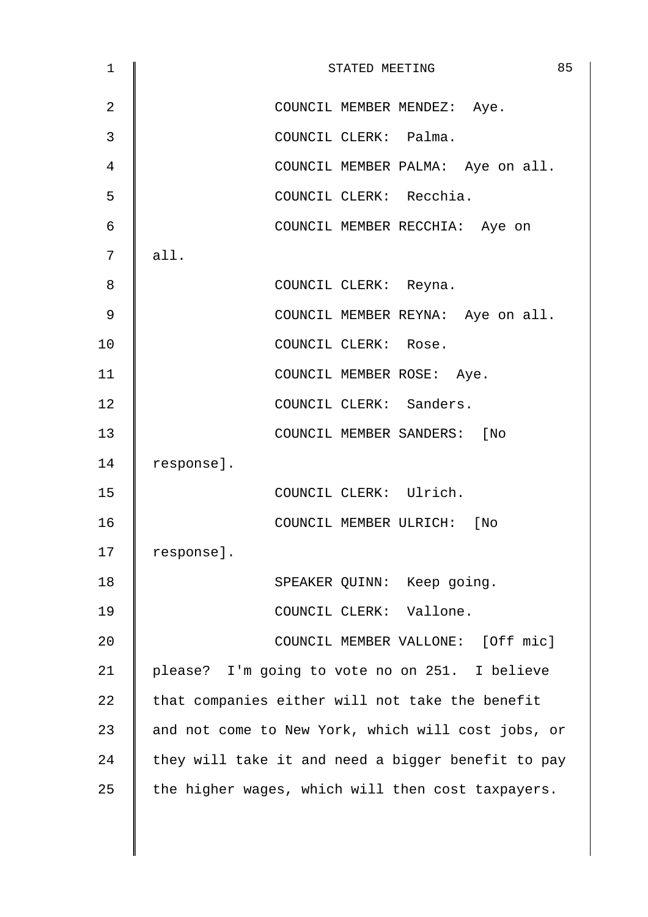| 1  | 85<br>STATED MEETING                               |
|----|----------------------------------------------------|
| 2  | COUNCIL MEMBER MENDEZ: Aye.                        |
| 3  | COUNCIL CLERK: Palma.                              |
| 4  | COUNCIL MEMBER PALMA: Aye on all.                  |
| 5  | COUNCIL CLERK: Recchia.                            |
| 6  | COUNCIL MEMBER RECCHIA: Aye on                     |
| 7  | all.                                               |
| 8  | COUNCIL CLERK: Reyna.                              |
| 9  | COUNCIL MEMBER REYNA: Aye on all.                  |
| 10 | COUNCIL CLERK: Rose.                               |
| 11 | COUNCIL MEMBER ROSE: Aye.                          |
| 12 | COUNCIL CLERK: Sanders.                            |
| 13 | COUNCIL MEMBER SANDERS: [No                        |
| 14 | response].                                         |
| 15 | COUNCIL CLERK: Ulrich.                             |
| 16 | COUNCIL MEMBER ULRICH: [No                         |
| 17 | response].                                         |
| 18 | SPEAKER QUINN: Keep going.                         |
| 19 | COUNCIL CLERK: Vallone.                            |
| 20 | COUNCIL MEMBER VALLONE: [Off mic]                  |
| 21 | please? I'm going to vote no on 251. I believe     |
| 22 | that companies either will not take the benefit    |
| 23 | and not come to New York, which will cost jobs, or |
| 24 | they will take it and need a bigger benefit to pay |
| 25 | the higher wages, which will then cost taxpayers.  |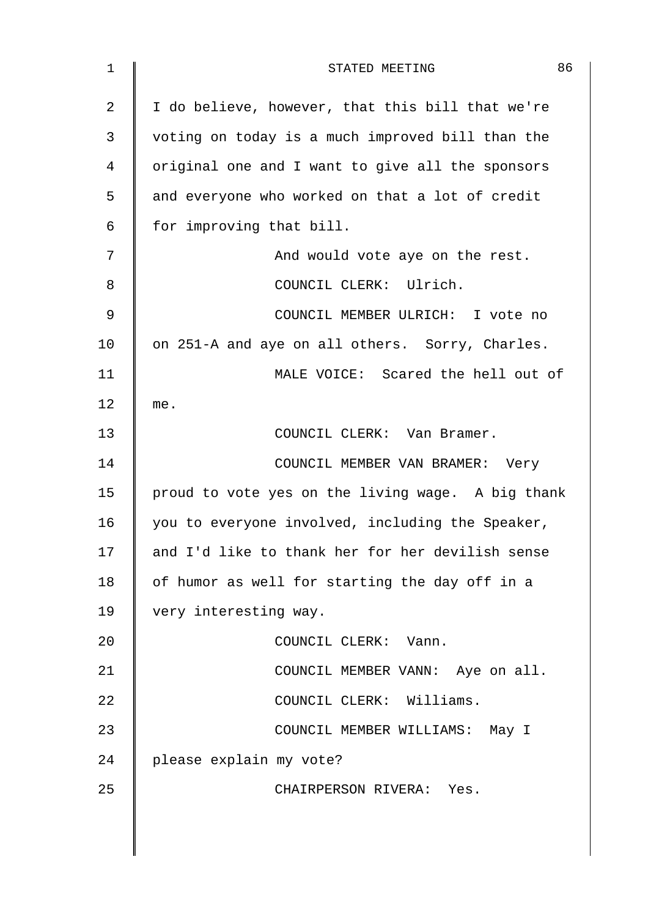| 1              | 86<br>STATED MEETING                              |
|----------------|---------------------------------------------------|
| $\overline{a}$ | I do believe, however, that this bill that we're  |
| 3              | voting on today is a much improved bill than the  |
| 4              | original one and I want to give all the sponsors  |
| 5              | and everyone who worked on that a lot of credit   |
| 6              | for improving that bill.                          |
| 7              | And would vote aye on the rest.                   |
| 8              | COUNCIL CLERK: Ulrich.                            |
| 9              | COUNCIL MEMBER ULRICH: I vote no                  |
| 10             | on 251-A and aye on all others. Sorry, Charles.   |
| 11             | MALE VOICE: Scared the hell out of                |
| 12             | me.                                               |
| 13             | COUNCIL CLERK: Van Bramer.                        |
| 14             | COUNCIL MEMBER VAN BRAMER: Very                   |
| 15             | proud to vote yes on the living wage. A big thank |
| 16             | you to everyone involved, including the Speaker,  |
| 17             | and I'd like to thank her for her devilish sense  |
| 18             | of humor as well for starting the day off in a    |
| 19             | very interesting way.                             |
| 20             | COUNCIL CLERK: Vann.                              |
| 21             | COUNCIL MEMBER VANN: Aye on all.                  |
| 22             | COUNCIL CLERK: Williams.                          |
| 23             | COUNCIL MEMBER WILLIAMS: May I                    |
| 24             | please explain my vote?                           |
| 25             | CHAIRPERSON RIVERA: Yes.                          |
|                |                                                   |
|                |                                                   |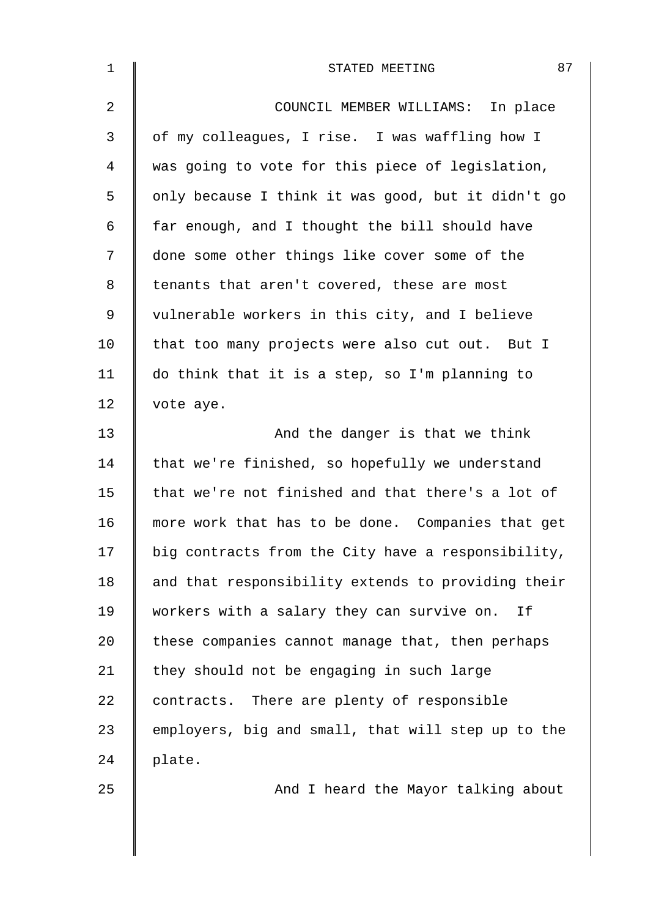| $\mathbf 1$    | 87<br>STATED MEETING                               |
|----------------|----------------------------------------------------|
| $\overline{2}$ | COUNCIL MEMBER WILLIAMS: In place                  |
| 3              | of my colleagues, I rise. I was waffling how I     |
| 4              | was going to vote for this piece of legislation,   |
| 5              | only because I think it was good, but it didn't go |
| $\epsilon$     | far enough, and I thought the bill should have     |
| 7              | done some other things like cover some of the      |
| 8              | tenants that aren't covered, these are most        |
| $\mathsf 9$    | vulnerable workers in this city, and I believe     |
| 10             | that too many projects were also cut out. But I    |
| 11             | do think that it is a step, so I'm planning to     |
| 12             | vote aye.                                          |
| 13             | And the danger is that we think                    |
| 14             | that we're finished, so hopefully we understand    |
| 15             | that we're not finished and that there's a lot of  |
| 16             | more work that has to be done. Companies that get  |
| 17             | big contracts from the City have a responsibility, |
| 18             | and that responsibility extends to providing their |
| 19             | workers with a salary they can survive on.<br>Ιf   |
| 20             | these companies cannot manage that, then perhaps   |
| 21             | they should not be engaging in such large          |
| 22             | contracts. There are plenty of responsible         |
| 23             | employers, big and small, that will step up to the |
| 24             | plate.                                             |
| 25             | And I heard the Mayor talking about                |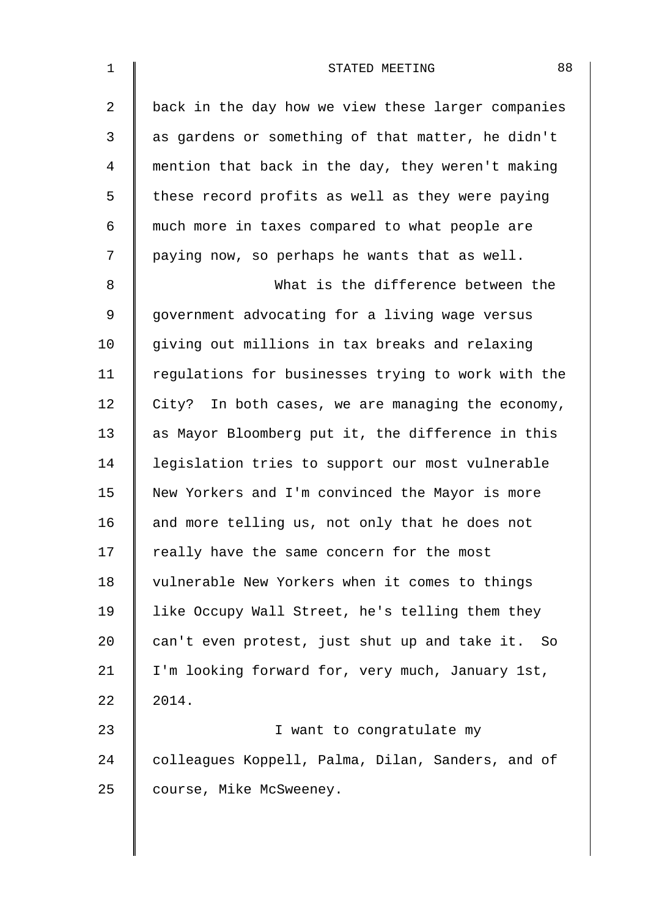| $\mathbf 1$    | 88<br>STATED MEETING                               |
|----------------|----------------------------------------------------|
| $\overline{2}$ | back in the day how we view these larger companies |
| 3              | as gardens or something of that matter, he didn't  |
| 4              | mention that back in the day, they weren't making  |
| 5              | these record profits as well as they were paying   |
| 6              | much more in taxes compared to what people are     |
| 7              | paying now, so perhaps he wants that as well.      |
| 8              | What is the difference between the                 |
| $\mathsf 9$    | government advocating for a living wage versus     |
| 10             | giving out millions in tax breaks and relaxing     |
| 11             | regulations for businesses trying to work with the |
| 12             | City? In both cases, we are managing the economy,  |
| 13             | as Mayor Bloomberg put it, the difference in this  |
| 14             | legislation tries to support our most vulnerable   |
| 15             | New Yorkers and I'm convinced the Mayor is more    |
| 16             | and more telling us, not only that he does not     |
| 17             | really have the same concern for the most          |
| 18             | vulnerable New Yorkers when it comes to things     |
| 19             | like Occupy Wall Street, he's telling them they    |
| 20             | can't even protest, just shut up and take it. So   |
| 21             | I'm looking forward for, very much, January 1st,   |
| 22             | 2014.                                              |
| 23             | I want to congratulate my                          |
| 24             | colleagues Koppell, Palma, Dilan, Sanders, and of  |
| 25             | course, Mike McSweeney.                            |
|                |                                                    |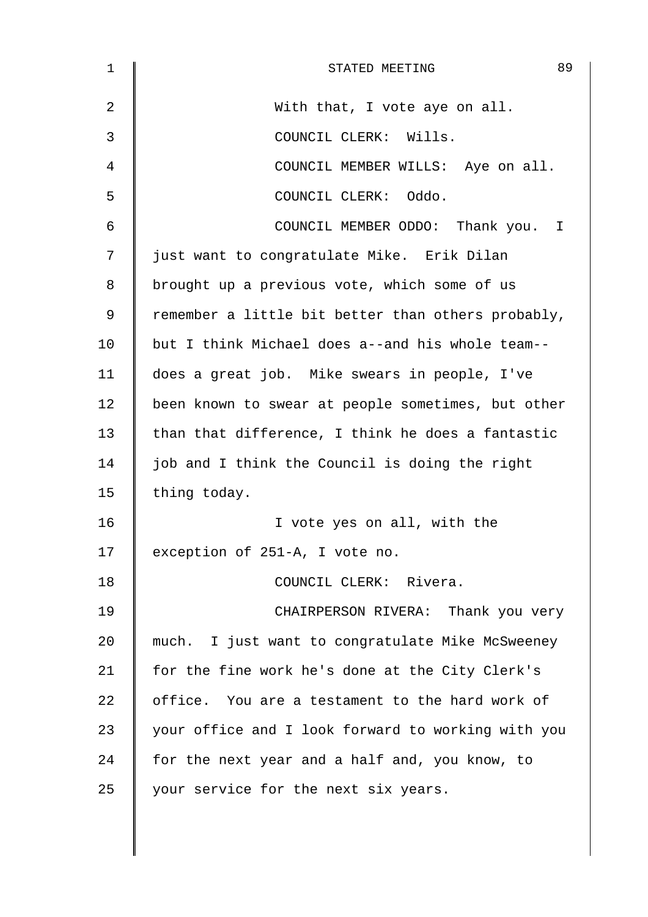| 1           | 89<br>STATED MEETING                               |
|-------------|----------------------------------------------------|
| 2           | With that, I vote aye on all.                      |
| 3           | COUNCIL CLERK: Wills.                              |
| 4           | COUNCIL MEMBER WILLS: Aye on all.                  |
| 5           | COUNCIL CLERK: Oddo.                               |
| 6           | COUNCIL MEMBER ODDO: Thank you. I                  |
| 7           | just want to congratulate Mike. Erik Dilan         |
| 8           | brought up a previous vote, which some of us       |
| $\mathsf 9$ | remember a little bit better than others probably, |
| 10          | but I think Michael does a--and his whole team--   |
| 11          | does a great job. Mike swears in people, I've      |
| 12          | been known to swear at people sometimes, but other |
| 13          | than that difference, I think he does a fantastic  |
| 14          | job and I think the Council is doing the right     |
| 15          | thing today.                                       |
| 16          | I vote yes on all, with the                        |
| 17          | exception of 251-A, I vote no.                     |
| 18          | COUNCIL CLERK: Rivera.                             |
| 19          | CHAIRPERSON RIVERA: Thank you very                 |
| 20          | much. I just want to congratulate Mike McSweeney   |
| 21          | for the fine work he's done at the City Clerk's    |
| 22          | office. You are a testament to the hard work of    |
| 23          | your office and I look forward to working with you |
| 24          | for the next year and a half and, you know, to     |
| 25          | your service for the next six years.               |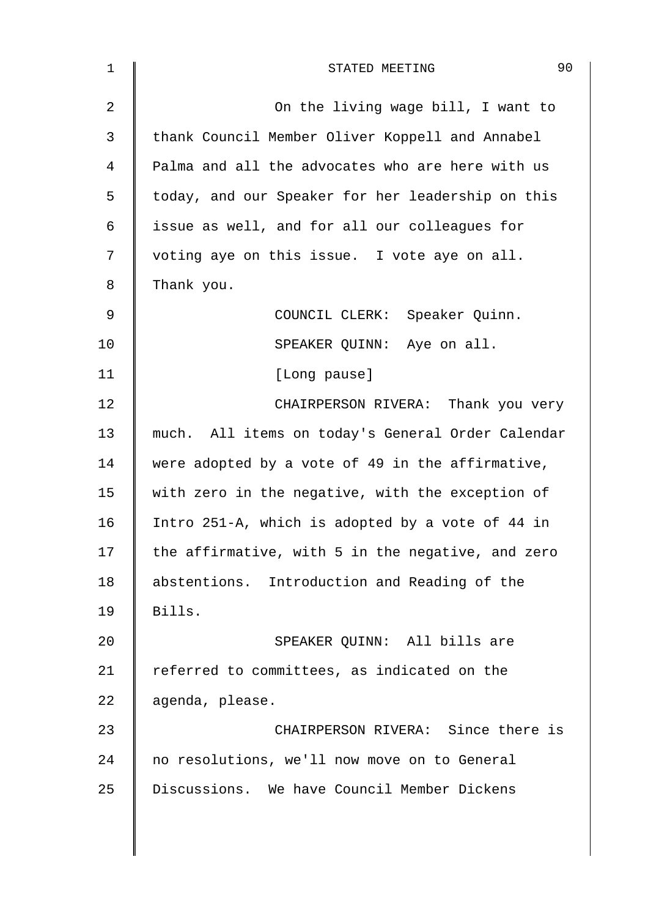| 1          | 90<br>STATED MEETING                              |
|------------|---------------------------------------------------|
| 2          | On the living wage bill, I want to                |
| 3          | thank Council Member Oliver Koppell and Annabel   |
| 4          | Palma and all the advocates who are here with us  |
| 5          | today, and our Speaker for her leadership on this |
| $\epsilon$ | issue as well, and for all our colleagues for     |
| 7          | voting aye on this issue. I vote aye on all.      |
| 8          | Thank you.                                        |
| 9          | COUNCIL CLERK: Speaker Quinn.                     |
| 10         | SPEAKER QUINN: Aye on all.                        |
| 11         | [Long pause]                                      |
| 12         | CHAIRPERSON RIVERA: Thank you very                |
| 13         | much. All items on today's General Order Calendar |
| 14         | were adopted by a vote of 49 in the affirmative,  |
| 15         | with zero in the negative, with the exception of  |
| 16         | Intro 251-A, which is adopted by a vote of 44 in  |
| 17         | the affirmative, with 5 in the negative, and zero |
| 18         | abstentions. Introduction and Reading of the      |
| 19         | Bills.                                            |
| 20         | SPEAKER QUINN: All bills are                      |
| 21         | referred to committees, as indicated on the       |
| 22         | agenda, please.                                   |
| 23         | CHAIRPERSON RIVERA: Since there is                |
| 24         | no resolutions, we'll now move on to General      |
| 25         | Discussions. We have Council Member Dickens       |
|            |                                                   |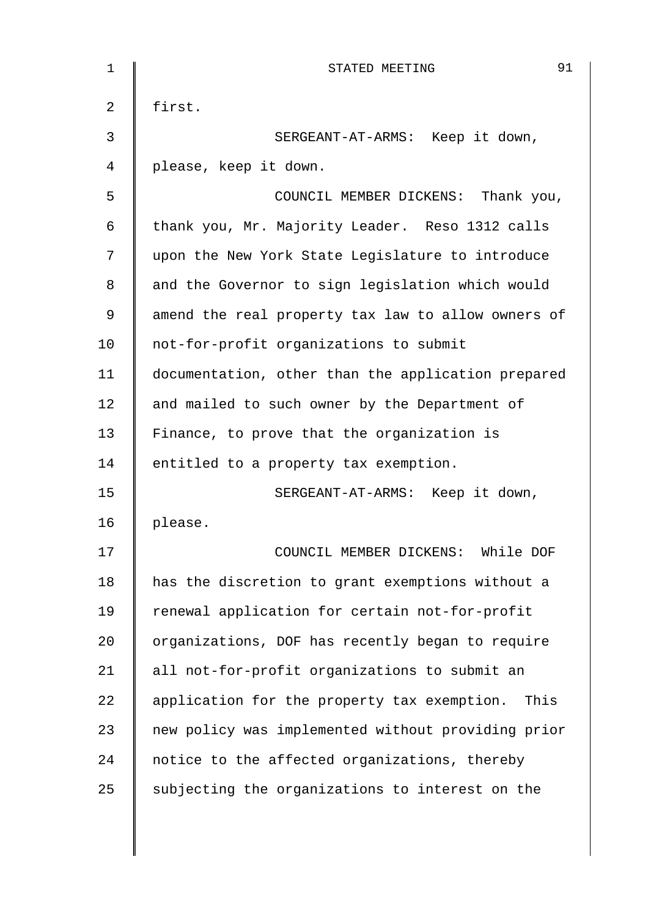| 1  | 91<br>STATED MEETING                               |
|----|----------------------------------------------------|
| 2  | first.                                             |
| 3  | SERGEANT-AT-ARMS: Keep it down,                    |
| 4  | please, keep it down.                              |
| 5  | COUNCIL MEMBER DICKENS: Thank you,                 |
| 6  | thank you, Mr. Majority Leader. Reso 1312 calls    |
| 7  | upon the New York State Legislature to introduce   |
| 8  | and the Governor to sign legislation which would   |
| 9  | amend the real property tax law to allow owners of |
| 10 | not-for-profit organizations to submit             |
| 11 | documentation, other than the application prepared |
| 12 | and mailed to such owner by the Department of      |
| 13 | Finance, to prove that the organization is         |
| 14 | entitled to a property tax exemption.              |
| 15 | SERGEANT-AT-ARMS: Keep it down,                    |
| 16 | please.                                            |
| 17 | COUNCIL MEMBER DICKENS:<br>While DOF               |
| 18 | has the discretion to grant exemptions without a   |
| 19 | renewal application for certain not-for-profit     |
| 20 | organizations, DOF has recently began to require   |
| 21 | all not-for-profit organizations to submit an      |
| 22 | application for the property tax exemption. This   |
| 23 | new policy was implemented without providing prior |
| 24 | notice to the affected organizations, thereby      |
| 25 | subjecting the organizations to interest on the    |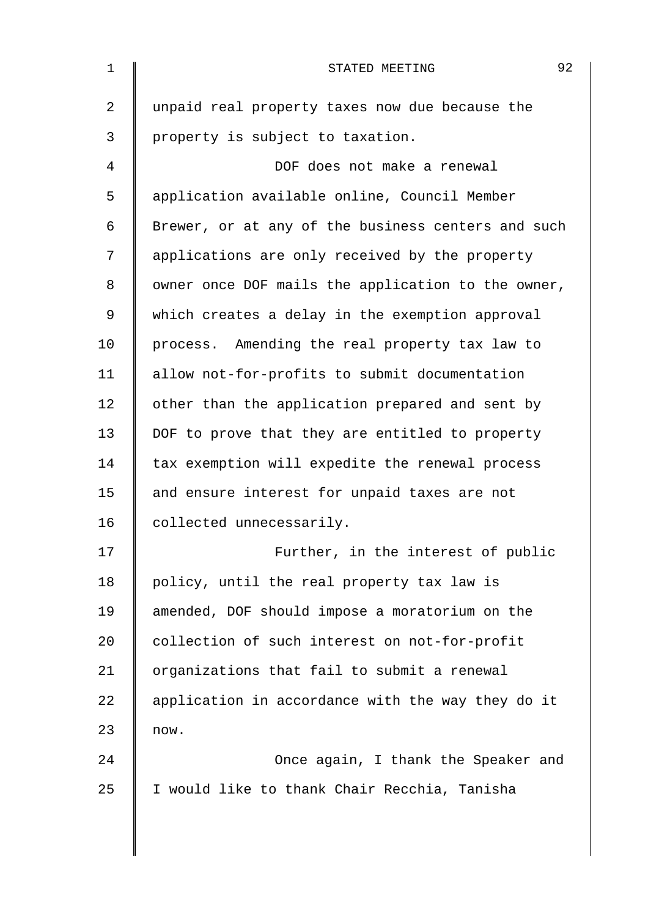| 1              | 92<br>STATED MEETING                               |
|----------------|----------------------------------------------------|
| $\overline{2}$ | unpaid real property taxes now due because the     |
| 3              | property is subject to taxation.                   |
| 4              | DOF does not make a renewal                        |
| 5              | application available online, Council Member       |
| 6              | Brewer, or at any of the business centers and such |
| 7              | applications are only received by the property     |
| 8              | owner once DOF mails the application to the owner, |
| 9              | which creates a delay in the exemption approval    |
| 10             | process. Amending the real property tax law to     |
| 11             | allow not-for-profits to submit documentation      |
| 12             | other than the application prepared and sent by    |
| 13             | DOF to prove that they are entitled to property    |
| 14             | tax exemption will expedite the renewal process    |
| 15             | and ensure interest for unpaid taxes are not       |
| 16             | collected unnecessarily.                           |
| 17             | Further, in the interest of public                 |
| 18             | policy, until the real property tax law is         |
| 19             | amended, DOF should impose a moratorium on the     |
| 20             | collection of such interest on not-for-profit      |
| 21             | organizations that fail to submit a renewal        |
| 22             | application in accordance with the way they do it  |
| 23             | now.                                               |
| 24             | Once again, I thank the Speaker and                |
| 25             | I would like to thank Chair Recchia, Tanisha       |
|                |                                                    |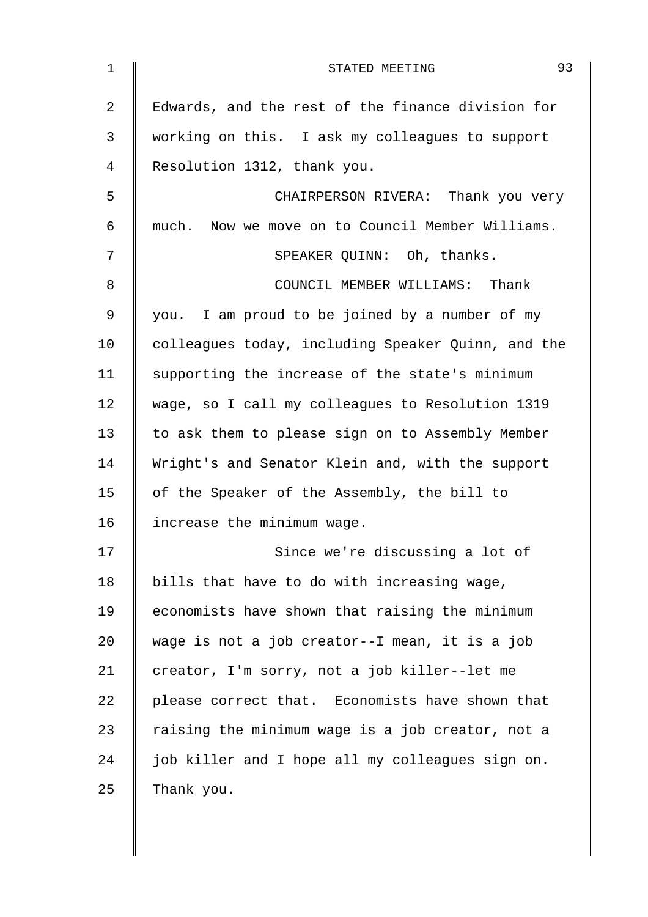| 1  | 93<br>STATED MEETING                               |
|----|----------------------------------------------------|
| 2  | Edwards, and the rest of the finance division for  |
| 3  | working on this. I ask my colleagues to support    |
| 4  | Resolution 1312, thank you.                        |
| 5  | CHAIRPERSON RIVERA: Thank you very                 |
| 6  | much. Now we move on to Council Member Williams.   |
| 7  | SPEAKER QUINN: Oh, thanks.                         |
| 8  | COUNCIL MEMBER WILLIAMS: Thank                     |
| 9  | you. I am proud to be joined by a number of my     |
| 10 | colleagues today, including Speaker Quinn, and the |
| 11 | supporting the increase of the state's minimum     |
| 12 | wage, so I call my colleagues to Resolution 1319   |
| 13 | to ask them to please sign on to Assembly Member   |
| 14 | Wright's and Senator Klein and, with the support   |
| 15 | of the Speaker of the Assembly, the bill to        |
| 16 | increase the minimum wage.                         |
| 17 | Since we're discussing a lot of                    |
| 18 | bills that have to do with increasing wage,        |
| 19 | economists have shown that raising the minimum     |
| 20 | wage is not a job creator--I mean, it is a job     |
| 21 | creator, I'm sorry, not a job killer--let me       |
| 22 | please correct that. Economists have shown that    |
| 23 | raising the minimum wage is a job creator, not a   |
| 24 | job killer and I hope all my colleagues sign on.   |
| 25 | Thank you.                                         |
|    |                                                    |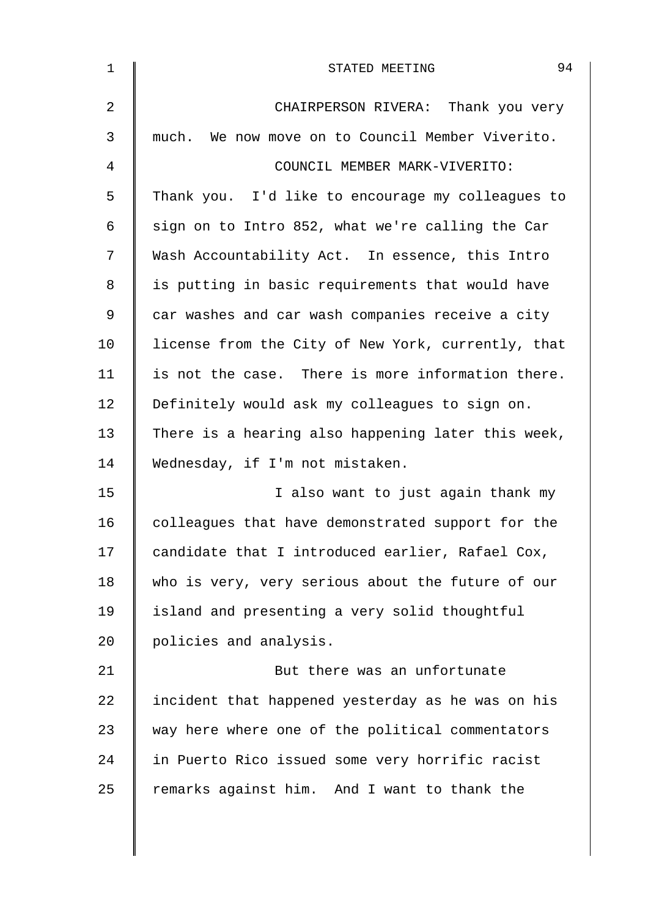| $\mathbf 1$ | 94<br>STATED MEETING                               |
|-------------|----------------------------------------------------|
| 2           | CHAIRPERSON RIVERA: Thank you very                 |
| 3           | much. We now move on to Council Member Viverito.   |
| 4           | COUNCIL MEMBER MARK-VIVERITO:                      |
| 5           | Thank you. I'd like to encourage my colleagues to  |
| 6           | sign on to Intro 852, what we're calling the Car   |
| 7           | Wash Accountability Act. In essence, this Intro    |
| 8           | is putting in basic requirements that would have   |
| 9           | car washes and car wash companies receive a city   |
| 10          | license from the City of New York, currently, that |
| 11          | is not the case. There is more information there.  |
| 12          | Definitely would ask my colleagues to sign on.     |
| 13          | There is a hearing also happening later this week, |
| 14          | Wednesday, if I'm not mistaken.                    |
| 15          | I also want to just again thank my                 |
| 16          | colleagues that have demonstrated support for the  |
| 17          | candidate that I introduced earlier, Rafael Cox,   |
| 18          | who is very, very serious about the future of our  |
| 19          | island and presenting a very solid thoughtful      |
| 20          | policies and analysis.                             |
| 21          | But there was an unfortunate                       |
| 22          | incident that happened yesterday as he was on his  |
| 23          | way here where one of the political commentators   |
| 24          | in Puerto Rico issued some very horrific racist    |
| 25          | remarks against him. And I want to thank the       |
|             |                                                    |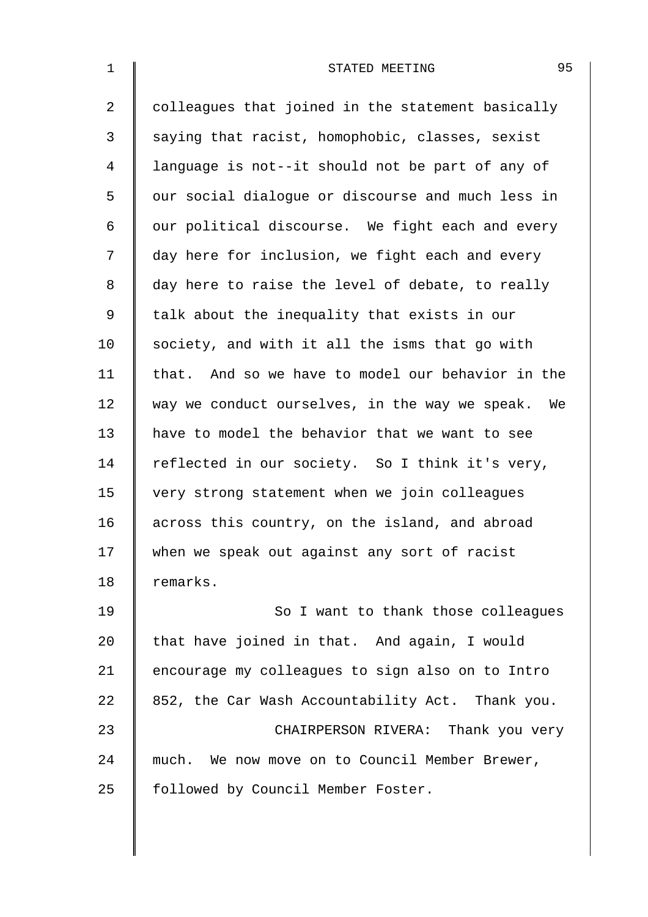| $\mathbf{1}$ | 95<br>STATED MEETING                              |
|--------------|---------------------------------------------------|
| 2            | colleagues that joined in the statement basically |
| 3            | saying that racist, homophobic, classes, sexist   |
| 4            | language is not--it should not be part of any of  |
| 5            | our social dialogue or discourse and much less in |
| 6            | our political discourse. We fight each and every  |
| 7            | day here for inclusion, we fight each and every   |
| 8            | day here to raise the level of debate, to really  |
| $\mathsf 9$  | talk about the inequality that exists in our      |
| 10           | society, and with it all the isms that go with    |
| 11           | that. And so we have to model our behavior in the |
| 12           | way we conduct ourselves, in the way we speak. We |
| 13           | have to model the behavior that we want to see    |
| 14           | reflected in our society. So I think it's very,   |
| 15           | very strong statement when we join colleagues     |
| 16           | across this country, on the island, and abroad    |
| 17           | when we speak out against any sort of racist      |
| 18           | remarks.                                          |
| 19           | So I want to thank those colleagues               |
| 20           | that have joined in that. And again, I would      |
| 21           | encourage my colleagues to sign also on to Intro  |
| 22           | 852, the Car Wash Accountability Act. Thank you.  |
| 23           | CHAIRPERSON RIVERA: Thank you very                |
| 24           | much. We now move on to Council Member Brewer,    |
| 25           | followed by Council Member Foster.                |
|              |                                                   |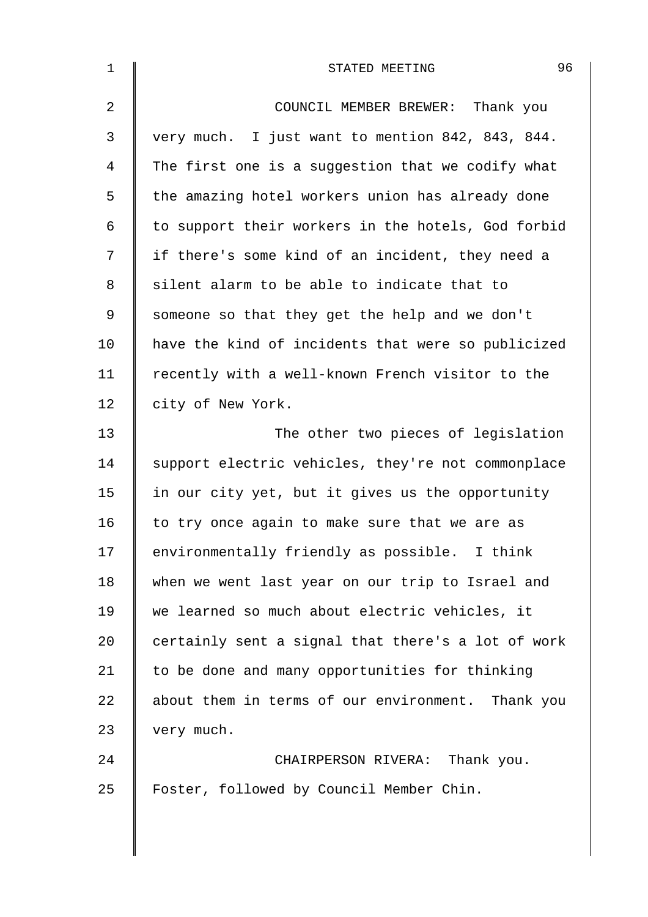| $\mathbf 1$    | 96<br>STATED MEETING                               |
|----------------|----------------------------------------------------|
| $\overline{2}$ | COUNCIL MEMBER BREWER: Thank you                   |
| 3              | very much. I just want to mention 842, 843, 844.   |
| 4              | The first one is a suggestion that we codify what  |
| 5              | the amazing hotel workers union has already done   |
| 6              | to support their workers in the hotels, God forbid |
| 7              | if there's some kind of an incident, they need a   |
| 8              | silent alarm to be able to indicate that to        |
| 9              | someone so that they get the help and we don't     |
| 10             | have the kind of incidents that were so publicized |
| 11             | recently with a well-known French visitor to the   |
| 12             | city of New York.                                  |
| 13             | The other two pieces of legislation                |
| 14             | support electric vehicles, they're not commonplace |
| 15             | in our city yet, but it gives us the opportunity   |
| 16             | to try once again to make sure that we are as      |
| 17             | environmentally friendly as possible. I think      |
| 18             | when we went last year on our trip to Israel and   |
| 19             | we learned so much about electric vehicles, it     |
| 20             | certainly sent a signal that there's a lot of work |
| 21             | to be done and many opportunities for thinking     |
| 22             | about them in terms of our environment. Thank you  |
| 23             | very much.                                         |
| 24             | CHAIRPERSON RIVERA: Thank you.                     |
| 25             | Foster, followed by Council Member Chin.           |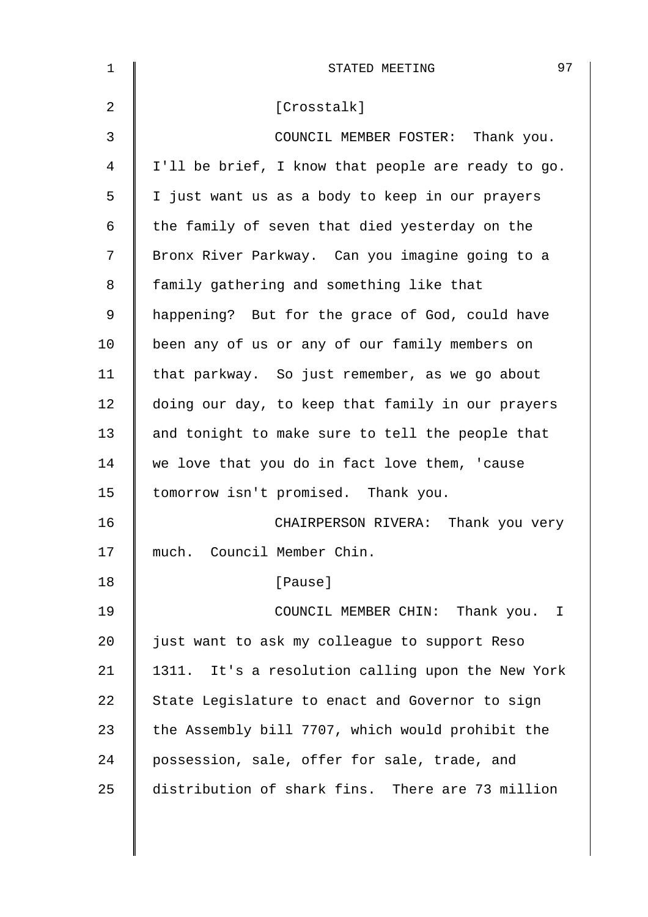| $\mathbf 1$ | 97<br>STATED MEETING                               |
|-------------|----------------------------------------------------|
| 2           | [Crosstalk]                                        |
| 3           | COUNCIL MEMBER FOSTER: Thank you.                  |
| 4           | I'll be brief, I know that people are ready to go. |
| 5           | I just want us as a body to keep in our prayers    |
| 6           | the family of seven that died yesterday on the     |
| 7           | Bronx River Parkway. Can you imagine going to a    |
| 8           | family gathering and something like that           |
| 9           | happening? But for the grace of God, could have    |
| 10          | been any of us or any of our family members on     |
| 11          | that parkway. So just remember, as we go about     |
| 12          | doing our day, to keep that family in our prayers  |
| 13          | and tonight to make sure to tell the people that   |
| 14          | we love that you do in fact love them, 'cause      |
| 15          | tomorrow isn't promised. Thank you.                |
| 16          | CHAIRPERSON RIVERA: Thank you very                 |
| 17          | much. Council Member Chin.                         |
| 18          | [Pause]                                            |
| 19          | COUNCIL MEMBER CHIN: Thank you. I                  |
| 20          | just want to ask my colleague to support Reso      |
| 21          | 1311. It's a resolution calling upon the New York  |
| 22          | State Legislature to enact and Governor to sign    |
| 23          | the Assembly bill 7707, which would prohibit the   |
| 24          | possession, sale, offer for sale, trade, and       |
| 25          | distribution of shark fins. There are 73 million   |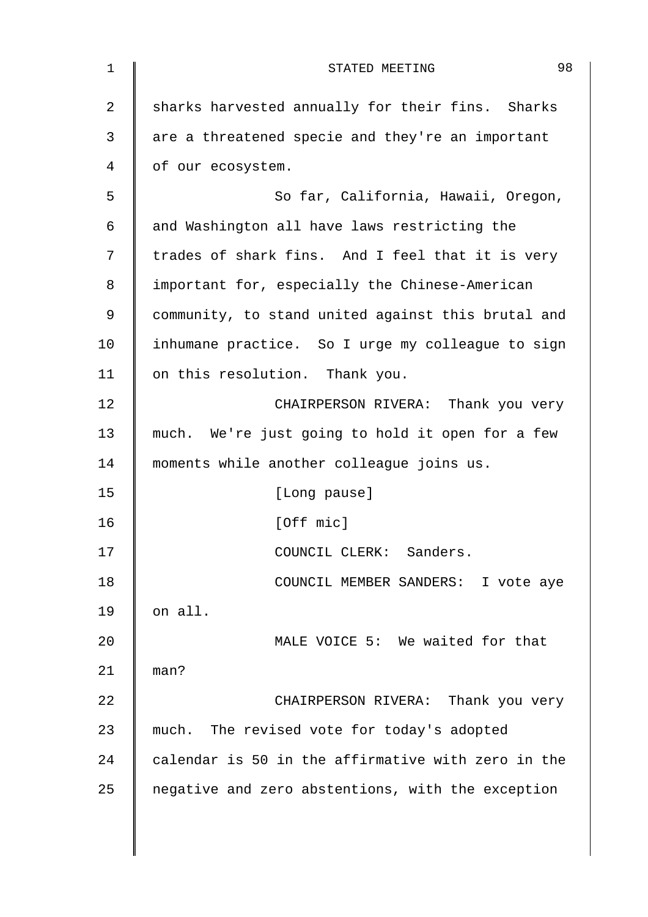| $\mathbf 1$    | 98<br>STATED MEETING                               |
|----------------|----------------------------------------------------|
| $\overline{2}$ | sharks harvested annually for their fins. Sharks   |
| 3              | are a threatened specie and they're an important   |
| 4              | of our ecosystem.                                  |
| 5              | So far, California, Hawaii, Oregon,                |
| 6              | and Washington all have laws restricting the       |
| 7              | trades of shark fins. And I feel that it is very   |
| 8              | important for, especially the Chinese-American     |
| 9              | community, to stand united against this brutal and |
| 10             | inhumane practice. So I urge my colleague to sign  |
| 11             | on this resolution. Thank you.                     |
| 12             | CHAIRPERSON RIVERA: Thank you very                 |
| 13             | much. We're just going to hold it open for a few   |
| 14             | moments while another colleague joins us.          |
| 15             | [Long pause]                                       |
| 16             | [Off mic]                                          |
| 17             | COUNCIL CLERK: Sanders.                            |
| 18             | COUNCIL MEMBER SANDERS: I vote aye                 |
| 19             | on all.                                            |
| 20             | MALE VOICE 5: We waited for that                   |
| 21             | man?                                               |
| 22             | CHAIRPERSON RIVERA: Thank you very                 |
| 23             | much. The revised vote for today's adopted         |
| 24             | calendar is 50 in the affirmative with zero in the |
| 25             | negative and zero abstentions, with the exception  |
|                |                                                    |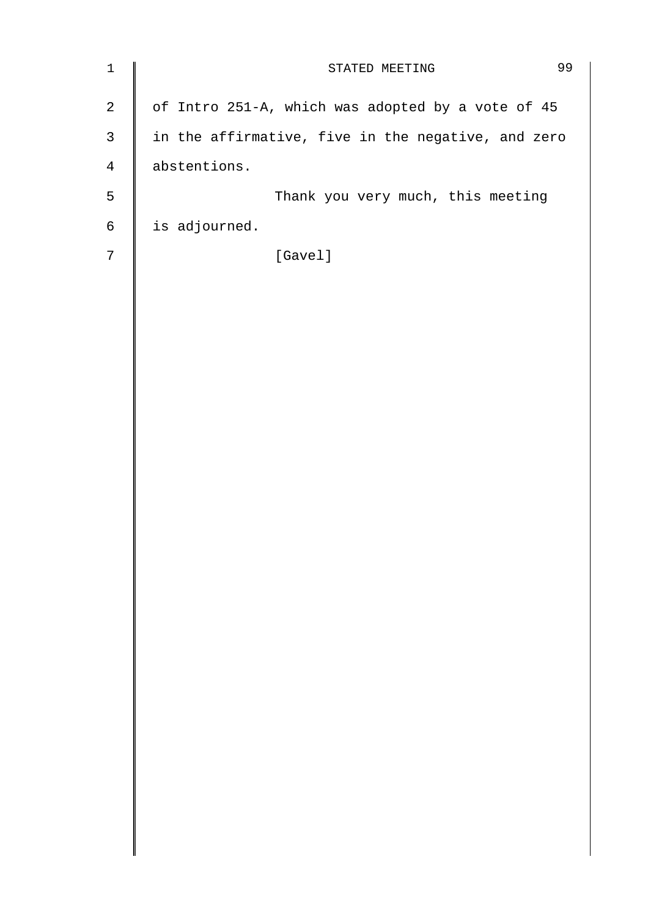| $\mathbf 1$    | 99<br>STATED MEETING                               |
|----------------|----------------------------------------------------|
| $\overline{2}$ | of Intro 251-A, which was adopted by a vote of 45  |
| $\mathsf{3}$   | in the affirmative, five in the negative, and zero |
| 4              | abstentions.                                       |
| 5              | Thank you very much, this meeting                  |
| 6              | is adjourned.                                      |
| $7\phantom{.}$ | [Gavel]                                            |
|                |                                                    |
|                |                                                    |
|                |                                                    |
|                |                                                    |
|                |                                                    |
|                |                                                    |
|                |                                                    |
|                |                                                    |
|                |                                                    |
|                |                                                    |
|                |                                                    |
|                |                                                    |
|                |                                                    |
|                |                                                    |
|                |                                                    |
|                |                                                    |
|                |                                                    |
|                |                                                    |